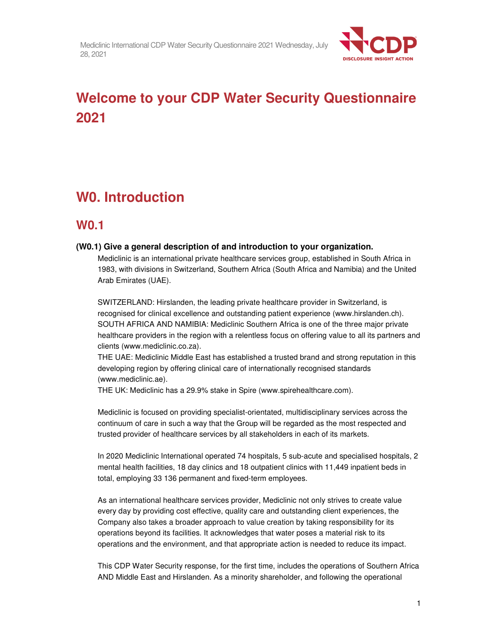

# **Welcome to your CDP Water Security Questionnaire 2021**

# **W0. Introduction**

# **W0.1**

# **(W0.1) Give a general description of and introduction to your organization.**

Mediclinic is an international private healthcare services group, established in South Africa in 1983, with divisions in Switzerland, Southern Africa (South Africa and Namibia) and the United Arab Emirates (UAE).

SWITZERLAND: Hirslanden, the leading private healthcare provider in Switzerland, is recognised for clinical excellence and outstanding patient experience (www.hirslanden.ch). SOUTH AFRICA AND NAMIBIA: Mediclinic Southern Africa is one of the three major private healthcare providers in the region with a relentless focus on offering value to all its partners and clients (www.mediclinic.co.za).

THE UAE: Mediclinic Middle East has established a trusted brand and strong reputation in this developing region by offering clinical care of internationally recognised standards (www.mediclinic.ae).

THE UK: Mediclinic has a 29.9% stake in Spire (www.spirehealthcare.com).

Mediclinic is focused on providing specialist-orientated, multidisciplinary services across the continuum of care in such a way that the Group will be regarded as the most respected and trusted provider of healthcare services by all stakeholders in each of its markets.

In 2020 Mediclinic International operated 74 hospitals, 5 sub-acute and specialised hospitals, 2 mental health facilities, 18 day clinics and 18 outpatient clinics with 11,449 inpatient beds in total, employing 33 136 permanent and fixed-term employees.

As an international healthcare services provider, Mediclinic not only strives to create value every day by providing cost effective, quality care and outstanding client experiences, the Company also takes a broader approach to value creation by taking responsibility for its operations beyond its facilities. It acknowledges that water poses a material risk to its operations and the environment, and that appropriate action is needed to reduce its impact.

This CDP Water Security response, for the first time, includes the operations of Southern Africa AND Middle East and Hirslanden. As a minority shareholder, and following the operational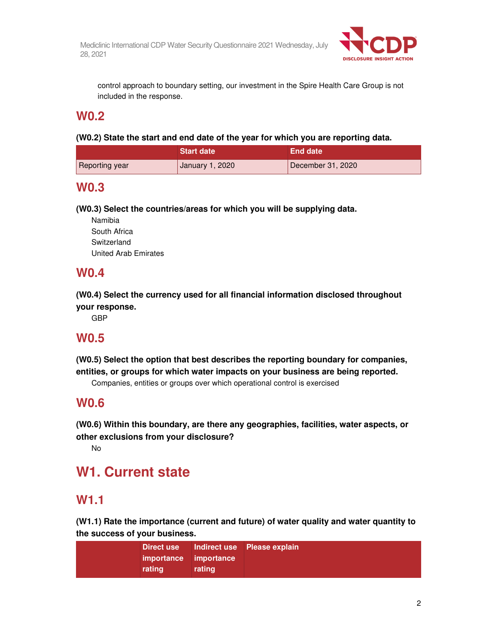

control approach to boundary setting, our investment in the Spire Health Care Group is not included in the response.

# **W0.2**

**(W0.2) State the start and end date of the year for which you are reporting data.** 

|                       | Start date      | <b>End date</b>   |
|-----------------------|-----------------|-------------------|
| <b>Reporting year</b> | January 1, 2020 | December 31, 2020 |

# **W0.3**

**(W0.3) Select the countries/areas for which you will be supplying data.** 

Namibia South Africa Switzerland United Arab Emirates

# **W0.4**

**(W0.4) Select the currency used for all financial information disclosed throughout your response.** 

GBP

# **W0.5**

**(W0.5) Select the option that best describes the reporting boundary for companies, entities, or groups for which water impacts on your business are being reported.** 

Companies, entities or groups over which operational control is exercised

# **W0.6**

**(W0.6) Within this boundary, are there any geographies, facilities, water aspects, or other exclusions from your disclosure?** 

No

# **W1. Current state**

# **W1.1**

**(W1.1) Rate the importance (current and future) of water quality and water quantity to the success of your business.** 

| Direct use Indirect use Please explain<br>importance importance<br>rating<br>rating |  |
|-------------------------------------------------------------------------------------|--|
|-------------------------------------------------------------------------------------|--|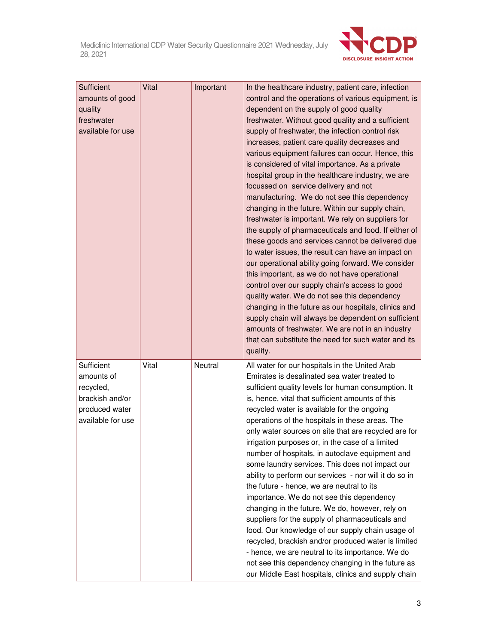

| Sufficient<br>amounts of good<br>quality<br>freshwater<br>available for use                     | Vital | Important | In the healthcare industry, patient care, infection<br>control and the operations of various equipment, is<br>dependent on the supply of good quality<br>freshwater. Without good quality and a sufficient<br>supply of freshwater, the infection control risk<br>increases, patient care quality decreases and<br>various equipment failures can occur. Hence, this<br>is considered of vital importance. As a private<br>hospital group in the healthcare industry, we are<br>focussed on service delivery and not<br>manufacturing. We do not see this dependency<br>changing in the future. Within our supply chain,<br>freshwater is important. We rely on suppliers for<br>the supply of pharmaceuticals and food. If either of<br>these goods and services cannot be delivered due<br>to water issues, the result can have an impact on<br>our operational ability going forward. We consider<br>this important, as we do not have operational<br>control over our supply chain's access to good<br>quality water. We do not see this dependency<br>changing in the future as our hospitals, clinics and<br>supply chain will always be dependent on sufficient<br>amounts of freshwater. We are not in an industry<br>that can substitute the need for such water and its<br>quality. |
|-------------------------------------------------------------------------------------------------|-------|-----------|-----------------------------------------------------------------------------------------------------------------------------------------------------------------------------------------------------------------------------------------------------------------------------------------------------------------------------------------------------------------------------------------------------------------------------------------------------------------------------------------------------------------------------------------------------------------------------------------------------------------------------------------------------------------------------------------------------------------------------------------------------------------------------------------------------------------------------------------------------------------------------------------------------------------------------------------------------------------------------------------------------------------------------------------------------------------------------------------------------------------------------------------------------------------------------------------------------------------------------------------------------------------------------------------------|
| Sufficient<br>amounts of<br>recycled,<br>brackish and/or<br>produced water<br>available for use | Vital | Neutral   | All water for our hospitals in the United Arab<br>Emirates is desalinated sea water treated to<br>sufficient quality levels for human consumption. It<br>is, hence, vital that sufficient amounts of this<br>recycled water is available for the ongoing<br>operations of the hospitals in these areas. The<br>only water sources on site that are recycled are for<br>irrigation purposes or, in the case of a limited<br>number of hospitals, in autoclave equipment and<br>some laundry services. This does not impact our<br>ability to perform our services - nor will it do so in<br>the future - hence, we are neutral to its<br>importance. We do not see this dependency<br>changing in the future. We do, however, rely on<br>suppliers for the supply of pharmaceuticals and<br>food. Our knowledge of our supply chain usage of<br>recycled, brackish and/or produced water is limited<br>- hence, we are neutral to its importance. We do<br>not see this dependency changing in the future as<br>our Middle East hospitals, clinics and supply chain                                                                                                                                                                                                                            |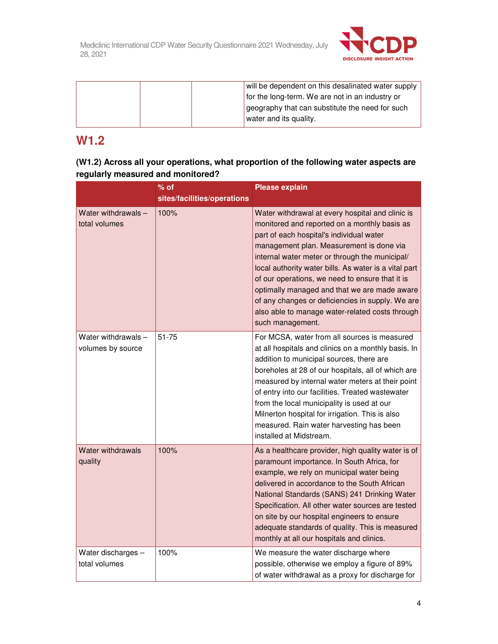

| will be dependent on this desalinated water supply |
|----------------------------------------------------|
| for the long-term. We are not in an industry or    |
| geography that can substitute the need for such    |
| water and its quality.                             |

# **W1.2**

| (W1.2) Across all your operations, what proportion of the following water aspects are |  |
|---------------------------------------------------------------------------------------|--|
| regularly measured and monitored?                                                     |  |

|                                          | $%$ of<br>sites/facilities/operations | <b>Please explain</b>                                                                                                                                                                                                                                                                                                                                                                                                                                                                                                             |
|------------------------------------------|---------------------------------------|-----------------------------------------------------------------------------------------------------------------------------------------------------------------------------------------------------------------------------------------------------------------------------------------------------------------------------------------------------------------------------------------------------------------------------------------------------------------------------------------------------------------------------------|
| Water withdrawals -<br>total volumes     | 100%                                  | Water withdrawal at every hospital and clinic is<br>monitored and reported on a monthly basis as<br>part of each hospital's individual water<br>management plan. Measurement is done via<br>internal water meter or through the municipal/<br>local authority water bills. As water is a vital part<br>of our operations, we need to ensure that it is<br>optimally managed and that we are made aware<br>of any changes or deficiencies in supply. We are<br>also able to manage water-related costs through<br>such management. |
| Water withdrawals -<br>volumes by source | $51 - 75$                             | For MCSA, water from all sources is measured<br>at all hospitals and clinics on a monthly basis. In<br>addition to municipal sources, there are<br>boreholes at 28 of our hospitals, all of which are<br>measured by internal water meters at their point<br>of entry into our facilities. Treated wastewater<br>from the local municipality is used at our<br>Milnerton hospital for irrigation. This is also<br>measured. Rain water harvesting has been<br>installed at Midstream.                                             |
| <b>Water withdrawals</b><br>quality      | 100%                                  | As a healthcare provider, high quality water is of<br>paramount importance. In South Africa, for<br>example, we rely on municipal water being<br>delivered in accordance to the South African<br>National Standards (SANS) 241 Drinking Water<br>Specification. All other water sources are tested<br>on site by our hospital engineers to ensure<br>adequate standards of quality. This is measured<br>monthly at all our hospitals and clinics.                                                                                 |
| Water discharges -<br>total volumes      | 100%                                  | We measure the water discharge where<br>possible, otherwise we employ a figure of 89%<br>of water withdrawal as a proxy for discharge for                                                                                                                                                                                                                                                                                                                                                                                         |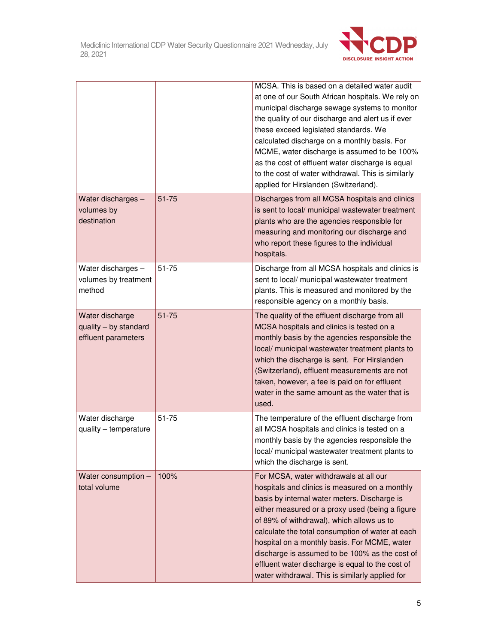

|                                                                 |           | MCSA. This is based on a detailed water audit<br>at one of our South African hospitals. We rely on<br>municipal discharge sewage systems to monitor<br>the quality of our discharge and alert us if ever<br>these exceed legislated standards. We<br>calculated discharge on a monthly basis. For<br>MCME, water discharge is assumed to be 100%<br>as the cost of effluent water discharge is equal<br>to the cost of water withdrawal. This is similarly<br>applied for Hirslanden (Switzerland).   |
|-----------------------------------------------------------------|-----------|-------------------------------------------------------------------------------------------------------------------------------------------------------------------------------------------------------------------------------------------------------------------------------------------------------------------------------------------------------------------------------------------------------------------------------------------------------------------------------------------------------|
| Water discharges -<br>volumes by<br>destination                 | $51 - 75$ | Discharges from all MCSA hospitals and clinics<br>is sent to local/ municipal wastewater treatment<br>plants who are the agencies responsible for<br>measuring and monitoring our discharge and<br>who report these figures to the individual<br>hospitals.                                                                                                                                                                                                                                           |
| Water discharges -<br>volumes by treatment<br>method            | 51-75     | Discharge from all MCSA hospitals and clinics is<br>sent to local/ municipal wastewater treatment<br>plants. This is measured and monitored by the<br>responsible agency on a monthly basis.                                                                                                                                                                                                                                                                                                          |
| Water discharge<br>quality - by standard<br>effluent parameters | $51 - 75$ | The quality of the effluent discharge from all<br>MCSA hospitals and clinics is tested on a<br>monthly basis by the agencies responsible the<br>local/ municipal wastewater treatment plants to<br>which the discharge is sent. For Hirslanden<br>(Switzerland), effluent measurements are not<br>taken, however, a fee is paid on for effluent<br>water in the same amount as the water that is<br>used.                                                                                             |
| Water discharge<br>quality - temperature                        | 51-75     | The temperature of the effluent discharge from<br>all MCSA hospitals and clinics is tested on a<br>monthly basis by the agencies responsible the<br>local/ municipal wastewater treatment plants to<br>which the discharge is sent.                                                                                                                                                                                                                                                                   |
| Water consumption -<br>total volume                             | 100%      | For MCSA, water withdrawals at all our<br>hospitals and clinics is measured on a monthly<br>basis by internal water meters. Discharge is<br>either measured or a proxy used (being a figure<br>of 89% of withdrawal), which allows us to<br>calculate the total consumption of water at each<br>hospital on a monthly basis. For MCME, water<br>discharge is assumed to be 100% as the cost of<br>effluent water discharge is equal to the cost of<br>water withdrawal. This is similarly applied for |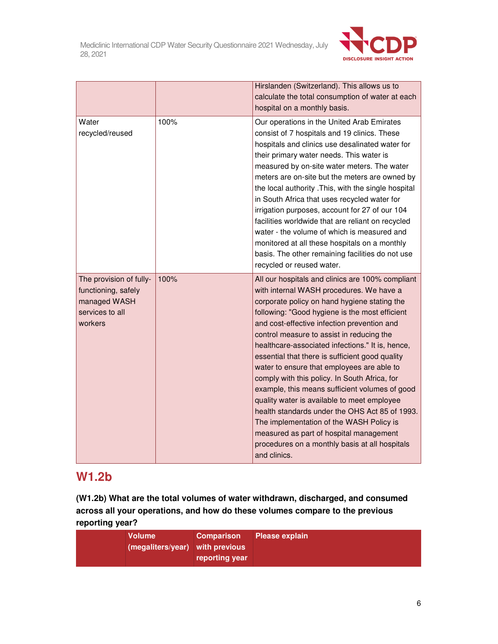

|                                                                                              |      | Hirslanden (Switzerland). This allows us to<br>calculate the total consumption of water at each<br>hospital on a monthly basis.                                                                                                                                                                                                                                                                                                                                                                                                                                                                                                                                                                                                                                                                              |
|----------------------------------------------------------------------------------------------|------|--------------------------------------------------------------------------------------------------------------------------------------------------------------------------------------------------------------------------------------------------------------------------------------------------------------------------------------------------------------------------------------------------------------------------------------------------------------------------------------------------------------------------------------------------------------------------------------------------------------------------------------------------------------------------------------------------------------------------------------------------------------------------------------------------------------|
| Water<br>recycled/reused                                                                     | 100% | Our operations in the United Arab Emirates<br>consist of 7 hospitals and 19 clinics. These<br>hospitals and clinics use desalinated water for<br>their primary water needs. This water is<br>measured by on-site water meters. The water<br>meters are on-site but the meters are owned by<br>the local authority . This, with the single hospital<br>in South Africa that uses recycled water for<br>irrigation purposes, account for 27 of our 104<br>facilities worldwide that are reliant on recycled<br>water - the volume of which is measured and<br>monitored at all these hospitals on a monthly<br>basis. The other remaining facilities do not use<br>recycled or reused water.                                                                                                                   |
| The provision of fully-<br>functioning, safely<br>managed WASH<br>services to all<br>workers | 100% | All our hospitals and clinics are 100% compliant<br>with internal WASH procedures. We have a<br>corporate policy on hand hygiene stating the<br>following: "Good hygiene is the most efficient<br>and cost-effective infection prevention and<br>control measure to assist in reducing the<br>healthcare-associated infections." It is, hence,<br>essential that there is sufficient good quality<br>water to ensure that employees are able to<br>comply with this policy. In South Africa, for<br>example, this means sufficient volumes of good<br>quality water is available to meet employee<br>health standards under the OHS Act 85 of 1993.<br>The implementation of the WASH Policy is<br>measured as part of hospital management<br>procedures on a monthly basis at all hospitals<br>and clinics. |

# **W1.2b**

**(W1.2b) What are the total volumes of water withdrawn, discharged, and consumed across all your operations, and how do these volumes compare to the previous reporting year?** 

| <b>Volume</b><br><b>Comparison</b> Please explain<br>(megaliters/year) with previous<br>reporting year |  |
|--------------------------------------------------------------------------------------------------------|--|
|--------------------------------------------------------------------------------------------------------|--|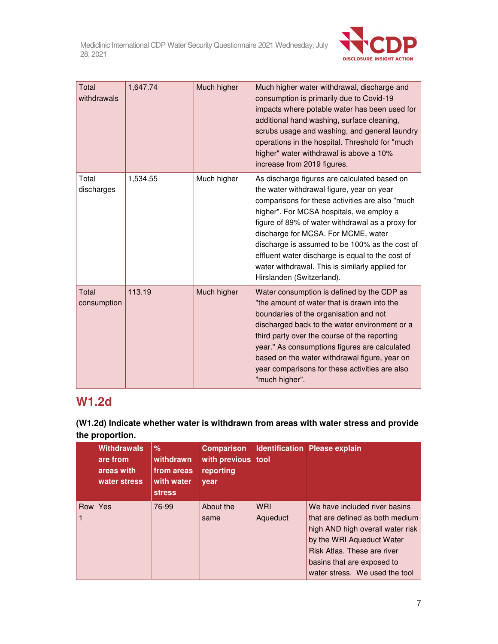

| Total<br>withdrawals | 1,647.74 | Much higher | Much higher water withdrawal, discharge and<br>consumption is primarily due to Covid-19<br>impacts where potable water has been used for<br>additional hand washing, surface cleaning,<br>scrubs usage and washing, and general laundry<br>operations in the hospital. Threshold for "much<br>higher" water withdrawal is above a 10%<br>increase from 2019 figures.                                                                                                      |
|----------------------|----------|-------------|---------------------------------------------------------------------------------------------------------------------------------------------------------------------------------------------------------------------------------------------------------------------------------------------------------------------------------------------------------------------------------------------------------------------------------------------------------------------------|
| Total<br>discharges  | 1,534.55 | Much higher | As discharge figures are calculated based on<br>the water withdrawal figure, year on year<br>comparisons for these activities are also "much<br>higher". For MCSA hospitals, we employ a<br>figure of 89% of water withdrawal as a proxy for<br>discharge for MCSA. For MCME, water<br>discharge is assumed to be 100% as the cost of<br>effluent water discharge is equal to the cost of<br>water withdrawal. This is similarly applied for<br>Hirslanden (Switzerland). |
| Total<br>consumption | 113.19   | Much higher | Water consumption is defined by the CDP as<br>"the amount of water that is drawn into the<br>boundaries of the organisation and not<br>discharged back to the water environment or a<br>third party over the course of the reporting<br>year." As consumptions figures are calculated<br>based on the water withdrawal figure, year on<br>year comparisons for these activities are also<br>"much higher".                                                                |

# **W1.2d**

**(W1.2d) Indicate whether water is withdrawn from areas with water stress and provide the proportion.** 

|     | <b>Withdrawals</b><br>are from<br>areas with<br>water stress | %<br>withdrawn<br>from areas<br>with water<br><b>stress</b> | with previous tool<br>reporting<br>year |                        | <b>Comparison</b> Identification Please explain                                                                                                                                                                                  |
|-----|--------------------------------------------------------------|-------------------------------------------------------------|-----------------------------------------|------------------------|----------------------------------------------------------------------------------------------------------------------------------------------------------------------------------------------------------------------------------|
| Row | Yes                                                          | 76-99                                                       | About the<br>same                       | <b>WRI</b><br>Aqueduct | We have included river basins<br>that are defined as both medium<br>high AND high overall water risk<br>by the WRI Aqueduct Water<br>Risk Atlas. These are river<br>basins that are exposed to<br>water stress. We used the tool |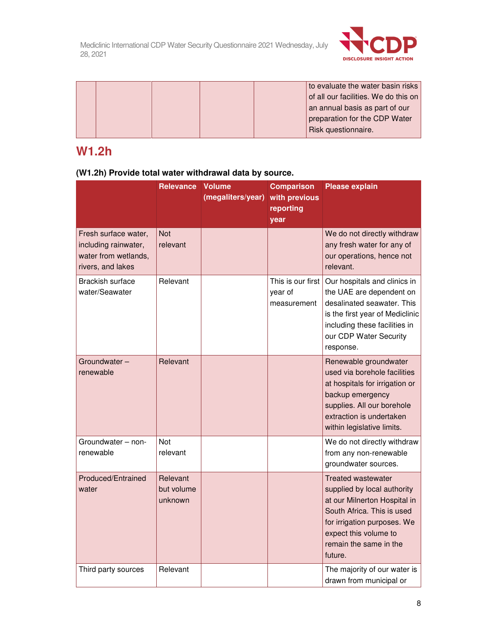

|  | to evaluate the water basin risks    |
|--|--------------------------------------|
|  | of all our facilities. We do this on |
|  | an annual basis as part of our       |
|  | preparation for the CDP Water        |
|  | Risk questionnaire.                  |

# **W1.2h**

|                                                                                           | <b>Relevance</b>                  | <b>Volume</b><br>(megaliters/year) | <b>Comparison</b><br>with previous<br>reporting<br>year | <b>Please explain</b>                                                                                                                                                                                               |
|-------------------------------------------------------------------------------------------|-----------------------------------|------------------------------------|---------------------------------------------------------|---------------------------------------------------------------------------------------------------------------------------------------------------------------------------------------------------------------------|
| Fresh surface water,<br>including rainwater,<br>water from wetlands,<br>rivers, and lakes | <b>Not</b><br>relevant            |                                    |                                                         | We do not directly withdraw<br>any fresh water for any of<br>our operations, hence not<br>relevant.                                                                                                                 |
| <b>Brackish surface</b><br>water/Seawater                                                 | Relevant                          |                                    | This is our first<br>year of<br>measurement             | Our hospitals and clinics in<br>the UAE are dependent on<br>desalinated seawater. This<br>is the first year of Mediclinic<br>including these facilities in<br>our CDP Water Security<br>response.                   |
| Groundwater-<br>renewable                                                                 | Relevant                          |                                    |                                                         | Renewable groundwater<br>used via borehole facilities<br>at hospitals for irrigation or<br>backup emergency<br>supplies. All our borehole<br>extraction is undertaken<br>within legislative limits.                 |
| Groundwater - non-<br>renewable                                                           | <b>Not</b><br>relevant            |                                    |                                                         | We do not directly withdraw<br>from any non-renewable<br>groundwater sources.                                                                                                                                       |
| Produced/Entrained<br>water                                                               | Relevant<br>but volume<br>unknown |                                    |                                                         | <b>Treated wastewater</b><br>supplied by local authority<br>at our Milnerton Hospital in<br>South Africa. This is used<br>for irrigation purposes. We<br>expect this volume to<br>remain the same in the<br>future. |
| Third party sources                                                                       | Relevant                          |                                    |                                                         | The majority of our water is<br>drawn from municipal or                                                                                                                                                             |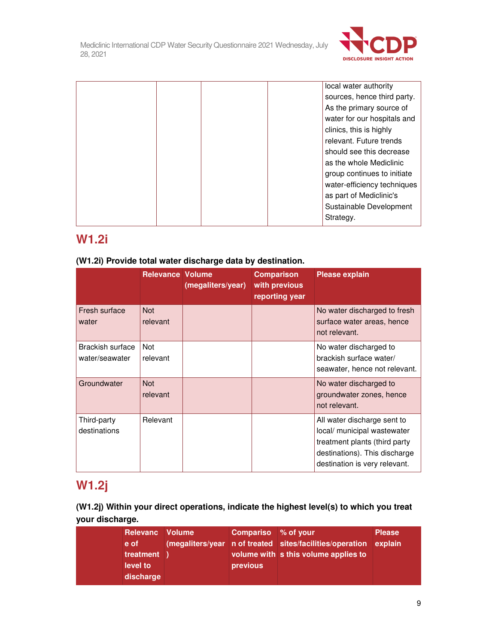

|  | local water authority       |
|--|-----------------------------|
|  | sources, hence third party. |
|  | As the primary source of    |
|  | water for our hospitals and |
|  | clinics, this is highly     |
|  | relevant. Future trends     |
|  | should see this decrease    |
|  | as the whole Mediclinic     |
|  | group continues to initiate |
|  | water-efficiency techniques |
|  | as part of Mediclinic's     |
|  | Sustainable Development     |
|  | Strategy.                   |

# **W1.2i**

# **(W1.2i) Provide total water discharge data by destination.**

|                                    | <b>Relevance Volume</b> | (megaliters/year) | <b>Comparison</b><br>with previous<br>reporting year | <b>Please explain</b>                                                                                                                                         |
|------------------------------------|-------------------------|-------------------|------------------------------------------------------|---------------------------------------------------------------------------------------------------------------------------------------------------------------|
| Fresh surface<br>water             | <b>Not</b><br>relevant  |                   |                                                      | No water discharged to fresh<br>surface water areas, hence<br>not relevant.                                                                                   |
| Brackish surface<br>water/seawater | <b>Not</b><br>relevant  |                   |                                                      | No water discharged to<br>brackish surface water/<br>seawater, hence not relevant.                                                                            |
| Groundwater                        | <b>Not</b><br>relevant  |                   |                                                      | No water discharged to<br>groundwater zones, hence<br>not relevant.                                                                                           |
| Third-party<br>destinations        | Relevant                |                   |                                                      | All water discharge sent to<br>local/ municipal wastewater<br>treatment plants (third party<br>destinations). This discharge<br>destination is very relevant. |

# **W1.2j**

# **(W1.2j) Within your direct operations, indicate the highest level(s) to which you treat your discharge.**

| <b>Relevanc</b> Volume | Compariso % of your |                                                                  | <b>Please</b> |
|------------------------|---------------------|------------------------------------------------------------------|---------------|
| e of                   |                     | (megaliters/year n of treated sites/facilities/operation explain |               |
| treatment              |                     | volume with s this volume applies to                             |               |
| level to               | previous            |                                                                  |               |
| discharge              |                     |                                                                  |               |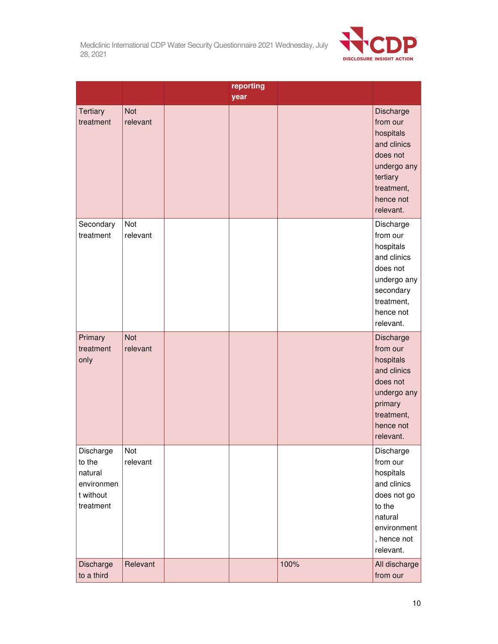

|                                                                        |                        | reporting |      |                                                                                                                                   |
|------------------------------------------------------------------------|------------------------|-----------|------|-----------------------------------------------------------------------------------------------------------------------------------|
|                                                                        |                        | year      |      |                                                                                                                                   |
| <b>Tertiary</b><br>treatment                                           | <b>Not</b><br>relevant |           |      | Discharge<br>from our<br>hospitals<br>and clinics<br>does not<br>undergo any<br>tertiary<br>treatment,<br>hence not<br>relevant.  |
| Secondary<br>treatment                                                 | Not<br>relevant        |           |      | Discharge<br>from our<br>hospitals<br>and clinics<br>does not<br>undergo any<br>secondary<br>treatment,<br>hence not<br>relevant. |
| Primary<br>treatment<br>only                                           | <b>Not</b><br>relevant |           |      | Discharge<br>from our<br>hospitals<br>and clinics<br>does not<br>undergo any<br>primary<br>treatment,<br>hence not<br>relevant.   |
| Discharge<br>to the<br>natural<br>environmen<br>t without<br>treatment | Not<br>relevant        |           |      | Discharge<br>from our<br>hospitals<br>and clinics<br>does not go<br>to the<br>natural<br>environment<br>, hence not<br>relevant.  |
| Discharge<br>to a third                                                | Relevant               |           | 100% | All discharge<br>from our                                                                                                         |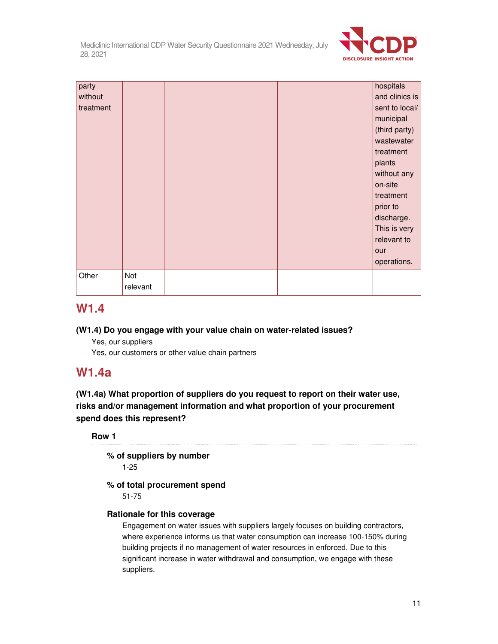

| party     |          |  | hospitals      |
|-----------|----------|--|----------------|
| without   |          |  | and clinics is |
| treatment |          |  | sent to local/ |
|           |          |  | municipal      |
|           |          |  | (third party)  |
|           |          |  | wastewater     |
|           |          |  | treatment      |
|           |          |  | plants         |
|           |          |  | without any    |
|           |          |  | on-site        |
|           |          |  | treatment      |
|           |          |  | prior to       |
|           |          |  | discharge.     |
|           |          |  | This is very   |
|           |          |  | relevant to    |
|           |          |  | our            |
|           |          |  | operations.    |
| Other     | Not      |  |                |
|           | relevant |  |                |

# **W1.4**

# **(W1.4) Do you engage with your value chain on water-related issues?**

Yes, our suppliers

Yes, our customers or other value chain partners

# **W1.4a**

**(W1.4a) What proportion of suppliers do you request to report on their water use, risks and/or management information and what proportion of your procurement spend does this represent?** 

# **Row 1**

**% of suppliers by number** 

1-25

# **% of total procurement spend**

51-75

# **Rationale for this coverage**

Engagement on water issues with suppliers largely focuses on building contractors, where experience informs us that water consumption can increase 100-150% during building projects if no management of water resources in enforced. Due to this significant increase in water withdrawal and consumption, we engage with these suppliers.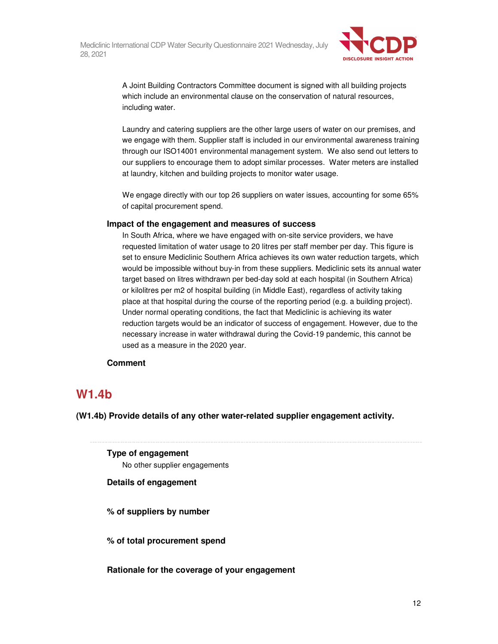

A Joint Building Contractors Committee document is signed with all building projects which include an environmental clause on the conservation of natural resources, including water.

Laundry and catering suppliers are the other large users of water on our premises, and we engage with them. Supplier staff is included in our environmental awareness training through our ISO14001 environmental management system. We also send out letters to our suppliers to encourage them to adopt similar processes. Water meters are installed at laundry, kitchen and building projects to monitor water usage.

We engage directly with our top 26 suppliers on water issues, accounting for some 65% of capital procurement spend.

## **Impact of the engagement and measures of success**

In South Africa, where we have engaged with on-site service providers, we have requested limitation of water usage to 20 litres per staff member per day. This figure is set to ensure Mediclinic Southern Africa achieves its own water reduction targets, which would be impossible without buy-in from these suppliers. Mediclinic sets its annual water target based on litres withdrawn per bed-day sold at each hospital (in Southern Africa) or kilolitres per m2 of hospital building (in Middle East), regardless of activity taking place at that hospital during the course of the reporting period (e.g. a building project). Under normal operating conditions, the fact that Mediclinic is achieving its water reduction targets would be an indicator of success of engagement. However, due to the necessary increase in water withdrawal during the Covid-19 pandemic, this cannot be used as a measure in the 2020 year.

# **Comment**

# **W1.4b**

**(W1.4b) Provide details of any other water-related supplier engagement activity.** 

**Type of engagement**  No other supplier engagements

# **Details of engagement**

**% of suppliers by number** 

**% of total procurement spend** 

**Rationale for the coverage of your engagement**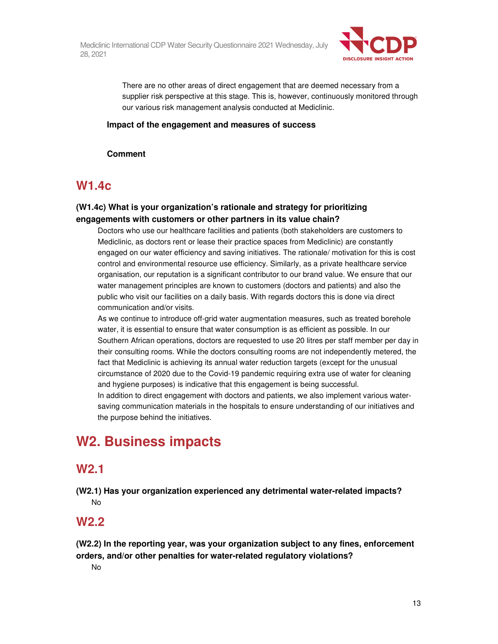

There are no other areas of direct engagement that are deemed necessary from a supplier risk perspective at this stage. This is, however, continuously monitored through our various risk management analysis conducted at Mediclinic.

# **Impact of the engagement and measures of success**

**Comment** 

# **W1.4c**

# **(W1.4c) What is your organization's rationale and strategy for prioritizing engagements with customers or other partners in its value chain?**

Doctors who use our healthcare facilities and patients (both stakeholders are customers to Mediclinic, as doctors rent or lease their practice spaces from Mediclinic) are constantly engaged on our water efficiency and saving initiatives. The rationale/ motivation for this is cost control and environmental resource use efficiency. Similarly, as a private healthcare service organisation, our reputation is a significant contributor to our brand value. We ensure that our water management principles are known to customers (doctors and patients) and also the public who visit our facilities on a daily basis. With regards doctors this is done via direct communication and/or visits.

As we continue to introduce off-grid water augmentation measures, such as treated borehole water, it is essential to ensure that water consumption is as efficient as possible. In our Southern African operations, doctors are requested to use 20 litres per staff member per day in their consulting rooms. While the doctors consulting rooms are not independently metered, the fact that Mediclinic is achieving its annual water reduction targets (except for the unusual circumstance of 2020 due to the Covid-19 pandemic requiring extra use of water for cleaning and hygiene purposes) is indicative that this engagement is being successful.

In addition to direct engagement with doctors and patients, we also implement various watersaving communication materials in the hospitals to ensure understanding of our initiatives and the purpose behind the initiatives.

# **W2. Business impacts**

# **W2.1**

**(W2.1) Has your organization experienced any detrimental water-related impacts?**  No

# **W2.2**

**(W2.2) In the reporting year, was your organization subject to any fines, enforcement orders, and/or other penalties for water-related regulatory violations?** 

No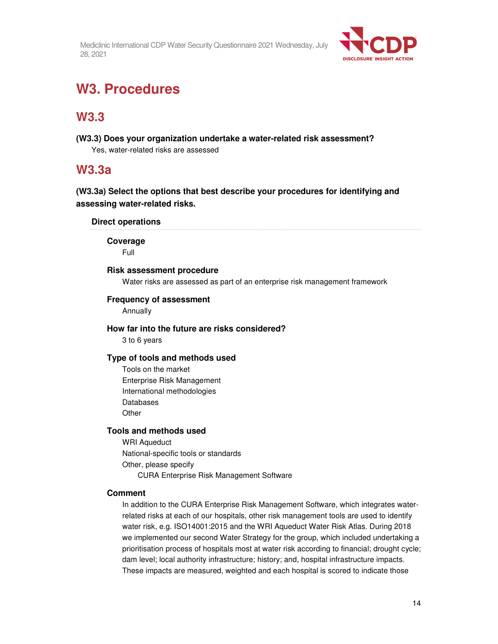

# **W3. Procedures**

# **W3.3**

**(W3.3) Does your organization undertake a water-related risk assessment?**  Yes, water-related risks are assessed

# **W3.3a**

**(W3.3a) Select the options that best describe your procedures for identifying and assessing water-related risks.** 

# **Direct operations**

**Coverage** 

Full

# **Risk assessment procedure**

Water risks are assessed as part of an enterprise risk management framework

# **Frequency of assessment**

Annually

# **How far into the future are risks considered?**

3 to 6 years

# **Type of tools and methods used**

Tools on the market Enterprise Risk Management International methodologies Databases **Other** 

# **Tools and methods used**

WRI Aqueduct National-specific tools or standards Other, please specify CURA Enterprise Risk Management Software

# **Comment**

In addition to the CURA Enterprise Risk Management Software, which integrates waterrelated risks at each of our hospitals, other risk management tools are used to identify water risk, e.g. ISO14001:2015 and the WRI Aqueduct Water Risk Atlas. During 2018 we implemented our second Water Strategy for the group, which included undertaking a prioritisation process of hospitals most at water risk according to financial; drought cycle; dam level; local authority infrastructure; history; and, hospital infrastructure impacts. These impacts are measured, weighted and each hospital is scored to indicate those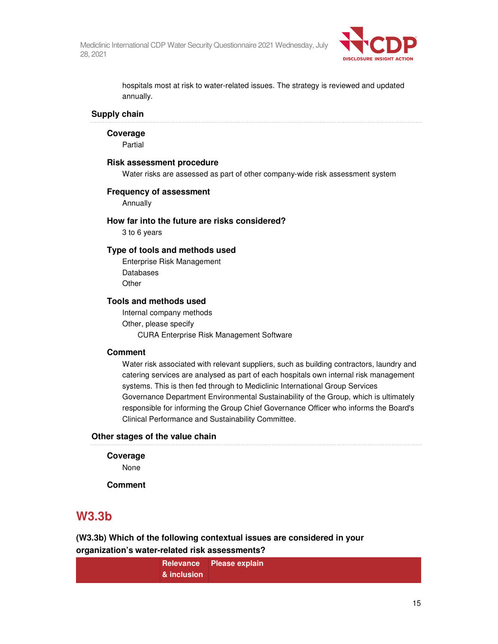

hospitals most at risk to water-related issues. The strategy is reviewed and updated annually.

## **Supply chain**

**Coverage** 

Partial

#### **Risk assessment procedure**

Water risks are assessed as part of other company-wide risk assessment system

#### **Frequency of assessment**

Annually

### **How far into the future are risks considered?**

3 to 6 years

# **Type of tools and methods used**

Enterprise Risk Management Databases **Other** 

# **Tools and methods used**

Internal company methods Other, please specify CURA Enterprise Risk Management Software

### **Comment**

Water risk associated with relevant suppliers, such as building contractors, laundry and catering services are analysed as part of each hospitals own internal risk management systems. This is then fed through to Mediclinic International Group Services Governance Department Environmental Sustainability of the Group, which is ultimately responsible for informing the Group Chief Governance Officer who informs the Board's Clinical Performance and Sustainability Committee.

## **Other stages of the value chain**

#### **Coverage**

None

**Comment** 

# **W3.3b**

**(W3.3b) Which of the following contextual issues are considered in your organization's water-related risk assessments?** 

|                        | Relevance Please explain |
|------------------------|--------------------------|
| $\&$ inclusion $\cdot$ |                          |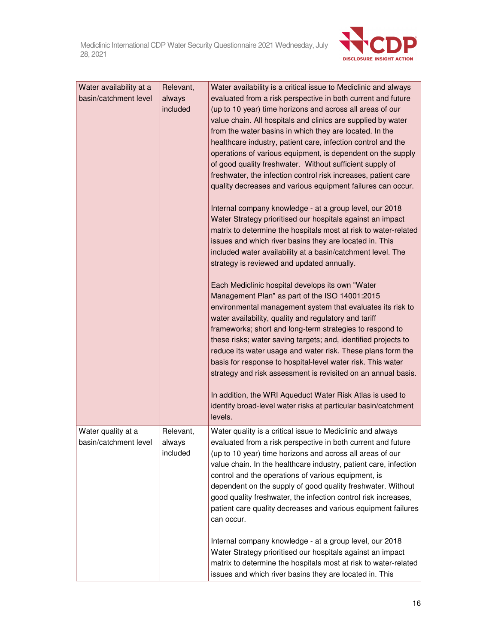

| Water availability at a<br>basin/catchment level | Relevant,<br>always<br>included | Water availability is a critical issue to Mediclinic and always<br>evaluated from a risk perspective in both current and future<br>(up to 10 year) time horizons and across all areas of our<br>value chain. All hospitals and clinics are supplied by water<br>from the water basins in which they are located. In the<br>healthcare industry, patient care, infection control and the<br>operations of various equipment, is dependent on the supply<br>of good quality freshwater. Without sufficient supply of<br>freshwater, the infection control risk increases, patient care<br>quality decreases and various equipment failures can occur.<br>Internal company knowledge - at a group level, our 2018<br>Water Strategy prioritised our hospitals against an impact<br>matrix to determine the hospitals most at risk to water-related<br>issues and which river basins they are located in. This<br>included water availability at a basin/catchment level. The<br>strategy is reviewed and updated annually.<br>Each Mediclinic hospital develops its own "Water<br>Management Plan" as part of the ISO 14001:2015<br>environmental management system that evaluates its risk to<br>water availability, quality and regulatory and tariff<br>frameworks; short and long-term strategies to respond to<br>these risks; water saving targets; and, identified projects to<br>reduce its water usage and water risk. These plans form the<br>basis for response to hospital-level water risk. This water<br>strategy and risk assessment is revisited on an annual basis.<br>In addition, the WRI Aqueduct Water Risk Atlas is used to<br>identify broad-level water risks at particular basin/catchment<br>levels. |
|--------------------------------------------------|---------------------------------|-----------------------------------------------------------------------------------------------------------------------------------------------------------------------------------------------------------------------------------------------------------------------------------------------------------------------------------------------------------------------------------------------------------------------------------------------------------------------------------------------------------------------------------------------------------------------------------------------------------------------------------------------------------------------------------------------------------------------------------------------------------------------------------------------------------------------------------------------------------------------------------------------------------------------------------------------------------------------------------------------------------------------------------------------------------------------------------------------------------------------------------------------------------------------------------------------------------------------------------------------------------------------------------------------------------------------------------------------------------------------------------------------------------------------------------------------------------------------------------------------------------------------------------------------------------------------------------------------------------------------------------------------------------------------------------------------------------------------------|
| Water quality at a<br>basin/catchment level      | Relevant,<br>always<br>included | Water quality is a critical issue to Mediclinic and always<br>evaluated from a risk perspective in both current and future<br>(up to 10 year) time horizons and across all areas of our<br>value chain. In the healthcare industry, patient care, infection<br>control and the operations of various equipment, is<br>dependent on the supply of good quality freshwater. Without<br>good quality freshwater, the infection control risk increases,<br>patient care quality decreases and various equipment failures<br>can occur.<br>Internal company knowledge - at a group level, our 2018<br>Water Strategy prioritised our hospitals against an impact<br>matrix to determine the hospitals most at risk to water-related<br>issues and which river basins they are located in. This                                                                                                                                                                                                                                                                                                                                                                                                                                                                                                                                                                                                                                                                                                                                                                                                                                                                                                                                   |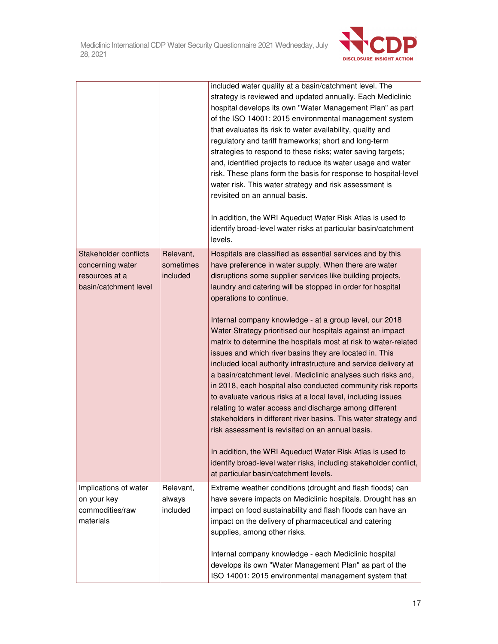

|                                                                                      |                                    | included water quality at a basin/catchment level. The<br>strategy is reviewed and updated annually. Each Mediclinic<br>hospital develops its own "Water Management Plan" as part<br>of the ISO 14001: 2015 environmental management system<br>that evaluates its risk to water availability, quality and<br>regulatory and tariff frameworks; short and long-term<br>strategies to respond to these risks; water saving targets;<br>and, identified projects to reduce its water usage and water<br>risk. These plans form the basis for response to hospital-level<br>water risk. This water strategy and risk assessment is<br>revisited on an annual basis.<br>In addition, the WRI Aqueduct Water Risk Atlas is used to<br>identify broad-level water risks at particular basin/catchment<br>levels. |
|--------------------------------------------------------------------------------------|------------------------------------|-----------------------------------------------------------------------------------------------------------------------------------------------------------------------------------------------------------------------------------------------------------------------------------------------------------------------------------------------------------------------------------------------------------------------------------------------------------------------------------------------------------------------------------------------------------------------------------------------------------------------------------------------------------------------------------------------------------------------------------------------------------------------------------------------------------|
| Stakeholder conflicts<br>concerning water<br>resources at a<br>basin/catchment level | Relevant,<br>sometimes<br>included | Hospitals are classified as essential services and by this<br>have preference in water supply. When there are water<br>disruptions some supplier services like building projects,<br>laundry and catering will be stopped in order for hospital<br>operations to continue.                                                                                                                                                                                                                                                                                                                                                                                                                                                                                                                                |
|                                                                                      |                                    | Internal company knowledge - at a group level, our 2018<br>Water Strategy prioritised our hospitals against an impact<br>matrix to determine the hospitals most at risk to water-related<br>issues and which river basins they are located in. This<br>included local authority infrastructure and service delivery at<br>a basin/catchment level. Mediclinic analyses such risks and,<br>in 2018, each hospital also conducted community risk reports<br>to evaluate various risks at a local level, including issues<br>relating to water access and discharge among different<br>stakeholders in different river basins. This water strategy and<br>risk assessment is revisited on an annual basis.                                                                                                   |
|                                                                                      |                                    | In addition, the WRI Aqueduct Water Risk Atlas is used to<br>identify broad-level water risks, including stakeholder conflict,<br>at particular basin/catchment levels.                                                                                                                                                                                                                                                                                                                                                                                                                                                                                                                                                                                                                                   |
| Implications of water<br>on your key<br>commodities/raw<br>materials                 | Relevant,<br>always<br>included    | Extreme weather conditions (drought and flash floods) can<br>have severe impacts on Mediclinic hospitals. Drought has an<br>impact on food sustainability and flash floods can have an<br>impact on the delivery of pharmaceutical and catering<br>supplies, among other risks.                                                                                                                                                                                                                                                                                                                                                                                                                                                                                                                           |
|                                                                                      |                                    | Internal company knowledge - each Mediclinic hospital<br>develops its own "Water Management Plan" as part of the<br>ISO 14001: 2015 environmental management system that                                                                                                                                                                                                                                                                                                                                                                                                                                                                                                                                                                                                                                  |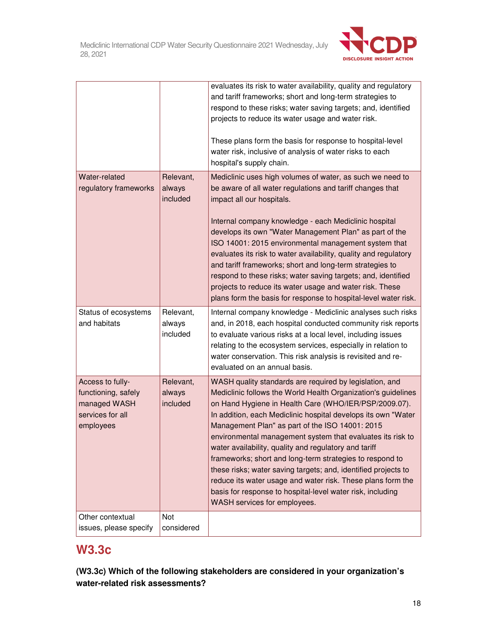

|                                                                                          |                                 | evaluates its risk to water availability, quality and regulatory<br>and tariff frameworks; short and long-term strategies to<br>respond to these risks; water saving targets; and, identified<br>projects to reduce its water usage and water risk.<br>These plans form the basis for response to hospital-level<br>water risk, inclusive of analysis of water risks to each<br>hospital's supply chain.                                                                                                                                                                                                                                                                                                                |
|------------------------------------------------------------------------------------------|---------------------------------|-------------------------------------------------------------------------------------------------------------------------------------------------------------------------------------------------------------------------------------------------------------------------------------------------------------------------------------------------------------------------------------------------------------------------------------------------------------------------------------------------------------------------------------------------------------------------------------------------------------------------------------------------------------------------------------------------------------------------|
| Water-related<br>regulatory frameworks                                                   | Relevant,<br>always<br>included | Mediclinic uses high volumes of water, as such we need to<br>be aware of all water regulations and tariff changes that<br>impact all our hospitals.<br>Internal company knowledge - each Mediclinic hospital<br>develops its own "Water Management Plan" as part of the<br>ISO 14001: 2015 environmental management system that<br>evaluates its risk to water availability, quality and regulatory<br>and tariff frameworks; short and long-term strategies to<br>respond to these risks; water saving targets; and, identified<br>projects to reduce its water usage and water risk. These<br>plans form the basis for response to hospital-level water risk.                                                         |
| Status of ecosystems<br>and habitats                                                     | Relevant,<br>always<br>included | Internal company knowledge - Mediclinic analyses such risks<br>and, in 2018, each hospital conducted community risk reports<br>to evaluate various risks at a local level, including issues<br>relating to the ecosystem services, especially in relation to<br>water conservation. This risk analysis is revisited and re-<br>evaluated on an annual basis.                                                                                                                                                                                                                                                                                                                                                            |
| Access to fully-<br>functioning, safely<br>managed WASH<br>services for all<br>employees | Relevant,<br>always<br>included | WASH quality standards are required by legislation, and<br>Mediclinic follows the World Health Organization's guidelines<br>on Hand Hygiene in Health Care (WHO/IER/PSP/2009.07).<br>In addition, each Mediclinic hospital develops its own "Water<br>Management Plan" as part of the ISO 14001: 2015<br>environmental management system that evaluates its risk to<br>water availability, quality and regulatory and tariff<br>frameworks; short and long-term strategies to respond to<br>these risks; water saving targets; and, identified projects to<br>reduce its water usage and water risk. These plans form the<br>basis for response to hospital-level water risk, including<br>WASH services for employees. |
| Other contextual<br>issues, please specify                                               | Not<br>considered               |                                                                                                                                                                                                                                                                                                                                                                                                                                                                                                                                                                                                                                                                                                                         |

# **W3.3c**

**(W3.3c) Which of the following stakeholders are considered in your organization's water-related risk assessments?**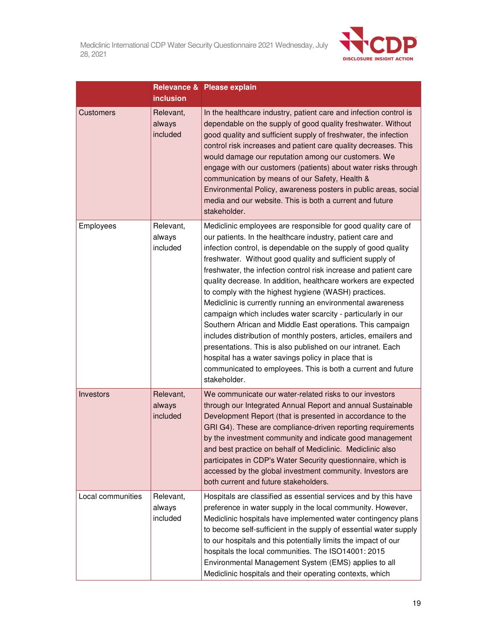

|                   | <b>inclusion</b>                | Relevance & Please explain                                                                                                                                                                                                                                                                                                                                                                                                                                                                                                                                                                                                                                                                                                                                                                                                                                                                                                      |
|-------------------|---------------------------------|---------------------------------------------------------------------------------------------------------------------------------------------------------------------------------------------------------------------------------------------------------------------------------------------------------------------------------------------------------------------------------------------------------------------------------------------------------------------------------------------------------------------------------------------------------------------------------------------------------------------------------------------------------------------------------------------------------------------------------------------------------------------------------------------------------------------------------------------------------------------------------------------------------------------------------|
| <b>Customers</b>  | Relevant,<br>always<br>included | In the healthcare industry, patient care and infection control is<br>dependable on the supply of good quality freshwater. Without<br>good quality and sufficient supply of freshwater, the infection<br>control risk increases and patient care quality decreases. This<br>would damage our reputation among our customers. We<br>engage with our customers (patients) about water risks through<br>communication by means of our Safety, Health &<br>Environmental Policy, awareness posters in public areas, social<br>media and our website. This is both a current and future<br>stakeholder.                                                                                                                                                                                                                                                                                                                               |
| Employees         | Relevant,<br>always<br>included | Mediclinic employees are responsible for good quality care of<br>our patients. In the healthcare industry, patient care and<br>infection control, is dependable on the supply of good quality<br>freshwater. Without good quality and sufficient supply of<br>freshwater, the infection control risk increase and patient care<br>quality decrease. In addition, healthcare workers are expected<br>to comply with the highest hygiene (WASH) practices.<br>Mediclinic is currently running an environmental awareness<br>campaign which includes water scarcity - particularly in our<br>Southern African and Middle East operations. This campaign<br>includes distribution of monthly posters, articles, emailers and<br>presentations. This is also published on our intranet. Each<br>hospital has a water savings policy in place that is<br>communicated to employees. This is both a current and future<br>stakeholder. |
| Investors         | Relevant,<br>always<br>included | We communicate our water-related risks to our investors<br>through our Integrated Annual Report and annual Sustainable<br>Development Report (that is presented in accordance to the<br>GRI G4). These are compliance-driven reporting requirements<br>by the investment community and indicate good management<br>and best practice on behalf of Mediclinic. Mediclinic also<br>participates in CDP's Water Security questionnaire, which is<br>accessed by the global investment community. Investors are<br>both current and future stakeholders.                                                                                                                                                                                                                                                                                                                                                                            |
| Local communities | Relevant,<br>always<br>included | Hospitals are classified as essential services and by this have<br>preference in water supply in the local community. However,<br>Mediclinic hospitals have implemented water contingency plans<br>to become self-sufficient in the supply of essential water supply<br>to our hospitals and this potentially limits the impact of our<br>hospitals the local communities. The ISO14001: 2015<br>Environmental Management System (EMS) applies to all<br>Mediclinic hospitals and their operating contexts, which                                                                                                                                                                                                                                                                                                                                                                                                               |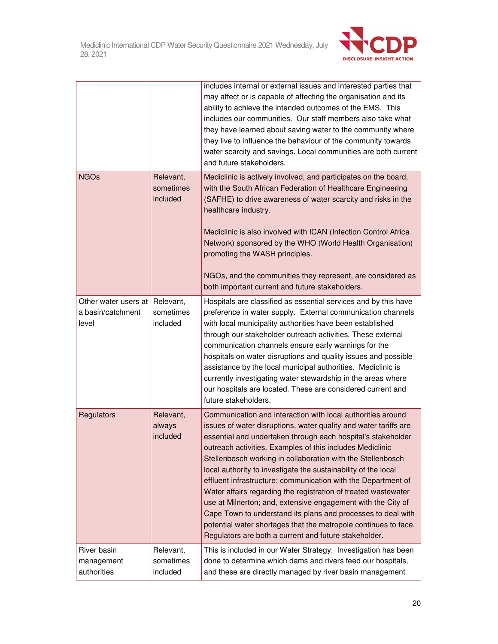

|                                                    |                                    | includes internal or external issues and interested parties that<br>may affect or is capable of affecting the organisation and its<br>ability to achieve the intended outcomes of the EMS. This<br>includes our communities. Our staff members also take what<br>they have learned about saving water to the community where<br>they live to influence the behaviour of the community towards<br>water scarcity and savings. Local communities are both current<br>and future stakeholders.                                                                                                                                                                                                                                                                                                  |  |
|----------------------------------------------------|------------------------------------|----------------------------------------------------------------------------------------------------------------------------------------------------------------------------------------------------------------------------------------------------------------------------------------------------------------------------------------------------------------------------------------------------------------------------------------------------------------------------------------------------------------------------------------------------------------------------------------------------------------------------------------------------------------------------------------------------------------------------------------------------------------------------------------------|--|
| <b>NGOs</b>                                        | Relevant,<br>sometimes<br>included | Mediclinic is actively involved, and participates on the board,<br>with the South African Federation of Healthcare Engineering<br>(SAFHE) to drive awareness of water scarcity and risks in the<br>healthcare industry.<br>Mediclinic is also involved with ICAN (Infection Control Africa<br>Network) sponsored by the WHO (World Health Organisation)<br>promoting the WASH principles.<br>NGOs, and the communities they represent, are considered as<br>both important current and future stakeholders.                                                                                                                                                                                                                                                                                  |  |
| Other water users at<br>a basin/catchment<br>level | Relevant,<br>sometimes<br>included | Hospitals are classified as essential services and by this have<br>preference in water supply. External communication channels<br>with local municipality authorities have been established<br>through our stakeholder outreach activities. These external<br>communication channels ensure early warnings for the<br>hospitals on water disruptions and quality issues and possible<br>assistance by the local municipal authorities. Mediclinic is<br>currently investigating water stewardship in the areas where<br>our hospitals are located. These are considered current and<br>future stakeholders.                                                                                                                                                                                  |  |
| Regulators                                         | Relevant,<br>always<br>included    | Communication and interaction with local authorities around<br>issues of water disruptions, water quality and water tariffs are<br>essential and undertaken through each hospital's stakeholder<br>outreach activities. Examples of this includes Mediclinic<br>Stellenbosch working in collaboration with the Stellenbosch<br>local authority to investigate the sustainability of the local<br>effluent infrastructure; communication with the Department of<br>Water affairs regarding the registration of treated wastewater<br>use at Milnerton; and, extensive engagement with the City of<br>Cape Town to understand its plans and processes to deal with<br>potential water shortages that the metropole continues to face.<br>Regulators are both a current and future stakeholder. |  |
| River basin<br>management<br>authorities           | Relevant,<br>sometimes<br>included | This is included in our Water Strategy. Investigation has been<br>done to determine which dams and rivers feed our hospitals,<br>and these are directly managed by river basin management                                                                                                                                                                                                                                                                                                                                                                                                                                                                                                                                                                                                    |  |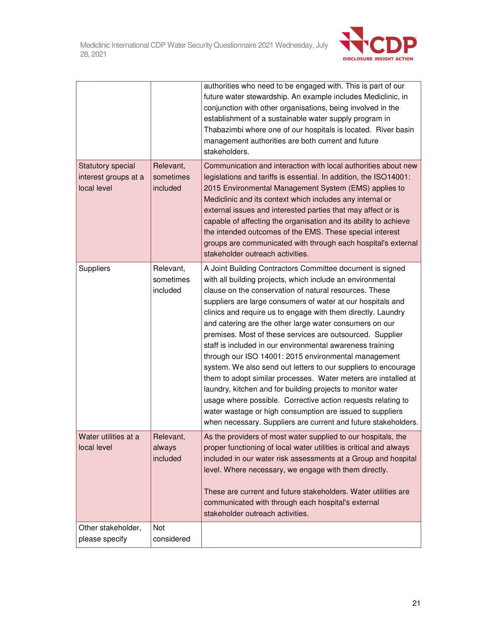

|                                                                 |                                    | authorities who need to be engaged with. This is part of our<br>future water stewardship. An example includes Mediclinic, in<br>conjunction with other organisations, being involved in the<br>establishment of a sustainable water supply program in<br>Thabazimbi where one of our hospitals is located. River basin<br>management authorities are both current and future<br>stakeholders.                                                                                                                                                                                                                                                                                                                                                                                                                                                                                                                                                                   |
|-----------------------------------------------------------------|------------------------------------|-----------------------------------------------------------------------------------------------------------------------------------------------------------------------------------------------------------------------------------------------------------------------------------------------------------------------------------------------------------------------------------------------------------------------------------------------------------------------------------------------------------------------------------------------------------------------------------------------------------------------------------------------------------------------------------------------------------------------------------------------------------------------------------------------------------------------------------------------------------------------------------------------------------------------------------------------------------------|
| <b>Statutory special</b><br>interest groups at a<br>local level | Relevant,<br>sometimes<br>included | Communication and interaction with local authorities about new<br>legislations and tariffs is essential. In addition, the ISO14001:<br>2015 Environmental Management System (EMS) applies to<br>Mediclinic and its context which includes any internal or<br>external issues and interested parties that may affect or is<br>capable of affecting the organisation and its ability to achieve<br>the intended outcomes of the EMS. These special interest<br>groups are communicated with through each hospital's external<br>stakeholder outreach activities.                                                                                                                                                                                                                                                                                                                                                                                                  |
| Suppliers                                                       | Relevant,<br>sometimes<br>included | A Joint Building Contractors Committee document is signed<br>with all building projects, which include an environmental<br>clause on the conservation of natural resources. These<br>suppliers are large consumers of water at our hospitals and<br>clinics and require us to engage with them directly. Laundry<br>and catering are the other large water consumers on our<br>premises. Most of these services are outsourced. Supplier<br>staff is included in our environmental awareness training<br>through our ISO 14001: 2015 environmental management<br>system. We also send out letters to our suppliers to encourage<br>them to adopt similar processes. Water meters are installed at<br>laundry, kitchen and for building projects to monitor water<br>usage where possible. Corrective action requests relating to<br>water wastage or high consumption are issued to suppliers<br>when necessary. Suppliers are current and future stakeholders. |
| Water utilities at a<br>local level                             | Relevant,<br>always<br>included    | As the providers of most water supplied to our hospitals, the<br>proper functioning of local water utilities is critical and always<br>included in our water risk assessments at a Group and hospital<br>level. Where necessary, we engage with them directly.<br>These are current and future stakeholders. Water utilities are<br>communicated with through each hospital's external<br>stakeholder outreach activities.                                                                                                                                                                                                                                                                                                                                                                                                                                                                                                                                      |
| Other stakeholder,<br>please specify                            | <b>Not</b><br>considered           |                                                                                                                                                                                                                                                                                                                                                                                                                                                                                                                                                                                                                                                                                                                                                                                                                                                                                                                                                                 |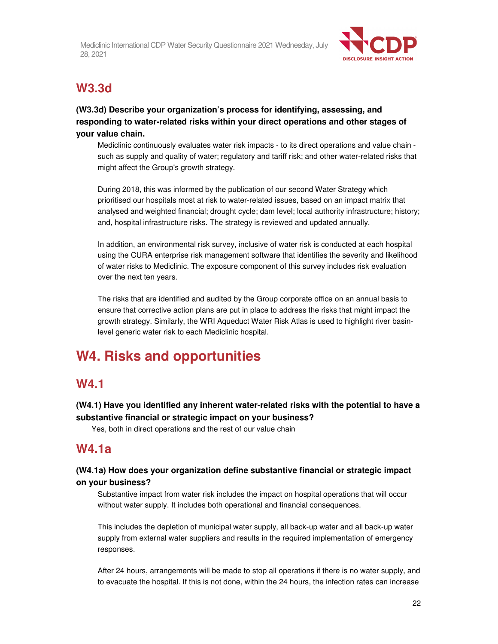

# **W3.3d**

# **(W3.3d) Describe your organization's process for identifying, assessing, and responding to water-related risks within your direct operations and other stages of your value chain.**

Mediclinic continuously evaluates water risk impacts - to its direct operations and value chain such as supply and quality of water; regulatory and tariff risk; and other water-related risks that might affect the Group's growth strategy.

During 2018, this was informed by the publication of our second Water Strategy which prioritised our hospitals most at risk to water-related issues, based on an impact matrix that analysed and weighted financial; drought cycle; dam level; local authority infrastructure; history; and, hospital infrastructure risks. The strategy is reviewed and updated annually.

In addition, an environmental risk survey, inclusive of water risk is conducted at each hospital using the CURA enterprise risk management software that identifies the severity and likelihood of water risks to Mediclinic. The exposure component of this survey includes risk evaluation over the next ten years.

The risks that are identified and audited by the Group corporate office on an annual basis to ensure that corrective action plans are put in place to address the risks that might impact the growth strategy. Similarly, the WRI Aqueduct Water Risk Atlas is used to highlight river basinlevel generic water risk to each Mediclinic hospital.

# **W4. Risks and opportunities**

# **W4.1**

# **(W4.1) Have you identified any inherent water-related risks with the potential to have a substantive financial or strategic impact on your business?**

Yes, both in direct operations and the rest of our value chain

# **W4.1a**

# **(W4.1a) How does your organization define substantive financial or strategic impact on your business?**

Substantive impact from water risk includes the impact on hospital operations that will occur without water supply. It includes both operational and financial consequences.

This includes the depletion of municipal water supply, all back-up water and all back-up water supply from external water suppliers and results in the required implementation of emergency responses.

After 24 hours, arrangements will be made to stop all operations if there is no water supply, and to evacuate the hospital. If this is not done, within the 24 hours, the infection rates can increase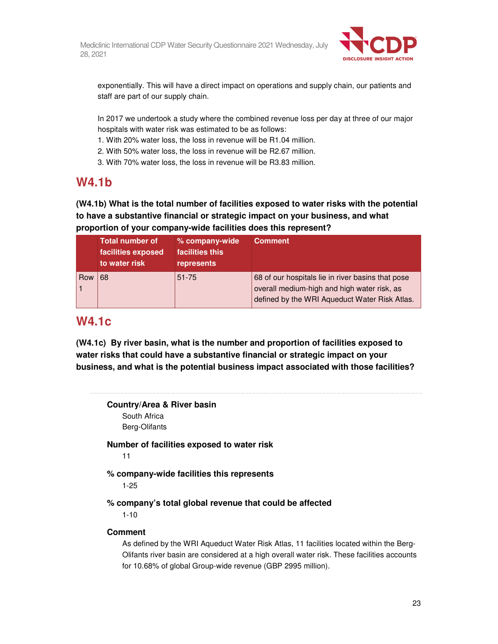

exponentially. This will have a direct impact on operations and supply chain, our patients and staff are part of our supply chain.

In 2017 we undertook a study where the combined revenue loss per day at three of our major hospitals with water risk was estimated to be as follows:

- 1. With 20% water loss, the loss in revenue will be R1.04 million.
- 2. With 50% water loss, the loss in revenue will be R2.67 million.
- 3. With 70% water loss, the loss in revenue will be R3.83 million.

# **W4.1b**

**(W4.1b) What is the total number of facilities exposed to water risks with the potential to have a substantive financial or strategic impact on your business, and what proportion of your company-wide facilities does this represent?** 

|            | <b>Total number of</b><br>facilities exposed<br>to water risk | % company-wide<br>facilities this<br>represents | <b>Comment</b>                                                                                                                                    |
|------------|---------------------------------------------------------------|-------------------------------------------------|---------------------------------------------------------------------------------------------------------------------------------------------------|
| <b>Row</b> | 68                                                            | $51 - 75$                                       | 68 of our hospitals lie in river basins that pose<br>overall medium-high and high water risk, as<br>defined by the WRI Aqueduct Water Risk Atlas. |

# **W4.1c**

**(W4.1c) By river basin, what is the number and proportion of facilities exposed to water risks that could have a substantive financial or strategic impact on your business, and what is the potential business impact associated with those facilities?** 

# **Country/Area & River basin**

South Africa Berg-Olifants

**Number of facilities exposed to water risk**  11

**% company-wide facilities this represents** 

1-25

**% company's total global revenue that could be affected** 

1-10

# **Comment**

As defined by the WRI Aqueduct Water Risk Atlas, 11 facilities located within the Berg-Olifants river basin are considered at a high overall water risk. These facilities accounts for 10.68% of global Group-wide revenue (GBP 2995 million).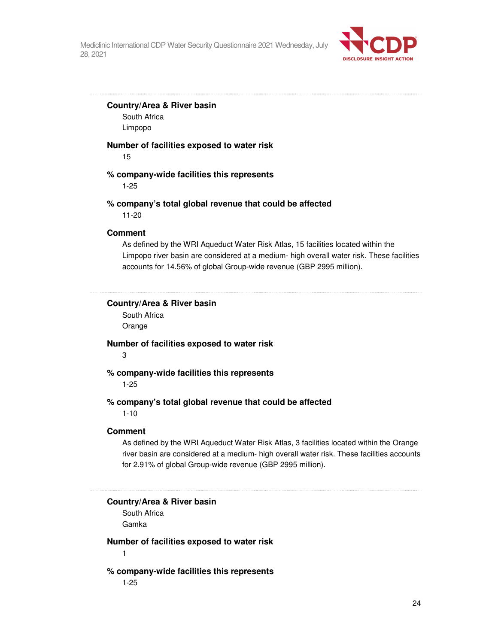

#### **Country/Area & River basin**

South Africa Limpopo

#### **Number of facilities exposed to water risk**

15

## **% company-wide facilities this represents**

1-25

#### **% company's total global revenue that could be affected**

11-20

# **Comment**

As defined by the WRI Aqueduct Water Risk Atlas, 15 facilities located within the Limpopo river basin are considered at a medium- high overall water risk. These facilities accounts for 14.56% of global Group-wide revenue (GBP 2995 million).

# **Country/Area & River basin**

South Africa Orange

#### **Number of facilities exposed to water risk**

3

# **% company-wide facilities this represents**

1-25

### **% company's total global revenue that could be affected**

1-10

#### **Comment**

As defined by the WRI Aqueduct Water Risk Atlas, 3 facilities located within the Orange river basin are considered at a medium- high overall water risk. These facilities accounts for 2.91% of global Group-wide revenue (GBP 2995 million).

#### **Country/Area & River basin**

South Africa Gamka

# **Number of facilities exposed to water risk**

1

#### **% company-wide facilities this represents**

1-25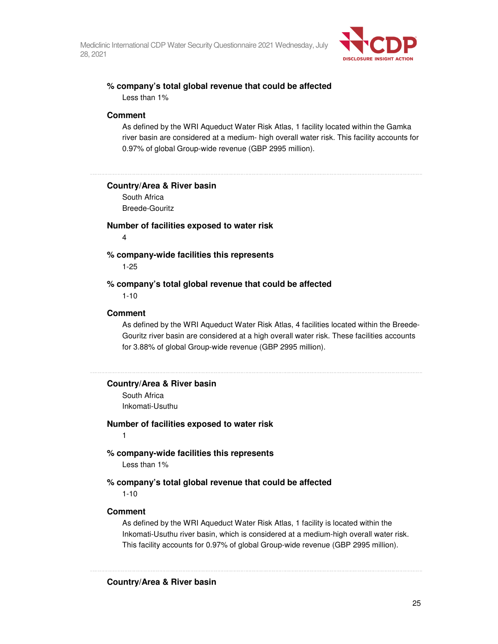

# **% company's total global revenue that could be affected**

Less than 1%

### **Comment**

As defined by the WRI Aqueduct Water Risk Atlas, 1 facility located within the Gamka river basin are considered at a medium- high overall water risk. This facility accounts for 0.97% of global Group-wide revenue (GBP 2995 million).

#### **Country/Area & River basin**

South Africa Breede-Gouritz

## **Number of facilities exposed to water risk**

4

#### **% company-wide facilities this represents**

1-25

#### **% company's total global revenue that could be affected**  1-10

# **Comment**

As defined by the WRI Aqueduct Water Risk Atlas, 4 facilities located within the Breede-Gouritz river basin are considered at a high overall water risk. These facilities accounts for 3.88% of global Group-wide revenue (GBP 2995 million).

#### 

#### **Country/Area & River basin**

South Africa Inkomati-Usuthu

#### **Number of facilities exposed to water risk**

1

## **% company-wide facilities this represents**

Less than 1%

# **% company's total global revenue that could be affected**

1-10

### **Comment**

As defined by the WRI Aqueduct Water Risk Atlas, 1 facility is located within the Inkomati-Usuthu river basin, which is considered at a medium-high overall water risk. This facility accounts for 0.97% of global Group-wide revenue (GBP 2995 million).

### **Country/Area & River basin**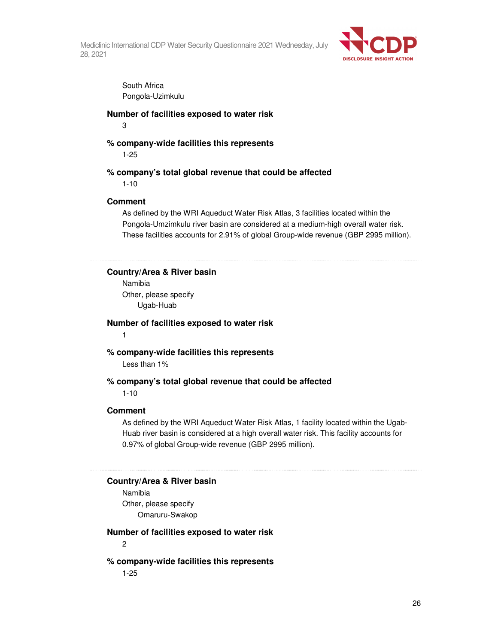

South Africa Pongola-Uzimkulu

# **Number of facilities exposed to water risk**

3

# **% company-wide facilities this represents**

1-25

# **% company's total global revenue that could be affected**

1-10

# **Comment**

As defined by the WRI Aqueduct Water Risk Atlas, 3 facilities located within the Pongola-Umzimkulu river basin are considered at a medium-high overall water risk. These facilities accounts for 2.91% of global Group-wide revenue (GBP 2995 million).

**Country/Area & River basin** 

Namibia Other, please specify Ugab-Huab

**Number of facilities exposed to water risk**  1

**% company-wide facilities this represents**  Less than 1%

# **% company's total global revenue that could be affected**

1-10

## **Comment**

As defined by the WRI Aqueduct Water Risk Atlas, 1 facility located within the Ugab-Huab river basin is considered at a high overall water risk. This facility accounts for 0.97% of global Group-wide revenue (GBP 2995 million).

**Country/Area & River basin** 

Namibia Other, please specify Omaruru-Swakop

## **Number of facilities exposed to water risk**

2

# **% company-wide facilities this represents**

1-25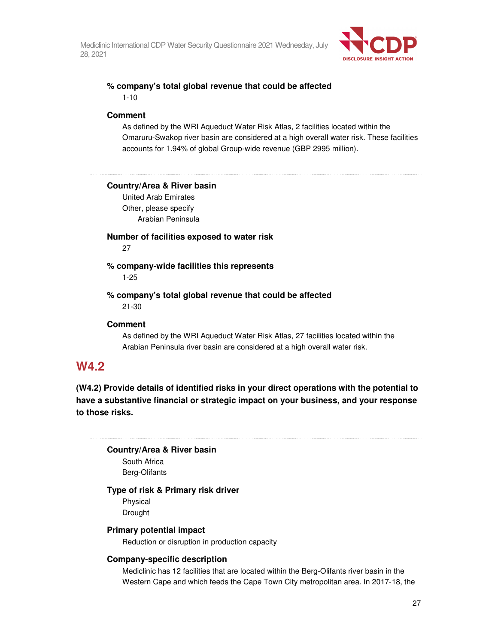

# **% company's total global revenue that could be affected**  1-10

### **Comment**

As defined by the WRI Aqueduct Water Risk Atlas, 2 facilities located within the Omaruru-Swakop river basin are considered at a high overall water risk. These facilities accounts for 1.94% of global Group-wide revenue (GBP 2995 million).

#### **Country/Area & River basin**

United Arab Emirates Other, please specify Arabian Peninsula

# **Number of facilities exposed to water risk**

27

**% company-wide facilities this represents**  1-25

**% company's total global revenue that could be affected**  21-30

#### **Comment**

As defined by the WRI Aqueduct Water Risk Atlas, 27 facilities located within the Arabian Peninsula river basin are considered at a high overall water risk.

# **W4.2**

**(W4.2) Provide details of identified risks in your direct operations with the potential to have a substantive financial or strategic impact on your business, and your response to those risks.** 

**Country/Area & River basin**  South Africa Berg-Olifants

# **Type of risk & Primary risk driver**

Physical Drought

## **Primary potential impact**

Reduction or disruption in production capacity

## **Company-specific description**

Mediclinic has 12 facilities that are located within the Berg-Olifants river basin in the Western Cape and which feeds the Cape Town City metropolitan area. In 2017-18, the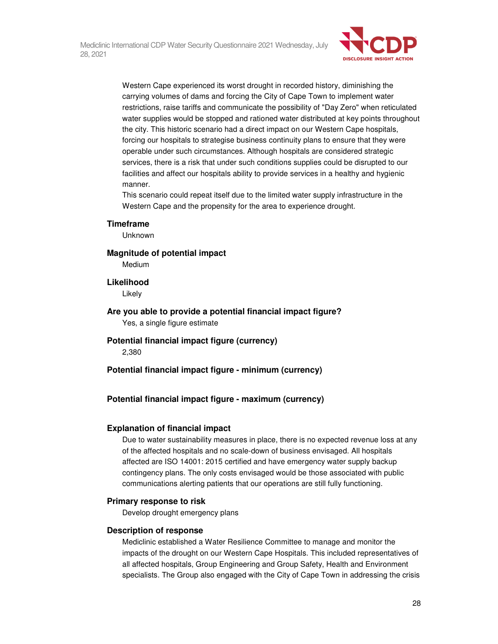

Western Cape experienced its worst drought in recorded history, diminishing the carrying volumes of dams and forcing the City of Cape Town to implement water restrictions, raise tariffs and communicate the possibility of "Day Zero" when reticulated water supplies would be stopped and rationed water distributed at key points throughout the city. This historic scenario had a direct impact on our Western Cape hospitals, forcing our hospitals to strategise business continuity plans to ensure that they were operable under such circumstances. Although hospitals are considered strategic services, there is a risk that under such conditions supplies could be disrupted to our facilities and affect our hospitals ability to provide services in a healthy and hygienic manner.

This scenario could repeat itself due to the limited water supply infrastructure in the Western Cape and the propensity for the area to experience drought.

#### **Timeframe**

Unknown

**Magnitude of potential impact** 

Medium

**Likelihood** 

Likely

**Are you able to provide a potential financial impact figure?**  Yes, a single figure estimate

**Potential financial impact figure (currency)**  2,380

**Potential financial impact figure - minimum (currency)** 

**Potential financial impact figure - maximum (currency)** 

#### **Explanation of financial impact**

Due to water sustainability measures in place, there is no expected revenue loss at any of the affected hospitals and no scale-down of business envisaged. All hospitals affected are ISO 14001: 2015 certified and have emergency water supply backup contingency plans. The only costs envisaged would be those associated with public communications alerting patients that our operations are still fully functioning.

#### **Primary response to risk**

Develop drought emergency plans

#### **Description of response**

Mediclinic established a Water Resilience Committee to manage and monitor the impacts of the drought on our Western Cape Hospitals. This included representatives of all affected hospitals, Group Engineering and Group Safety, Health and Environment specialists. The Group also engaged with the City of Cape Town in addressing the crisis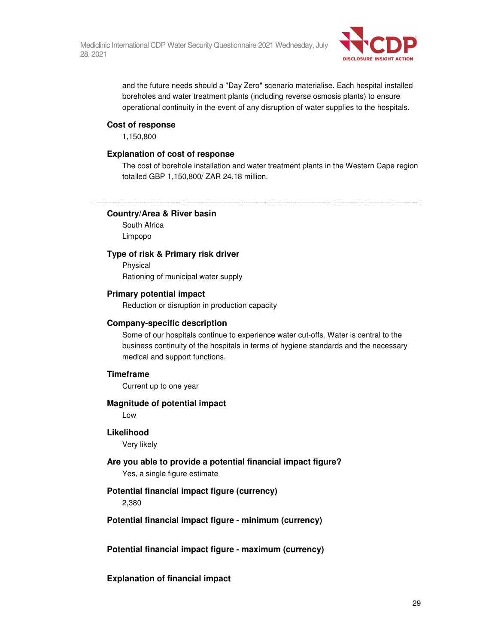

and the future needs should a "Day Zero" scenario materialise. Each hospital installed boreholes and water treatment plants (including reverse osmosis plants) to ensure operational continuity in the event of any disruption of water supplies to the hospitals.

## **Cost of response**

1,150,800

#### **Explanation of cost of response**

The cost of borehole installation and water treatment plants in the Western Cape region totalled GBP 1,150,800/ ZAR 24.18 million.

### **Country/Area & River basin**

South Africa Limpopo

## **Type of risk & Primary risk driver**

Physical Rationing of municipal water supply

# **Primary potential impact**

Reduction or disruption in production capacity

#### **Company-specific description**

Some of our hospitals continue to experience water cut-offs. Water is central to the business continuity of the hospitals in terms of hygiene standards and the necessary medical and support functions.

#### **Timeframe**

Current up to one year

#### **Magnitude of potential impact**

Low

#### **Likelihood**

Very likely

### **Are you able to provide a potential financial impact figure?**

Yes, a single figure estimate

## **Potential financial impact figure (currency)**

2,380

## **Potential financial impact figure - minimum (currency)**

## **Potential financial impact figure - maximum (currency)**

**Explanation of financial impact**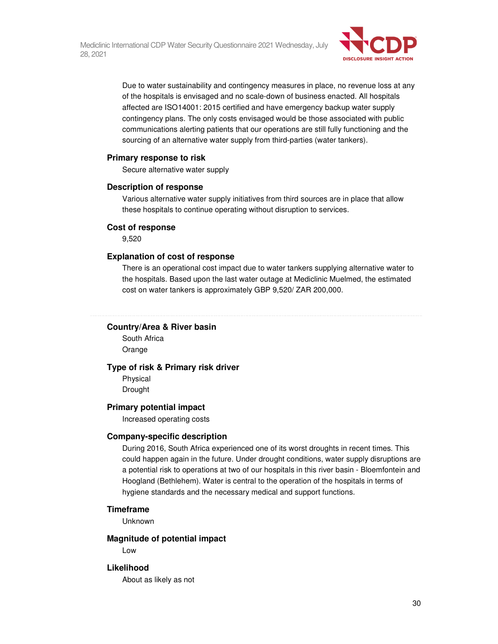

Due to water sustainability and contingency measures in place, no revenue loss at any of the hospitals is envisaged and no scale-down of business enacted. All hospitals affected are ISO14001: 2015 certified and have emergency backup water supply contingency plans. The only costs envisaged would be those associated with public communications alerting patients that our operations are still fully functioning and the sourcing of an alternative water supply from third-parties (water tankers).

## **Primary response to risk**

Secure alternative water supply

#### **Description of response**

Various alternative water supply initiatives from third sources are in place that allow these hospitals to continue operating without disruption to services.

#### **Cost of response**

9,520

#### **Explanation of cost of response**

There is an operational cost impact due to water tankers supplying alternative water to the hospitals. Based upon the last water outage at Mediclinic Muelmed, the estimated cost on water tankers is approximately GBP 9,520/ ZAR 200,000.

#### **Country/Area & River basin**

South Africa Orange

#### **Type of risk & Primary risk driver**

Physical Drought

#### **Primary potential impact**

Increased operating costs

#### **Company-specific description**

During 2016, South Africa experienced one of its worst droughts in recent times. This could happen again in the future. Under drought conditions, water supply disruptions are a potential risk to operations at two of our hospitals in this river basin - Bloemfontein and Hoogland (Bethlehem). Water is central to the operation of the hospitals in terms of hygiene standards and the necessary medical and support functions.

### **Timeframe**

Unknown

#### **Magnitude of potential impact**

Low

## **Likelihood**

About as likely as not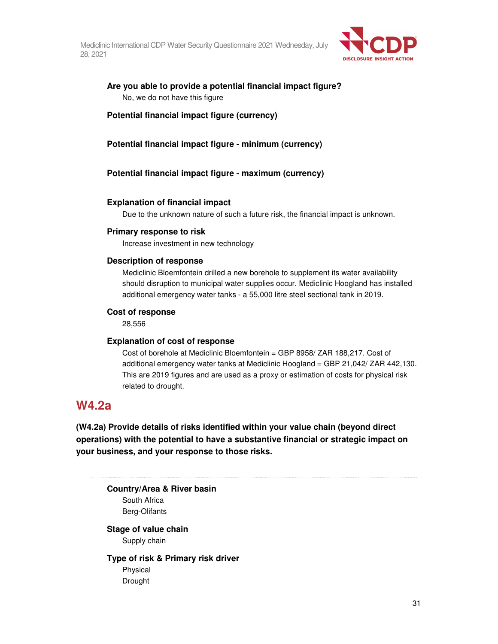

# **Are you able to provide a potential financial impact figure?**  No, we do not have this figure

**Potential financial impact figure (currency)** 

**Potential financial impact figure - minimum (currency)** 

**Potential financial impact figure - maximum (currency)** 

## **Explanation of financial impact**

Due to the unknown nature of such a future risk, the financial impact is unknown.

### **Primary response to risk**

Increase investment in new technology

## **Description of response**

Mediclinic Bloemfontein drilled a new borehole to supplement its water availability should disruption to municipal water supplies occur. Mediclinic Hoogland has installed additional emergency water tanks - a 55,000 litre steel sectional tank in 2019.

#### **Cost of response**

28,556

## **Explanation of cost of response**

Cost of borehole at Mediclinic Bloemfontein = GBP 8958/ ZAR 188,217. Cost of additional emergency water tanks at Mediclinic Hoogland = GBP 21,042/ ZAR 442,130. This are 2019 figures and are used as a proxy or estimation of costs for physical risk related to drought.

# **W4.2a**

**(W4.2a) Provide details of risks identified within your value chain (beyond direct operations) with the potential to have a substantive financial or strategic impact on your business, and your response to those risks.** 

**Country/Area & River basin**  South Africa Berg-Olifants

**Stage of value chain**  Supply chain

**Type of risk & Primary risk driver**  Physical Drought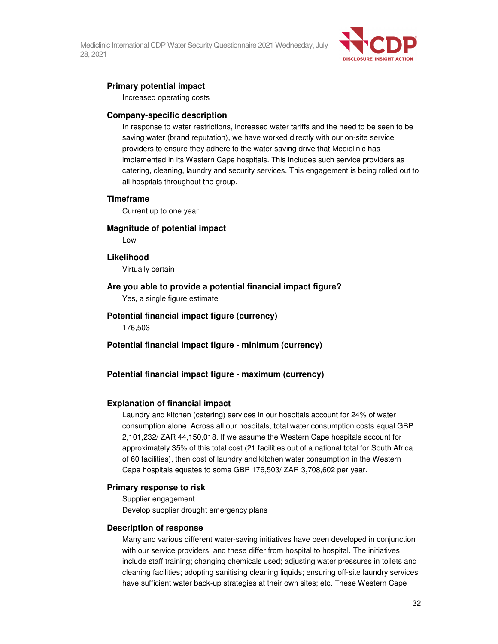

# **Primary potential impact**

Increased operating costs

#### **Company-specific description**

In response to water restrictions, increased water tariffs and the need to be seen to be saving water (brand reputation), we have worked directly with our on-site service providers to ensure they adhere to the water saving drive that Mediclinic has implemented in its Western Cape hospitals. This includes such service providers as catering, cleaning, laundry and security services. This engagement is being rolled out to all hospitals throughout the group.

#### **Timeframe**

Current up to one year

## **Magnitude of potential impact**

Low

### **Likelihood**

Virtually certain

## **Are you able to provide a potential financial impact figure?**

Yes, a single figure estimate

# **Potential financial impact figure (currency)**

176,503

**Potential financial impact figure - minimum (currency)** 

## **Potential financial impact figure - maximum (currency)**

#### **Explanation of financial impact**

Laundry and kitchen (catering) services in our hospitals account for 24% of water consumption alone. Across all our hospitals, total water consumption costs equal GBP 2,101,232/ ZAR 44,150,018. If we assume the Western Cape hospitals account for approximately 35% of this total cost (21 facilities out of a national total for South Africa of 60 facilities), then cost of laundry and kitchen water consumption in the Western Cape hospitals equates to some GBP 176,503/ ZAR 3,708,602 per year.

#### **Primary response to risk**

Supplier engagement Develop supplier drought emergency plans

#### **Description of response**

Many and various different water-saving initiatives have been developed in conjunction with our service providers, and these differ from hospital to hospital. The initiatives include staff training; changing chemicals used; adjusting water pressures in toilets and cleaning facilities; adopting sanitising cleaning liquids; ensuring off-site laundry services have sufficient water back-up strategies at their own sites; etc. These Western Cape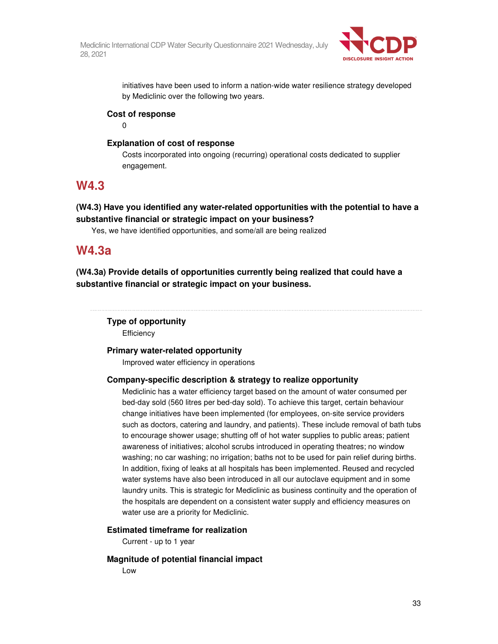

initiatives have been used to inform a nation-wide water resilience strategy developed by Mediclinic over the following two years.

# **Cost of response**

 $\Omega$ 

# **Explanation of cost of response**

Costs incorporated into ongoing (recurring) operational costs dedicated to supplier engagement.

# **W4.3**

# **(W4.3) Have you identified any water-related opportunities with the potential to have a substantive financial or strategic impact on your business?**

Yes, we have identified opportunities, and some/all are being realized

# **W4.3a**

**(W4.3a) Provide details of opportunities currently being realized that could have a substantive financial or strategic impact on your business.** 

# **Type of opportunity**

**Efficiency** 

# **Primary water-related opportunity**

Improved water efficiency in operations

# **Company-specific description & strategy to realize opportunity**

Mediclinic has a water efficiency target based on the amount of water consumed per bed-day sold (560 litres per bed-day sold). To achieve this target, certain behaviour change initiatives have been implemented (for employees, on-site service providers such as doctors, catering and laundry, and patients). These include removal of bath tubs to encourage shower usage; shutting off of hot water supplies to public areas; patient awareness of initiatives; alcohol scrubs introduced in operating theatres; no window washing; no car washing; no irrigation; baths not to be used for pain relief during births. In addition, fixing of leaks at all hospitals has been implemented. Reused and recycled water systems have also been introduced in all our autoclave equipment and in some laundry units. This is strategic for Mediclinic as business continuity and the operation of the hospitals are dependent on a consistent water supply and efficiency measures on water use are a priority for Mediclinic.

# **Estimated timeframe for realization**

Current - up to 1 year

# **Magnitude of potential financial impact**

Low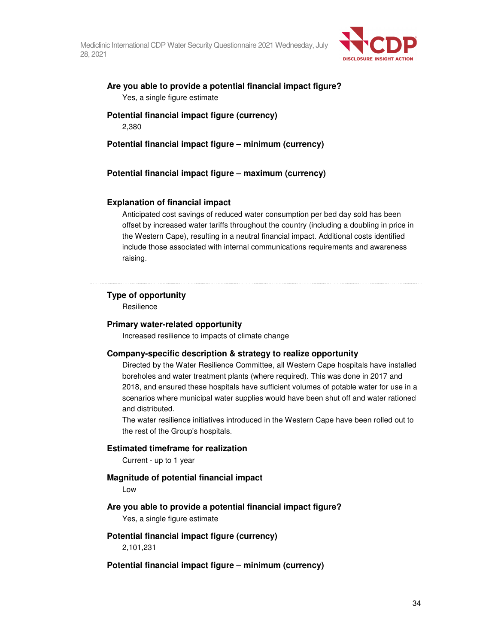

# **Are you able to provide a potential financial impact figure?**  Yes, a single figure estimate

# **Potential financial impact figure (currency)**  2,380

# **Potential financial impact figure – minimum (currency)**

**Potential financial impact figure – maximum (currency)** 

## **Explanation of financial impact**

Anticipated cost savings of reduced water consumption per bed day sold has been offset by increased water tariffs throughout the country (including a doubling in price in the Western Cape), resulting in a neutral financial impact. Additional costs identified include those associated with internal communications requirements and awareness raising.

#### **Type of opportunity**

**Resilience** 

#### **Primary water-related opportunity**

Increased resilience to impacts of climate change

## **Company-specific description & strategy to realize opportunity**

Directed by the Water Resilience Committee, all Western Cape hospitals have installed boreholes and water treatment plants (where required). This was done in 2017 and 2018, and ensured these hospitals have sufficient volumes of potable water for use in a scenarios where municipal water supplies would have been shut off and water rationed and distributed.

The water resilience initiatives introduced in the Western Cape have been rolled out to the rest of the Group's hospitals.

#### **Estimated timeframe for realization**

Current - up to 1 year

# **Magnitude of potential financial impact**

Low

## **Are you able to provide a potential financial impact figure?**

Yes, a single figure estimate

#### **Potential financial impact figure (currency)**

2,101,231

#### **Potential financial impact figure – minimum (currency)**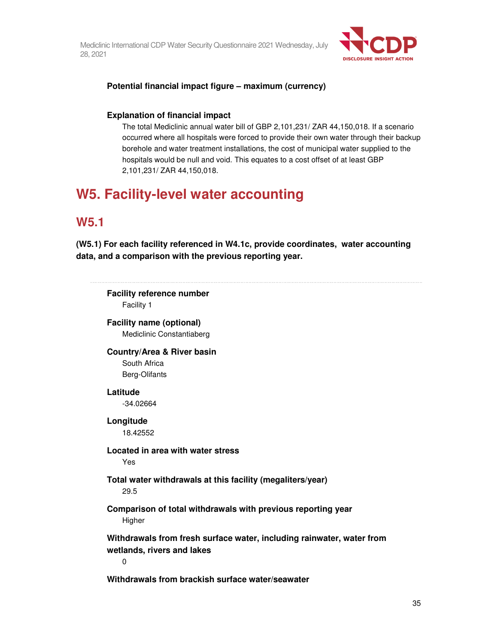

# **Potential financial impact figure – maximum (currency)**

# **Explanation of financial impact**

The total Mediclinic annual water bill of GBP 2,101,231/ ZAR 44,150,018. If a scenario occurred where all hospitals were forced to provide their own water through their backup borehole and water treatment installations, the cost of municipal water supplied to the hospitals would be null and void. This equates to a cost offset of at least GBP 2,101,231/ ZAR 44,150,018.

# **W5. Facility-level water accounting**

# **W5.1**

**(W5.1) For each facility referenced in W4.1c, provide coordinates, water accounting data, and a comparison with the previous reporting year.** 

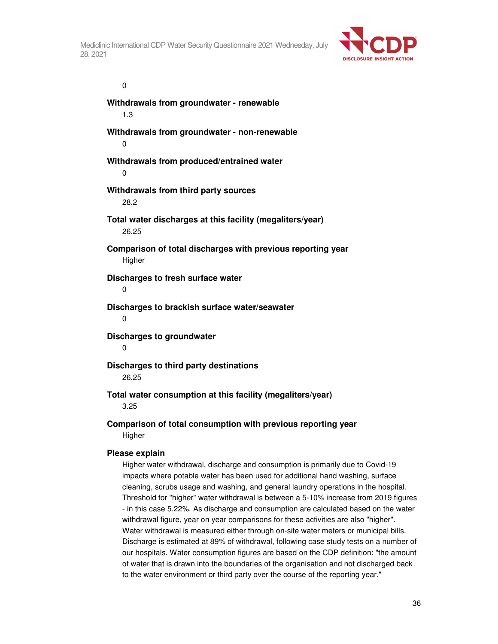

### $\overline{0}$

**Withdrawals from groundwater - renewable**  1.3 **Withdrawals from groundwater - non-renewable**  0 **Withdrawals from produced/entrained water**   $\Omega$ **Withdrawals from third party sources**  28.2 **Total water discharges at this facility (megaliters/year)**  26.25 **Comparison of total discharges with previous reporting year Higher Discharges to fresh surface water**   $\Omega$ **Discharges to brackish surface water/seawater**  0 **Discharges to groundwater**  0 **Discharges to third party destinations**  26.25

# **Total water consumption at this facility (megaliters/year)**  3.25

**Comparison of total consumption with previous reporting year Higher** 

## **Please explain**

Higher water withdrawal, discharge and consumption is primarily due to Covid-19 impacts where potable water has been used for additional hand washing, surface cleaning, scrubs usage and washing, and general laundry operations in the hospital. Threshold for "higher" water withdrawal is between a 5-10% increase from 2019 figures - in this case 5.22%. As discharge and consumption are calculated based on the water withdrawal figure, year on year comparisons for these activities are also "higher". Water withdrawal is measured either through on-site water meters or municipal bills. Discharge is estimated at 89% of withdrawal, following case study tests on a number of our hospitals. Water consumption figures are based on the CDP definition: "the amount of water that is drawn into the boundaries of the organisation and not discharged back to the water environment or third party over the course of the reporting year."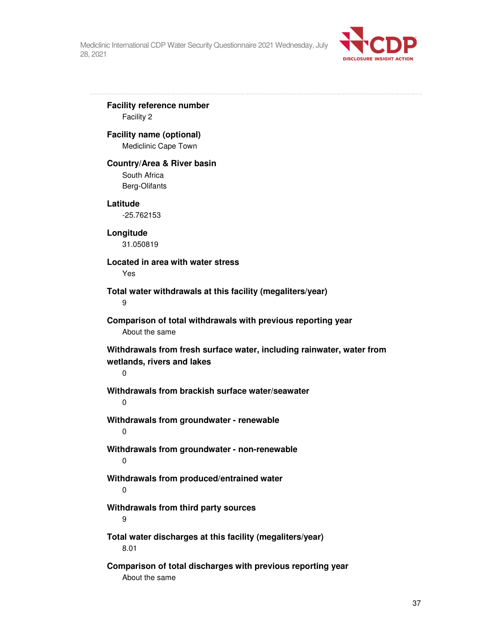

**Facility reference number** 

Facility 2

## **Facility name (optional)**

Mediclinic Cape Town

#### **Country/Area & River basin**

South Africa Berg-Olifants

#### **Latitude**

-25.762153

## **Longitude**

31.050819

## **Located in area with water stress**

Yes

## **Total water withdrawals at this facility (megaliters/year)**

9

## **Comparison of total withdrawals with previous reporting year**  About the same

**Withdrawals from fresh surface water, including rainwater, water from wetlands, rivers and lakes** 

## 0

**Withdrawals from brackish surface water/seawater** 

 $\Omega$ 

**Withdrawals from groundwater - renewable**  0

**Withdrawals from groundwater - non-renewable**  0

# **Withdrawals from produced/entrained water**

0

## **Withdrawals from third party sources**

9

**Total water discharges at this facility (megaliters/year)**  8.01

**Comparison of total discharges with previous reporting year**  About the same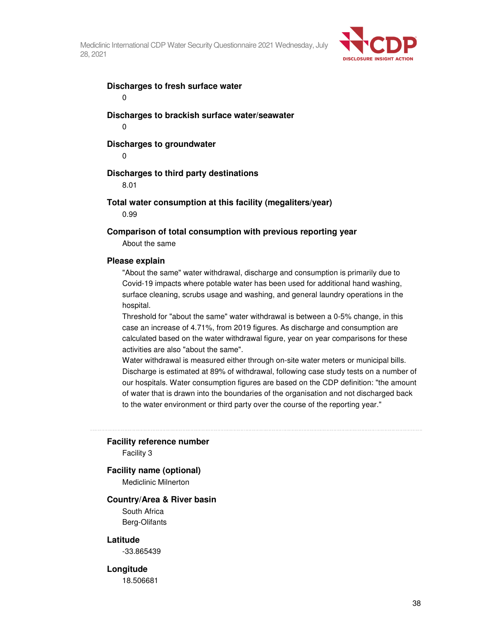

## **Discharges to fresh surface water**

0

**Discharges to brackish surface water/seawater**  0

### **Discharges to groundwater**

 $\Omega$ 

#### **Discharges to third party destinations**

8.01

#### **Total water consumption at this facility (megaliters/year)**

0.99

#### **Comparison of total consumption with previous reporting year**

About the same

#### **Please explain**

"About the same" water withdrawal, discharge and consumption is primarily due to Covid-19 impacts where potable water has been used for additional hand washing, surface cleaning, scrubs usage and washing, and general laundry operations in the hospital.

Threshold for "about the same" water withdrawal is between a 0-5% change, in this case an increase of 4.71%, from 2019 figures. As discharge and consumption are calculated based on the water withdrawal figure, year on year comparisons for these activities are also "about the same".

Water withdrawal is measured either through on-site water meters or municipal bills. Discharge is estimated at 89% of withdrawal, following case study tests on a number of our hospitals. Water consumption figures are based on the CDP definition: "the amount of water that is drawn into the boundaries of the organisation and not discharged back to the water environment or third party over the course of the reporting year."

#### **Facility reference number**

Facility 3

#### **Facility name (optional)**

Mediclinic Milnerton

#### **Country/Area & River basin**

South Africa Berg-Olifants

#### **Latitude**

-33.865439

#### **Longitude**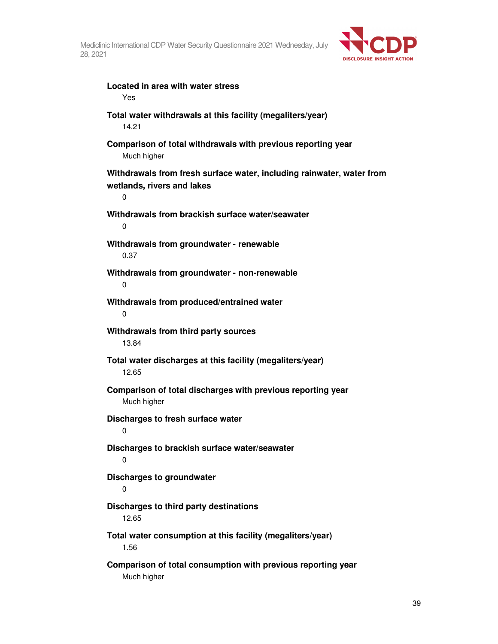

| Located in area with water stress<br>Yes                                                                           |
|--------------------------------------------------------------------------------------------------------------------|
| Total water withdrawals at this facility (megaliters/year)<br>14.21                                                |
| Comparison of total withdrawals with previous reporting year<br>Much higher                                        |
| Withdrawals from fresh surface water, including rainwater, water from<br>wetlands, rivers and lakes<br>$\mathbf 0$ |
| Withdrawals from brackish surface water/seawater<br>0                                                              |
| Withdrawals from groundwater - renewable<br>0.37                                                                   |
| Withdrawals from groundwater - non-renewable<br>0                                                                  |
| Withdrawals from produced/entrained water<br>0                                                                     |
| Withdrawals from third party sources<br>13.84                                                                      |
| Total water discharges at this facility (megaliters/year)<br>12.65                                                 |
| Comparison of total discharges with previous reporting year<br>Much higher                                         |
| Discharges to fresh surface water<br>0                                                                             |
| Discharges to brackish surface water/seawater<br>0                                                                 |
| <b>Discharges to groundwater</b><br>0                                                                              |
| Discharges to third party destinations<br>12.65                                                                    |
| Total water consumption at this facility (megaliters/year)<br>1.56                                                 |
| Comparison of total consumption with previous reporting year<br>Much higher                                        |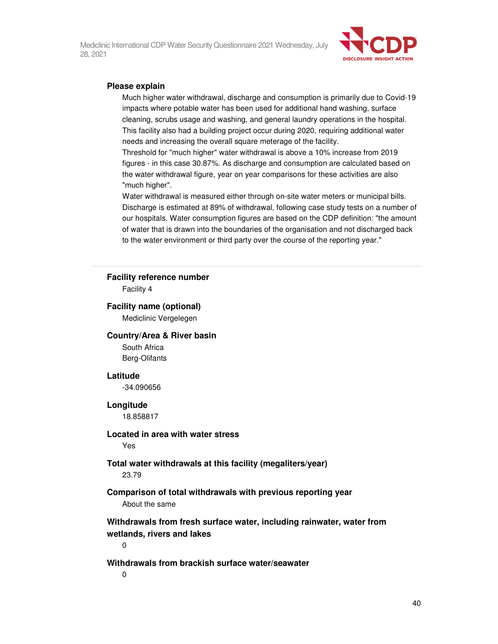

## **Please explain**

Much higher water withdrawal, discharge and consumption is primarily due to Covid-19 impacts where potable water has been used for additional hand washing, surface cleaning, scrubs usage and washing, and general laundry operations in the hospital. This facility also had a building project occur during 2020, requiring additional water needs and increasing the overall square meterage of the facility.

Threshold for "much higher" water withdrawal is above a 10% increase from 2019 figures - in this case 30.87%. As discharge and consumption are calculated based on the water withdrawal figure, year on year comparisons for these activities are also "much higher".

Water withdrawal is measured either through on-site water meters or municipal bills. Discharge is estimated at 89% of withdrawal, following case study tests on a number of our hospitals. Water consumption figures are based on the CDP definition: "the amount of water that is drawn into the boundaries of the organisation and not discharged back to the water environment or third party over the course of the reporting year."

## **Facility reference number**

Facility 4

#### **Facility name (optional)**

Mediclinic Vergelegen

## **Country/Area & River basin**

South Africa Berg-Olifants

#### **Latitude**

-34.090656

#### **Longitude**

18.858817

## **Located in area with water stress**

Yes

#### **Total water withdrawals at this facility (megaliters/year)**  23.79

## **Comparison of total withdrawals with previous reporting year**  About the same

**Withdrawals from fresh surface water, including rainwater, water from wetlands, rivers and lakes** 

0

## **Withdrawals from brackish surface water/seawater**

0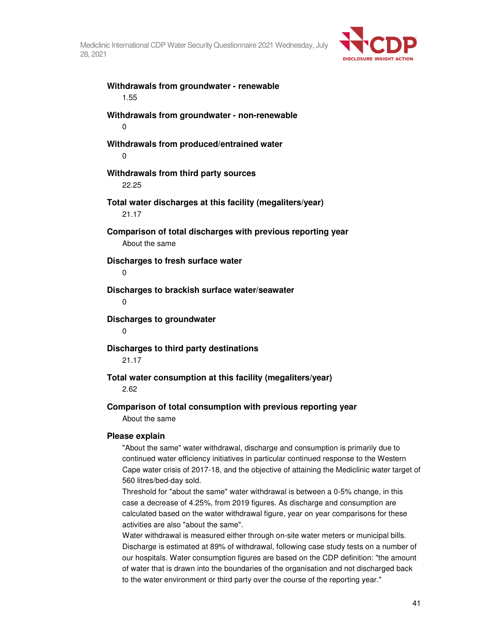

**Withdrawals from groundwater - renewable**  1.55

**Withdrawals from groundwater - non-renewable**  0

**Withdrawals from produced/entrained water**   $\Omega$ 

**Withdrawals from third party sources**  22.25

**Total water discharges at this facility (megaliters/year)** 

21.17

**Comparison of total discharges with previous reporting year**  About the same

**Discharges to fresh surface water** 

0

**Discharges to brackish surface water/seawater**   $\Omega$ 

**Discharges to groundwater** 

 $\Omega$ 

**Discharges to third party destinations** 

21.17

**Total water consumption at this facility (megaliters/year)** 

2.62

## **Comparison of total consumption with previous reporting year**

About the same

## **Please explain**

"About the same" water withdrawal, discharge and consumption is primarily due to continued water efficiency initiatives in particular continued response to the Western Cape water crisis of 2017-18, and the objective of attaining the Mediclinic water target of 560 litres/bed-day sold.

Threshold for "about the same" water withdrawal is between a 0-5% change, in this case a decrease of 4.25%, from 2019 figures. As discharge and consumption are calculated based on the water withdrawal figure, year on year comparisons for these activities are also "about the same".

Water withdrawal is measured either through on-site water meters or municipal bills. Discharge is estimated at 89% of withdrawal, following case study tests on a number of our hospitals. Water consumption figures are based on the CDP definition: "the amount of water that is drawn into the boundaries of the organisation and not discharged back to the water environment or third party over the course of the reporting year."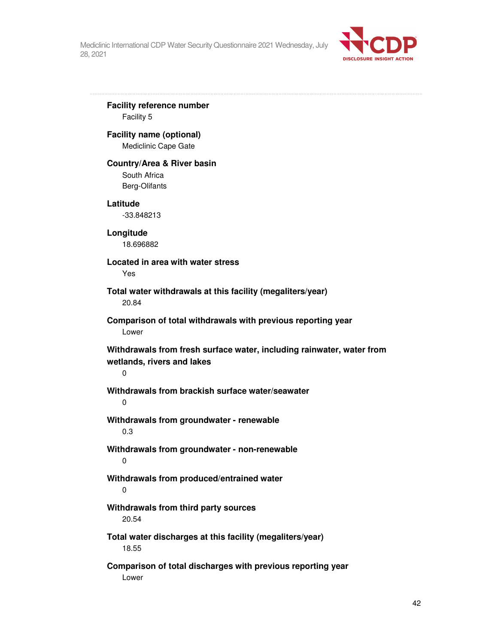

**Facility reference number**  Facility 5 **Facility name (optional)**  Mediclinic Cape Gate **Country/Area & River basin**  South Africa Berg-Olifants **Latitude**  -33.848213 **Longitude**  18.696882 **Located in area with water stress**  Yes **Total water withdrawals at this facility (megaliters/year)**  20.84 **Comparison of total withdrawals with previous reporting year**  Lower **Withdrawals from fresh surface water, including rainwater, water from wetlands, rivers and lakes**  0 **Withdrawals from brackish surface water/seawater**   $\Omega$ **Withdrawals from groundwater - renewable**  0.3 **Withdrawals from groundwater - non-renewable**  0 **Withdrawals from produced/entrained water**  0 **Withdrawals from third party sources**  20.54 **Total water discharges at this facility (megaliters/year)**  18.55 **Comparison of total discharges with previous reporting year**  Lower

42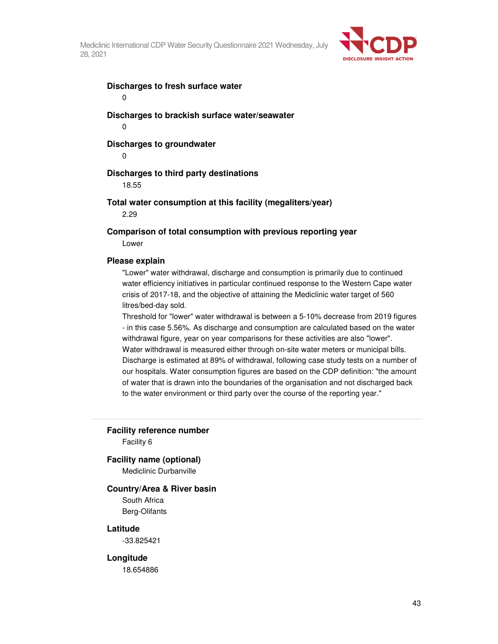

## **Discharges to fresh surface water**

0

**Discharges to brackish surface water/seawater**  0

## **Discharges to groundwater**

 $\Omega$ 

## **Discharges to third party destinations**

18.55

#### **Total water consumption at this facility (megaliters/year)**

2.29

**Comparison of total consumption with previous reporting year**  Lower

#### **Please explain**

"Lower" water withdrawal, discharge and consumption is primarily due to continued water efficiency initiatives in particular continued response to the Western Cape water crisis of 2017-18, and the objective of attaining the Mediclinic water target of 560 litres/bed-day sold.

Threshold for "lower" water withdrawal is between a 5-10% decrease from 2019 figures - in this case 5.56%. As discharge and consumption are calculated based on the water withdrawal figure, year on year comparisons for these activities are also "lower". Water withdrawal is measured either through on-site water meters or municipal bills. Discharge is estimated at 89% of withdrawal, following case study tests on a number of our hospitals. Water consumption figures are based on the CDP definition: "the amount of water that is drawn into the boundaries of the organisation and not discharged back to the water environment or third party over the course of the reporting year."

## **Facility reference number**

Facility 6

#### **Facility name (optional)**

Mediclinic Durbanville

#### **Country/Area & River basin**

South Africa Berg-Olifants

## **Latitude**

-33.825421

#### **Longitude**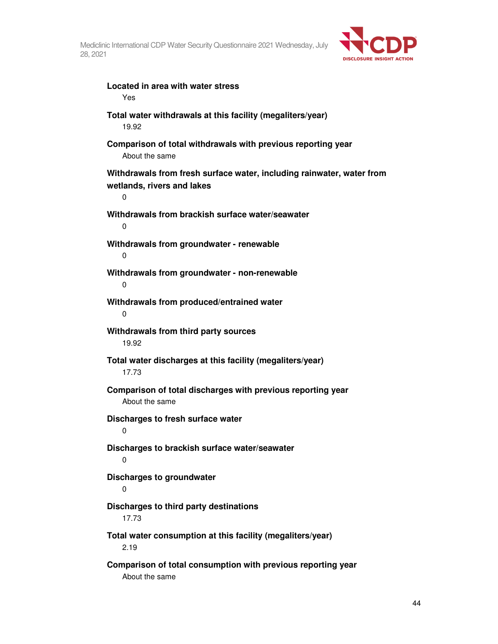

| Located in area with water stress<br>Yes                                                                 |
|----------------------------------------------------------------------------------------------------------|
| Total water withdrawals at this facility (megaliters/year)<br>19.92                                      |
| Comparison of total withdrawals with previous reporting year<br>About the same                           |
| Withdrawals from fresh surface water, including rainwater, water from<br>wetlands, rivers and lakes<br>0 |
| Withdrawals from brackish surface water/seawater<br>0                                                    |
| Withdrawals from groundwater - renewable<br>0                                                            |
| Withdrawals from groundwater - non-renewable<br>0                                                        |
| Withdrawals from produced/entrained water<br>0                                                           |
| Withdrawals from third party sources<br>19.92                                                            |
| Total water discharges at this facility (megaliters/year)<br>17.73                                       |
| Comparison of total discharges with previous reporting year<br>About the same                            |
| Discharges to fresh surface water<br>0                                                                   |
| Discharges to brackish surface water/seawater<br>0                                                       |
| Discharges to groundwater<br>0                                                                           |
| Discharges to third party destinations<br>17.73                                                          |
| Total water consumption at this facility (megaliters/year)<br>2.19                                       |
| Comparison of total consumption with previous reporting year<br>About the same                           |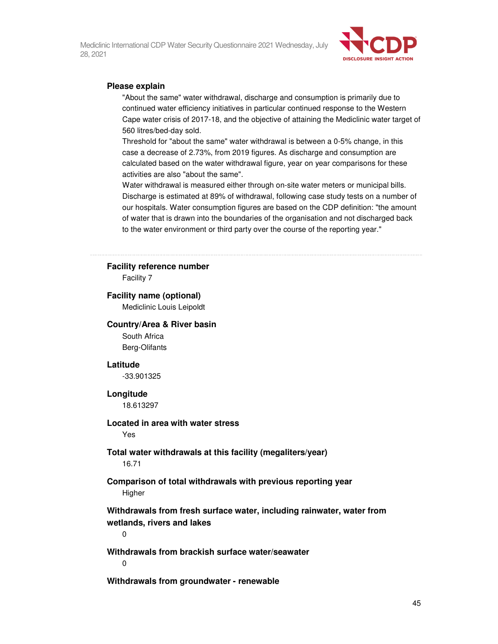

### **Please explain**

"About the same" water withdrawal, discharge and consumption is primarily due to continued water efficiency initiatives in particular continued response to the Western Cape water crisis of 2017-18, and the objective of attaining the Mediclinic water target of 560 litres/bed-day sold.

Threshold for "about the same" water withdrawal is between a 0-5% change, in this case a decrease of 2.73%, from 2019 figures. As discharge and consumption are calculated based on the water withdrawal figure, year on year comparisons for these activities are also "about the same".

Water withdrawal is measured either through on-site water meters or municipal bills. Discharge is estimated at 89% of withdrawal, following case study tests on a number of our hospitals. Water consumption figures are based on the CDP definition: "the amount of water that is drawn into the boundaries of the organisation and not discharged back to the water environment or third party over the course of the reporting year."

#### **Facility reference number**

Facility 7

#### **Facility name (optional)**

Mediclinic Louis Leipoldt

#### **Country/Area & River basin**

South Africa Berg-Olifants

#### **Latitude**

-33.901325

#### **Longitude**

18.613297

## **Located in area with water stress**

Yes

#### **Total water withdrawals at this facility (megaliters/year)**  16.71

## **Comparison of total withdrawals with previous reporting year Higher**

**Withdrawals from fresh surface water, including rainwater, water from wetlands, rivers and lakes** 

0

**Withdrawals from brackish surface water/seawater** 

 $\Omega$ 

**Withdrawals from groundwater - renewable**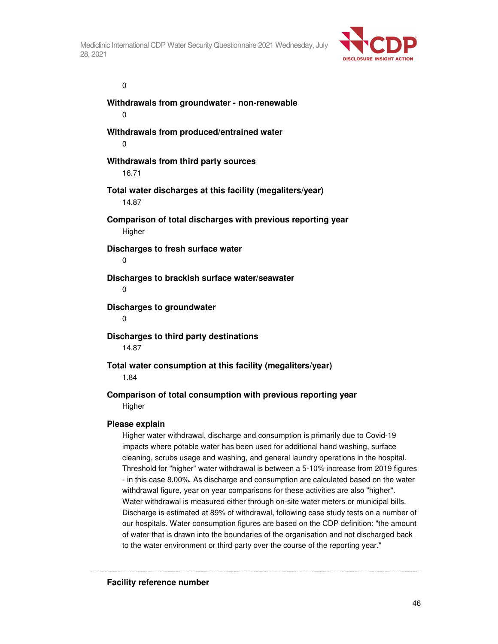

 $\overline{0}$ 

**Withdrawals from groundwater - non-renewable**  0 **Withdrawals from produced/entrained water**  0 **Withdrawals from third party sources**  16.71 **Total water discharges at this facility (megaliters/year)**  14.87 **Comparison of total discharges with previous reporting year Higher Discharges to fresh surface water**  0 **Discharges to brackish surface water/seawater**   $\Omega$ **Discharges to groundwater**  0 **Discharges to third party destinations**  14.87 **Total water consumption at this facility (megaliters/year)**  1.84 **Comparison of total consumption with previous reporting year Higher Please explain** 

Higher water withdrawal, discharge and consumption is primarily due to Covid-19 impacts where potable water has been used for additional hand washing, surface cleaning, scrubs usage and washing, and general laundry operations in the hospital. Threshold for "higher" water withdrawal is between a 5-10% increase from 2019 figures - in this case 8.00%. As discharge and consumption are calculated based on the water withdrawal figure, year on year comparisons for these activities are also "higher". Water withdrawal is measured either through on-site water meters or municipal bills. Discharge is estimated at 89% of withdrawal, following case study tests on a number of our hospitals. Water consumption figures are based on the CDP definition: "the amount of water that is drawn into the boundaries of the organisation and not discharged back to the water environment or third party over the course of the reporting year."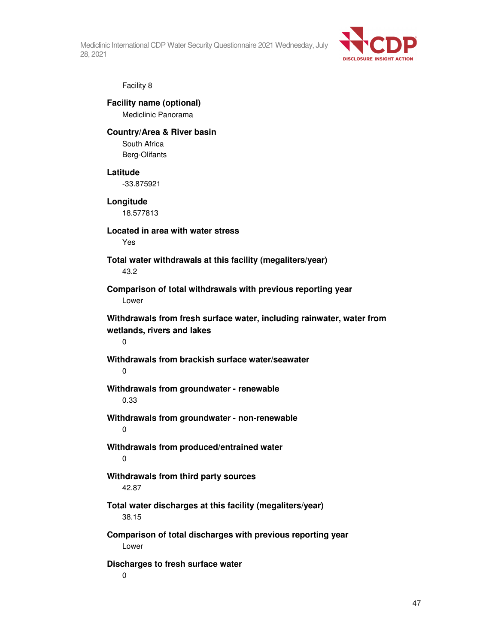

## Facility 8

**Facility name (optional)**  Mediclinic Panorama

## **Country/Area & River basin**

South Africa Berg-Olifants

### **Latitude**

-33.875921

## **Longitude**

18.577813

## **Located in area with water stress**

Yes

## **Total water withdrawals at this facility (megaliters/year)**  43.2

**Comparison of total withdrawals with previous reporting year**  Lower

**Withdrawals from fresh surface water, including rainwater, water from wetlands, rivers and lakes** 

 $\Omega$ 

## **Withdrawals from brackish surface water/seawater**  0

## **Withdrawals from groundwater - renewable**  0.33

**Withdrawals from groundwater - non-renewable**  0

## **Withdrawals from produced/entrained water**  0

## **Withdrawals from third party sources**  42.87

## **Total water discharges at this facility (megaliters/year)**  38.15

## **Comparison of total discharges with previous reporting year**  Lower

## **Discharges to fresh surface water**

0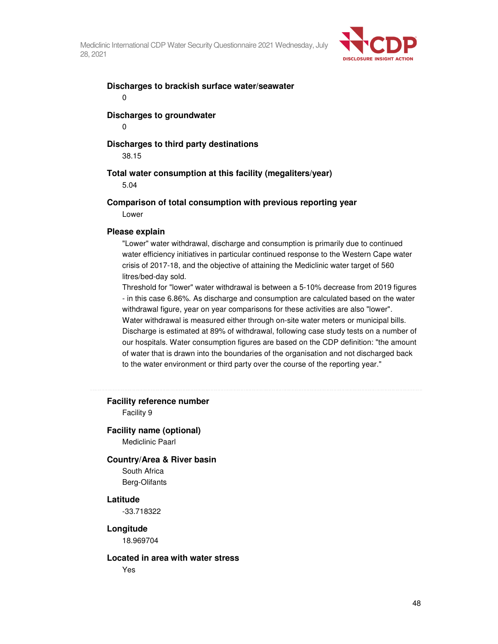

#### **Discharges to brackish surface water/seawater**  0

## **Discharges to groundwater**

0

## **Discharges to third party destinations**

38.15

## **Total water consumption at this facility (megaliters/year)**

5.04

#### **Comparison of total consumption with previous reporting year**

Lower

#### **Please explain**

"Lower" water withdrawal, discharge and consumption is primarily due to continued water efficiency initiatives in particular continued response to the Western Cape water crisis of 2017-18, and the objective of attaining the Mediclinic water target of 560 litres/bed-day sold.

Threshold for "lower" water withdrawal is between a 5-10% decrease from 2019 figures - in this case 6.86%. As discharge and consumption are calculated based on the water withdrawal figure, year on year comparisons for these activities are also "lower". Water withdrawal is measured either through on-site water meters or municipal bills. Discharge is estimated at 89% of withdrawal, following case study tests on a number of our hospitals. Water consumption figures are based on the CDP definition: "the amount of water that is drawn into the boundaries of the organisation and not discharged back to the water environment or third party over the course of the reporting year."

**Facility reference number** 

Facility 9

#### **Facility name (optional)**

Mediclinic Paarl

#### **Country/Area & River basin**

South Africa Berg-Olifants

#### **Latitude**

-33.718322

## **Longitude**

18.969704

#### **Located in area with water stress**

Yes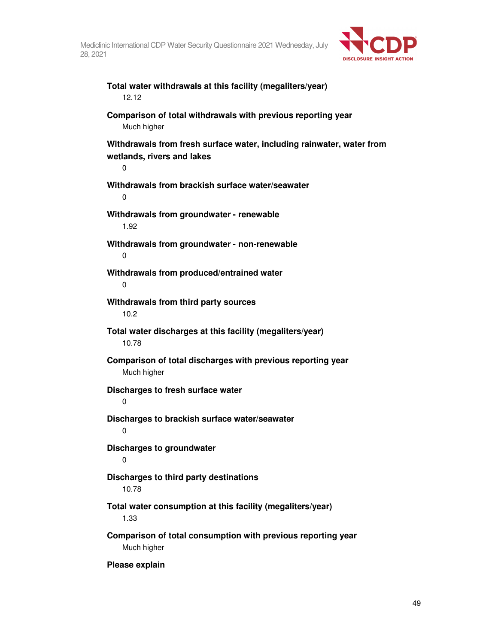**Total water withdrawals at this facility (megaliters/year)** 



12.12 **Comparison of total withdrawals with previous reporting year**  Much higher **Withdrawals from fresh surface water, including rainwater, water from wetlands, rivers and lakes**  0 **Withdrawals from brackish surface water/seawater**  0 **Withdrawals from groundwater - renewable**  1.92 **Withdrawals from groundwater - non-renewable**  0 **Withdrawals from produced/entrained water**  0 **Withdrawals from third party sources**  10.2 **Total water discharges at this facility (megaliters/year)**  10.78 **Comparison of total discharges with previous reporting year**  Much higher **Discharges to fresh surface water**  0 **Discharges to brackish surface water/seawater**   $\Omega$ **Discharges to groundwater**  0 **Discharges to third party destinations**  10.78 **Total water consumption at this facility (megaliters/year)**  1.33 **Comparison of total consumption with previous reporting year**  Much higher

**Please explain**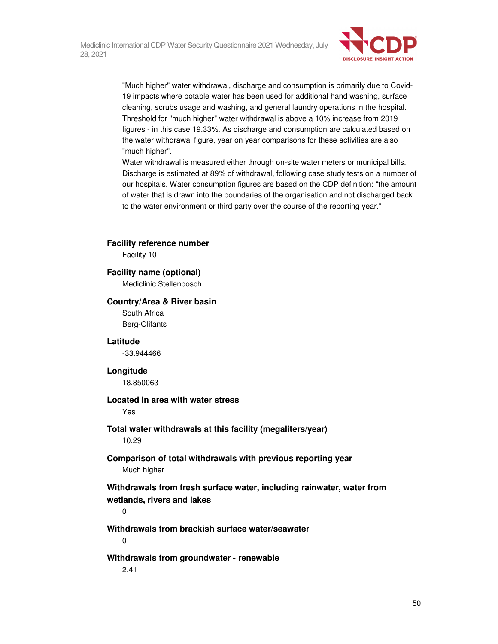

"Much higher" water withdrawal, discharge and consumption is primarily due to Covid-19 impacts where potable water has been used for additional hand washing, surface cleaning, scrubs usage and washing, and general laundry operations in the hospital. Threshold for "much higher" water withdrawal is above a 10% increase from 2019 figures - in this case 19.33%. As discharge and consumption are calculated based on the water withdrawal figure, year on year comparisons for these activities are also "much higher".

Water withdrawal is measured either through on-site water meters or municipal bills. Discharge is estimated at 89% of withdrawal, following case study tests on a number of our hospitals. Water consumption figures are based on the CDP definition: "the amount of water that is drawn into the boundaries of the organisation and not discharged back to the water environment or third party over the course of the reporting year."

## **Facility reference number**

Facility 10

#### **Facility name (optional)**

Mediclinic Stellenbosch

#### **Country/Area & River basin**

South Africa Berg-Olifants

### **Latitude**

-33.944466

#### **Longitude**

18.850063

## **Located in area with water stress**

Yes

#### **Total water withdrawals at this facility (megaliters/year)**  10.29

## **Comparison of total withdrawals with previous reporting year**  Much higher

**Withdrawals from fresh surface water, including rainwater, water from wetlands, rivers and lakes** 

0

## **Withdrawals from brackish surface water/seawater**

0

#### **Withdrawals from groundwater - renewable**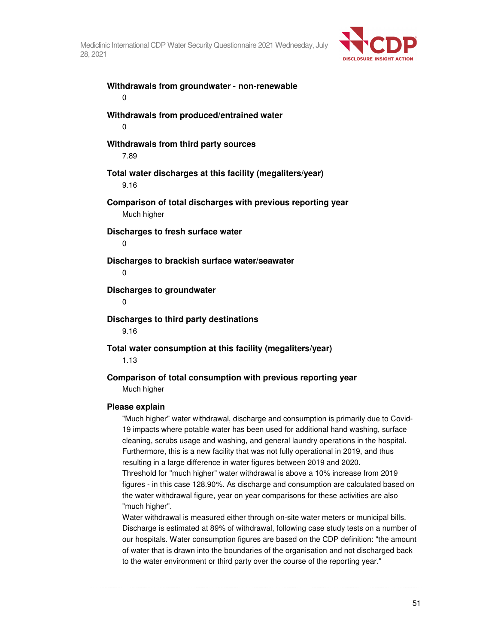

**Withdrawals from groundwater - non-renewable**  0 **Withdrawals from produced/entrained water**  0 **Withdrawals from third party sources**  7.89 **Total water discharges at this facility (megaliters/year)**  9.16 **Comparison of total discharges with previous reporting year**  Much higher **Discharges to fresh surface water**  0 **Discharges to brackish surface water/seawater**   $\Omega$ **Discharges to groundwater**   $\Omega$ **Discharges to third party destinations**  9.16 **Total water consumption at this facility (megaliters/year)**  1.13 **Comparison of total consumption with previous reporting year**  Much higher

#### **Please explain**

"Much higher" water withdrawal, discharge and consumption is primarily due to Covid-19 impacts where potable water has been used for additional hand washing, surface cleaning, scrubs usage and washing, and general laundry operations in the hospital. Furthermore, this is a new facility that was not fully operational in 2019, and thus resulting in a large difference in water figures between 2019 and 2020. Threshold for "much higher" water withdrawal is above a 10% increase from 2019

figures - in this case 128.90%. As discharge and consumption are calculated based on the water withdrawal figure, year on year comparisons for these activities are also "much higher".

Water withdrawal is measured either through on-site water meters or municipal bills. Discharge is estimated at 89% of withdrawal, following case study tests on a number of our hospitals. Water consumption figures are based on the CDP definition: "the amount of water that is drawn into the boundaries of the organisation and not discharged back to the water environment or third party over the course of the reporting year."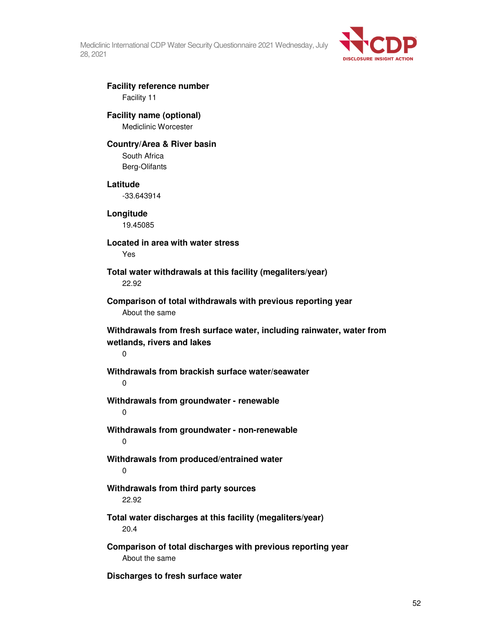

# **Facility reference number**

Facility 11

## **Facility name (optional)**  Mediclinic Worcester

## **Country/Area & River basin**

South Africa Berg-Olifants

## **Latitude**

-33.643914

**Longitude**  19.45085

**Located in area with water stress**  Yes

**Total water withdrawals at this facility (megaliters/year)**  22.92

**Comparison of total withdrawals with previous reporting year**  About the same

**Withdrawals from fresh surface water, including rainwater, water from wetlands, rivers and lakes** 

0

## **Withdrawals from brackish surface water/seawater**

 $\Omega$ 

**Withdrawals from groundwater - renewable** 

0

**Withdrawals from groundwater - non-renewable**  0

**Withdrawals from produced/entrained water**  0

## **Withdrawals from third party sources**  22.92

**Total water discharges at this facility (megaliters/year)**  20.4

**Comparison of total discharges with previous reporting year**  About the same

**Discharges to fresh surface water**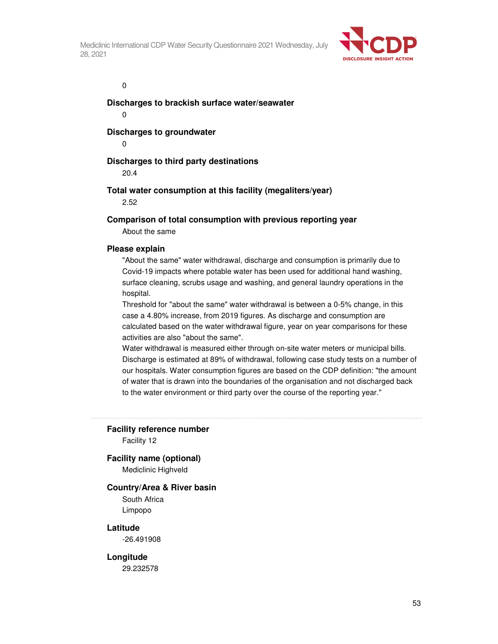

 $\overline{0}$ 

**Discharges to brackish surface water/seawater** 

0

**Discharges to groundwater** 

0

## **Discharges to third party destinations**

20.4

## **Total water consumption at this facility (megaliters/year)**

2.52

## **Comparison of total consumption with previous reporting year**

About the same

## **Please explain**

"About the same" water withdrawal, discharge and consumption is primarily due to Covid-19 impacts where potable water has been used for additional hand washing, surface cleaning, scrubs usage and washing, and general laundry operations in the hospital.

Threshold for "about the same" water withdrawal is between a 0-5% change, in this case a 4.80% increase, from 2019 figures. As discharge and consumption are calculated based on the water withdrawal figure, year on year comparisons for these activities are also "about the same".

Water withdrawal is measured either through on-site water meters or municipal bills. Discharge is estimated at 89% of withdrawal, following case study tests on a number of our hospitals. Water consumption figures are based on the CDP definition: "the amount of water that is drawn into the boundaries of the organisation and not discharged back to the water environment or third party over the course of the reporting year."

**Facility reference number** 

Facility 12

## **Facility name (optional)**

Mediclinic Highveld

## **Country/Area & River basin**

South Africa Limpopo

## **Latitude**

-26.491908

## **Longitude**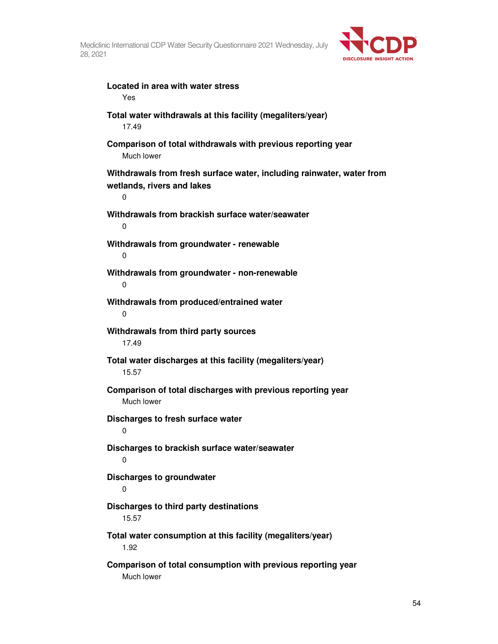

**Located in area with water stress**  Yes **Total water withdrawals at this facility (megaliters/year)**  17.49 **Comparison of total withdrawals with previous reporting year**  Much lower **Withdrawals from fresh surface water, including rainwater, water from wetlands, rivers and lakes**  0 **Withdrawals from brackish surface water/seawater**   $\Omega$ **Withdrawals from groundwater - renewable**  0 **Withdrawals from groundwater - non-renewable**  0 **Withdrawals from produced/entrained water**  0 **Withdrawals from third party sources**  17.49 **Total water discharges at this facility (megaliters/year)**  15.57 **Comparison of total discharges with previous reporting year**  Much lower **Discharges to fresh surface water**   $\Omega$ **Discharges to brackish surface water/seawater**   $\Omega$ **Discharges to groundwater**  0 **Discharges to third party destinations**  15.57 **Total water consumption at this facility (megaliters/year)**  1.92 **Comparison of total consumption with previous reporting year**  Much lower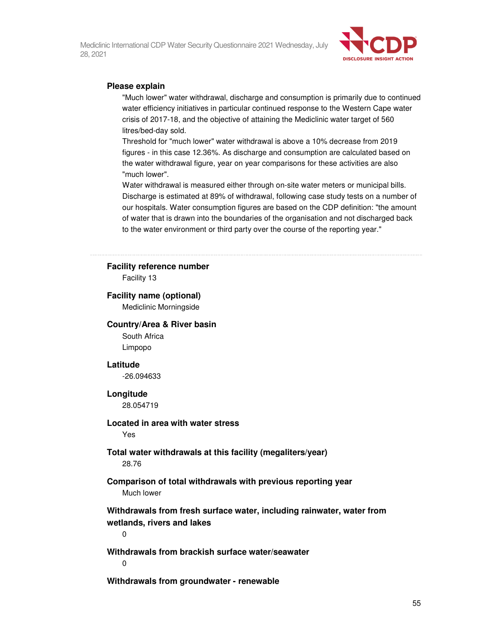

### **Please explain**

"Much lower" water withdrawal, discharge and consumption is primarily due to continued water efficiency initiatives in particular continued response to the Western Cape water crisis of 2017-18, and the objective of attaining the Mediclinic water target of 560 litres/bed-day sold.

Threshold for "much lower" water withdrawal is above a 10% decrease from 2019 figures - in this case 12.36%. As discharge and consumption are calculated based on the water withdrawal figure, year on year comparisons for these activities are also "much lower".

Water withdrawal is measured either through on-site water meters or municipal bills. Discharge is estimated at 89% of withdrawal, following case study tests on a number of our hospitals. Water consumption figures are based on the CDP definition: "the amount of water that is drawn into the boundaries of the organisation and not discharged back to the water environment or third party over the course of the reporting year."

#### **Facility reference number**

Facility 13

#### **Facility name (optional)**

Mediclinic Morningside

#### **Country/Area & River basin**

South Africa Limpopo

#### **Latitude**

-26.094633

#### **Longitude**

28.054719

## **Located in area with water stress**

Yes

## **Total water withdrawals at this facility (megaliters/year)**  28.76

## **Comparison of total withdrawals with previous reporting year**  Much lower

**Withdrawals from fresh surface water, including rainwater, water from wetlands, rivers and lakes** 

0

**Withdrawals from brackish surface water/seawater** 

 $\Omega$ 

**Withdrawals from groundwater - renewable**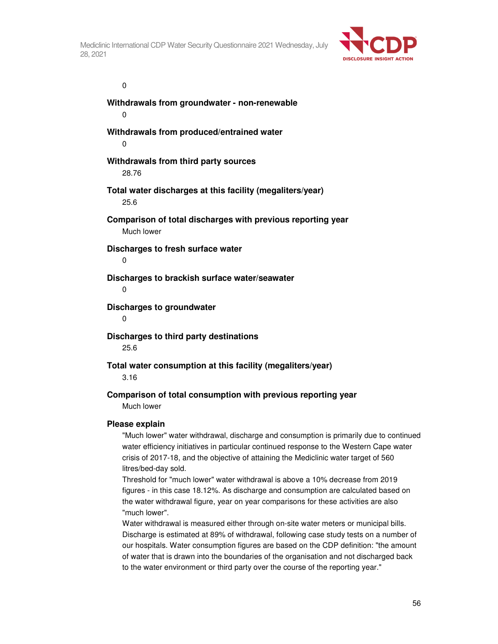

 $\overline{0}$ 

**Withdrawals from groundwater - non-renewable**  0 **Withdrawals from produced/entrained water**  0 **Withdrawals from third party sources**  28.76 **Total water discharges at this facility (megaliters/year)**  25.6 **Comparison of total discharges with previous reporting year**  Much lower **Discharges to fresh surface water**  0 **Discharges to brackish surface water/seawater**   $\Omega$ **Discharges to groundwater**  0 **Discharges to third party destinations**  25.6 **Total water consumption at this facility (megaliters/year)**  3.16

## **Comparison of total consumption with previous reporting year**  Much lower

#### **Please explain**

"Much lower" water withdrawal, discharge and consumption is primarily due to continued water efficiency initiatives in particular continued response to the Western Cape water crisis of 2017-18, and the objective of attaining the Mediclinic water target of 560 litres/bed-day sold.

Threshold for "much lower" water withdrawal is above a 10% decrease from 2019 figures - in this case 18.12%. As discharge and consumption are calculated based on the water withdrawal figure, year on year comparisons for these activities are also "much lower".

Water withdrawal is measured either through on-site water meters or municipal bills. Discharge is estimated at 89% of withdrawal, following case study tests on a number of our hospitals. Water consumption figures are based on the CDP definition: "the amount of water that is drawn into the boundaries of the organisation and not discharged back to the water environment or third party over the course of the reporting year."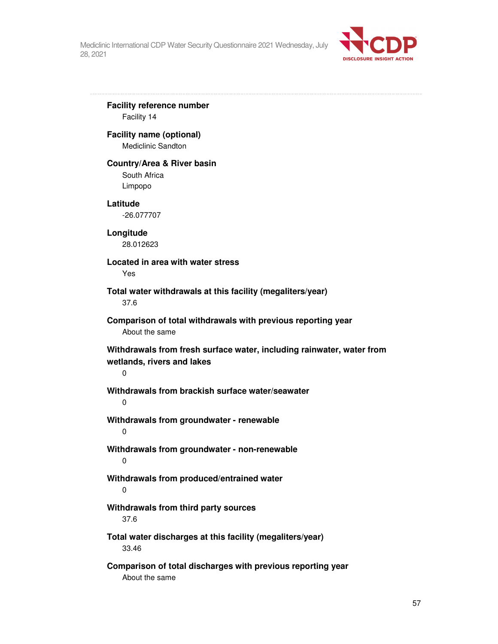

**Facility reference number**  Facility 14 **Facility name (optional)**  Mediclinic Sandton **Country/Area & River basin**  South Africa Limpopo **Latitude**  -26.077707 **Longitude**  28.012623 **Located in area with water stress**  Yes **Total water withdrawals at this facility (megaliters/year)**  37.6 **Comparison of total withdrawals with previous reporting year**  About the same **Withdrawals from fresh surface water, including rainwater, water from wetlands, rivers and lakes**  0 **Withdrawals from brackish surface water/seawater**   $\Omega$ **Withdrawals from groundwater - renewable**  0 **Withdrawals from groundwater - non-renewable**  0 **Withdrawals from produced/entrained water**  0 **Withdrawals from third party sources**  37.6 **Total water discharges at this facility (megaliters/year)**  33.46

**Comparison of total discharges with previous reporting year**  About the same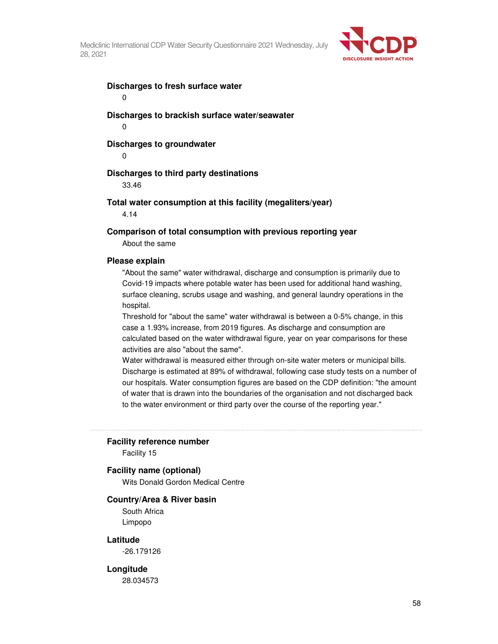

## **Discharges to fresh surface water**

0

**Discharges to brackish surface water/seawater**  0

#### **Discharges to groundwater**

 $\Omega$ 

#### **Discharges to third party destinations**

33.46

#### **Total water consumption at this facility (megaliters/year)**

4.14

#### **Comparison of total consumption with previous reporting year**

About the same

#### **Please explain**

"About the same" water withdrawal, discharge and consumption is primarily due to Covid-19 impacts where potable water has been used for additional hand washing, surface cleaning, scrubs usage and washing, and general laundry operations in the hospital.

Threshold for "about the same" water withdrawal is between a 0-5% change, in this case a 1.93% increase, from 2019 figures. As discharge and consumption are calculated based on the water withdrawal figure, year on year comparisons for these activities are also "about the same".

Water withdrawal is measured either through on-site water meters or municipal bills. Discharge is estimated at 89% of withdrawal, following case study tests on a number of our hospitals. Water consumption figures are based on the CDP definition: "the amount of water that is drawn into the boundaries of the organisation and not discharged back to the water environment or third party over the course of the reporting year."

#### **Facility reference number**

Facility 15

#### **Facility name (optional)**

Wits Donald Gordon Medical Centre

#### **Country/Area & River basin**

South Africa Limpopo

#### **Latitude**

-26.179126

#### **Longitude**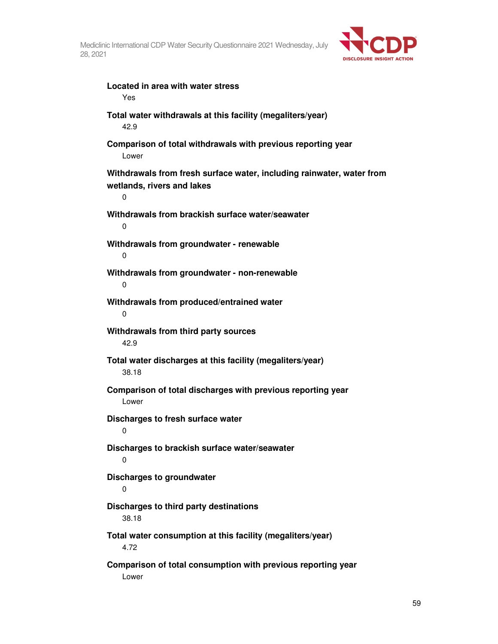

| Located in area with water stress<br>Yes                                                                           |
|--------------------------------------------------------------------------------------------------------------------|
| Total water withdrawals at this facility (megaliters/year)<br>42.9                                                 |
| Comparison of total withdrawals with previous reporting year<br>Lower                                              |
| Withdrawals from fresh surface water, including rainwater, water from<br>wetlands, rivers and lakes<br>$\mathbf 0$ |
| Withdrawals from brackish surface water/seawater<br>0                                                              |
| Withdrawals from groundwater - renewable<br>$\mathbf 0$                                                            |
| Withdrawals from groundwater - non-renewable<br>0                                                                  |
| Withdrawals from produced/entrained water<br>0                                                                     |
| Withdrawals from third party sources<br>42.9                                                                       |
| Total water discharges at this facility (megaliters/year)<br>38.18                                                 |
| Comparison of total discharges with previous reporting year<br>Lower                                               |
| Discharges to fresh surface water<br>0                                                                             |
| Discharges to brackish surface water/seawater<br>0                                                                 |
| Discharges to groundwater<br>0                                                                                     |
| Discharges to third party destinations<br>38.18                                                                    |
| Total water consumption at this facility (megaliters/year)<br>4.72                                                 |
| Comparison of total consumption with previous reporting year<br>Lower                                              |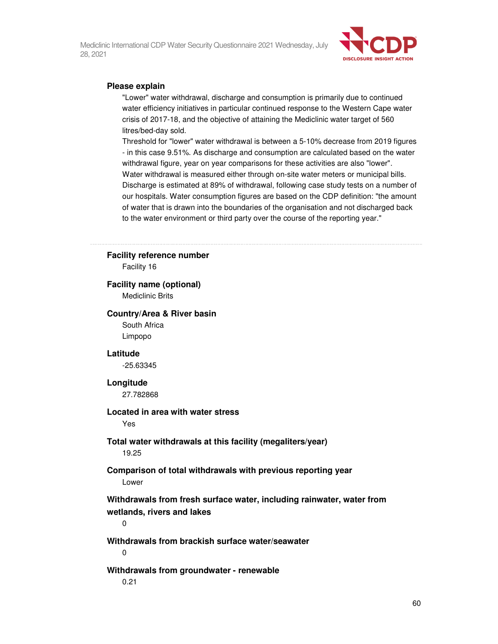

## **Please explain**

"Lower" water withdrawal, discharge and consumption is primarily due to continued water efficiency initiatives in particular continued response to the Western Cape water crisis of 2017-18, and the objective of attaining the Mediclinic water target of 560 litres/bed-day sold.

Threshold for "lower" water withdrawal is between a 5-10% decrease from 2019 figures - in this case 9.51%. As discharge and consumption are calculated based on the water withdrawal figure, year on year comparisons for these activities are also "lower". Water withdrawal is measured either through on-site water meters or municipal bills. Discharge is estimated at 89% of withdrawal, following case study tests on a number of our hospitals. Water consumption figures are based on the CDP definition: "the amount of water that is drawn into the boundaries of the organisation and not discharged back to the water environment or third party over the course of the reporting year."

#### **Facility reference number**

Facility 16

## **Facility name (optional)**

Mediclinic Brits

#### **Country/Area & River basin**

South Africa Limpopo

#### **Latitude**

-25.63345

#### **Longitude**

27.782868

### **Located in area with water stress**

Yes

#### **Total water withdrawals at this facility (megaliters/year)**  19.25

## **Comparison of total withdrawals with previous reporting year**  Lower

**Withdrawals from fresh surface water, including rainwater, water from wetlands, rivers and lakes** 

0

**Withdrawals from brackish surface water/seawater**   $\Omega$ 

## **Withdrawals from groundwater - renewable**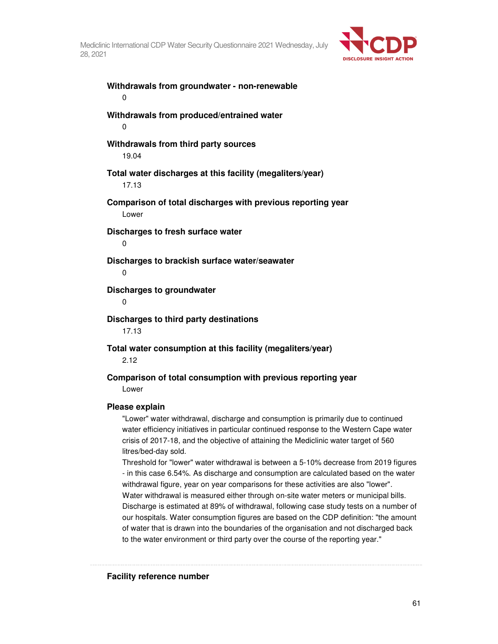

**Withdrawals from groundwater - non-renewable**  0 **Withdrawals from produced/entrained water**  0 **Withdrawals from third party sources**  19.04 **Total water discharges at this facility (megaliters/year)**  17.13 **Comparison of total discharges with previous reporting year**  Lower **Discharges to fresh surface water**  0 **Discharges to brackish surface water/seawater**   $\Omega$ **Discharges to groundwater**   $\Omega$ **Discharges to third party destinations**  17.13 **Total water consumption at this facility (megaliters/year)**  2.12 **Comparison of total consumption with previous reporting year**  Lower

## **Please explain**

"Lower" water withdrawal, discharge and consumption is primarily due to continued water efficiency initiatives in particular continued response to the Western Cape water crisis of 2017-18, and the objective of attaining the Mediclinic water target of 560 litres/bed-day sold.

Threshold for "lower" water withdrawal is between a 5-10% decrease from 2019 figures - in this case 6.54%. As discharge and consumption are calculated based on the water withdrawal figure, year on year comparisons for these activities are also "lower". Water withdrawal is measured either through on-site water meters or municipal bills. Discharge is estimated at 89% of withdrawal, following case study tests on a number of our hospitals. Water consumption figures are based on the CDP definition: "the amount of water that is drawn into the boundaries of the organisation and not discharged back to the water environment or third party over the course of the reporting year."

**Facility reference number**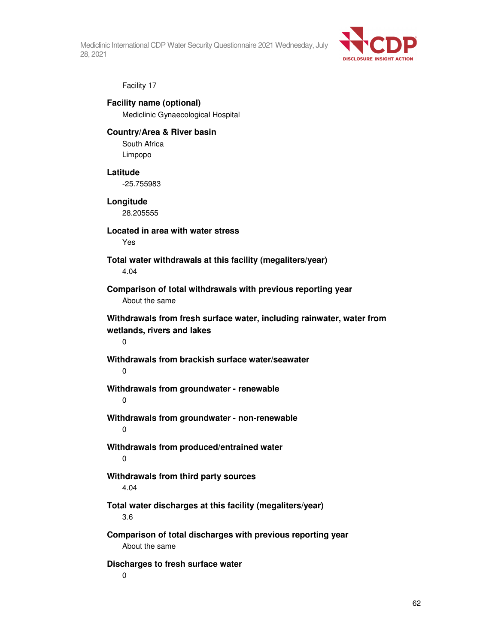

Facility 17

**Facility name (optional)**  Mediclinic Gynaecological Hospital

## **Country/Area & River basin**

South Africa Limpopo

## **Latitude**

-25.755983

## **Longitude**

28.205555

## **Located in area with water stress**

Yes

## **Total water withdrawals at this facility (megaliters/year)**  4.04

**Comparison of total withdrawals with previous reporting year**  About the same

## **Withdrawals from fresh surface water, including rainwater, water from wetlands, rivers and lakes**

 $\Omega$ 

## **Withdrawals from brackish surface water/seawater**  0

## **Withdrawals from groundwater - renewable**

 $\Omega$ 

## **Withdrawals from groundwater - non-renewable**  0

## **Withdrawals from produced/entrained water**  0

## **Withdrawals from third party sources**  4.04

## **Total water discharges at this facility (megaliters/year)**  3.6

## **Comparison of total discharges with previous reporting year**  About the same

## **Discharges to fresh surface water**

0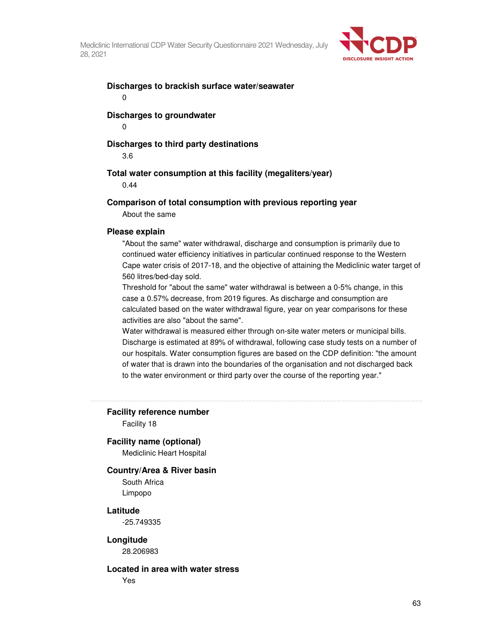

#### **Discharges to brackish surface water/seawater**  0

## **Discharges to groundwater**

0

## **Discharges to third party destinations**

3.6

## **Total water consumption at this facility (megaliters/year)**

0.44

#### **Comparison of total consumption with previous reporting year**

About the same

#### **Please explain**

"About the same" water withdrawal, discharge and consumption is primarily due to continued water efficiency initiatives in particular continued response to the Western Cape water crisis of 2017-18, and the objective of attaining the Mediclinic water target of 560 litres/bed-day sold.

Threshold for "about the same" water withdrawal is between a 0-5% change, in this case a 0.57% decrease, from 2019 figures. As discharge and consumption are calculated based on the water withdrawal figure, year on year comparisons for these activities are also "about the same".

Water withdrawal is measured either through on-site water meters or municipal bills. Discharge is estimated at 89% of withdrawal, following case study tests on a number of our hospitals. Water consumption figures are based on the CDP definition: "the amount of water that is drawn into the boundaries of the organisation and not discharged back to the water environment or third party over the course of the reporting year."

**Facility reference number** 

Facility 18

#### **Facility name (optional)**

Mediclinic Heart Hospital

#### **Country/Area & River basin**

South Africa Limpopo

#### **Latitude**

-25.749335

#### **Longitude**

28.206983

#### **Located in area with water stress**

Yes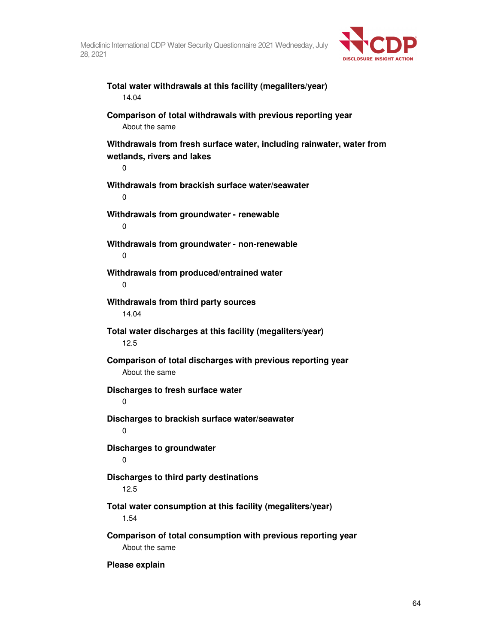

**Total water withdrawals at this facility (megaliters/year)**  14.04 **Comparison of total withdrawals with previous reporting year**  About the same **Withdrawals from fresh surface water, including rainwater, water from wetlands, rivers and lakes**  0 **Withdrawals from brackish surface water/seawater**  0 **Withdrawals from groundwater - renewable**  0 **Withdrawals from groundwater - non-renewable**  0 **Withdrawals from produced/entrained water**  0 **Withdrawals from third party sources**  14.04 **Total water discharges at this facility (megaliters/year)**  12.5 **Comparison of total discharges with previous reporting year**  About the same **Discharges to fresh surface water**  0 **Discharges to brackish surface water/seawater**   $\Omega$ **Discharges to groundwater**  0 **Discharges to third party destinations**  12.5 **Total water consumption at this facility (megaliters/year)**  1.54 **Comparison of total consumption with previous reporting year**  About the same

**Please explain**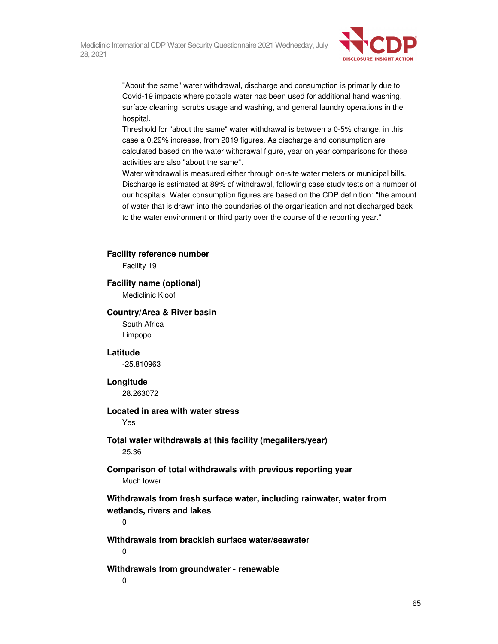

"About the same" water withdrawal, discharge and consumption is primarily due to Covid-19 impacts where potable water has been used for additional hand washing, surface cleaning, scrubs usage and washing, and general laundry operations in the hospital.

Threshold for "about the same" water withdrawal is between a 0-5% change, in this case a 0.29% increase, from 2019 figures. As discharge and consumption are calculated based on the water withdrawal figure, year on year comparisons for these activities are also "about the same".

Water withdrawal is measured either through on-site water meters or municipal bills. Discharge is estimated at 89% of withdrawal, following case study tests on a number of our hospitals. Water consumption figures are based on the CDP definition: "the amount of water that is drawn into the boundaries of the organisation and not discharged back to the water environment or third party over the course of the reporting year."

#### **Facility reference number**

Facility 19

#### **Facility name (optional)**

Mediclinic Kloof

#### **Country/Area & River basin**

South Africa Limpopo

## **Latitude**

-25.810963

#### **Longitude**

28.263072

## **Located in area with water stress**

Yes

## **Total water withdrawals at this facility (megaliters/year)**  25.36

## **Comparison of total withdrawals with previous reporting year**  Much lower

**Withdrawals from fresh surface water, including rainwater, water from wetlands, rivers and lakes** 

 $\Omega$ 

## **Withdrawals from brackish surface water/seawater**

0

## **Withdrawals from groundwater - renewable**

0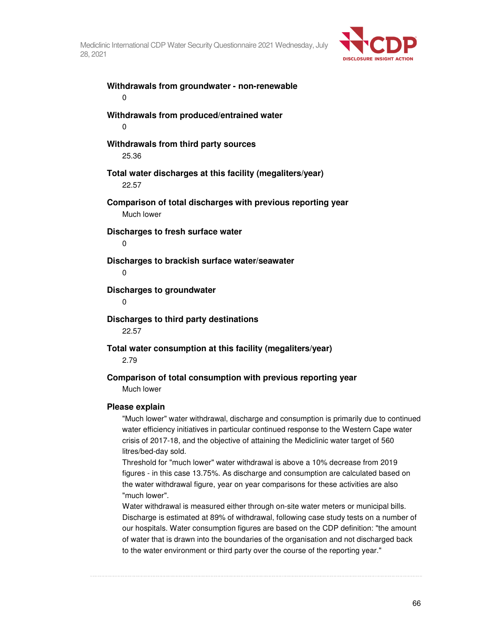

**Withdrawals from groundwater - non-renewable**  0 **Withdrawals from produced/entrained water**  0 **Withdrawals from third party sources**  25.36 **Total water discharges at this facility (megaliters/year)**  22.57 **Comparison of total discharges with previous reporting year**  Much lower **Discharges to fresh surface water**  0 **Discharges to brackish surface water/seawater**   $\Omega$ **Discharges to groundwater**   $\Omega$ **Discharges to third party destinations**  22.57 **Total water consumption at this facility (megaliters/year)**  2.79 **Comparison of total consumption with previous reporting year**  Much lower **Please explain** 

"Much lower" water withdrawal, discharge and consumption is primarily due to continued water efficiency initiatives in particular continued response to the Western Cape water crisis of 2017-18, and the objective of attaining the Mediclinic water target of 560 litres/bed-day sold.

Threshold for "much lower" water withdrawal is above a 10% decrease from 2019 figures - in this case 13.75%. As discharge and consumption are calculated based on the water withdrawal figure, year on year comparisons for these activities are also "much lower".

Water withdrawal is measured either through on-site water meters or municipal bills. Discharge is estimated at 89% of withdrawal, following case study tests on a number of our hospitals. Water consumption figures are based on the CDP definition: "the amount of water that is drawn into the boundaries of the organisation and not discharged back to the water environment or third party over the course of the reporting year."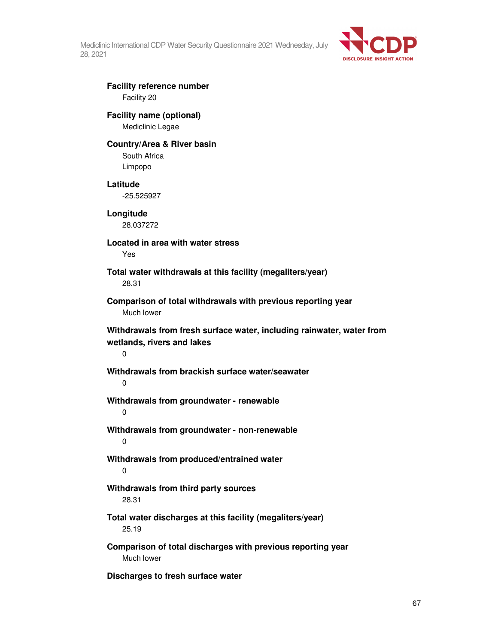

## **Facility reference number**  Facility 20

# **Facility name (optional)**

Mediclinic Legae

## **Country/Area & River basin**

South Africa Limpopo

## **Latitude**

-25.525927

**Longitude**  28.037272

## **Located in area with water stress**  Yes

**Total water withdrawals at this facility (megaliters/year)**  28.31

## **Comparison of total withdrawals with previous reporting year**  Much lower

**Withdrawals from fresh surface water, including rainwater, water from wetlands, rivers and lakes** 

## $\Omega$

## **Withdrawals from brackish surface water/seawater**

 $\Omega$ 

## **Withdrawals from groundwater - renewable**

0

## **Withdrawals from groundwater - non-renewable**  0

## **Withdrawals from produced/entrained water**  0

## **Withdrawals from third party sources**  28.31

## **Total water discharges at this facility (megaliters/year)**  25.19

## **Comparison of total discharges with previous reporting year**  Much lower

## **Discharges to fresh surface water**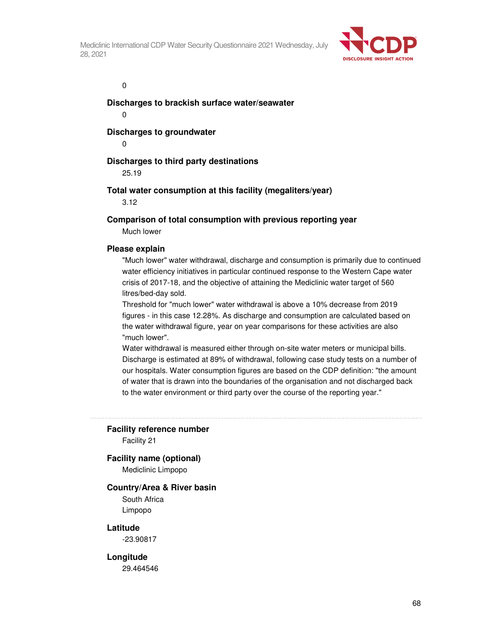

 $\overline{0}$ 

**Discharges to brackish surface water/seawater** 

0

**Discharges to groundwater** 

0

## **Discharges to third party destinations**

25.19

## **Total water consumption at this facility (megaliters/year)**

3.12

## **Comparison of total consumption with previous reporting year**

Much lower

#### **Please explain**

"Much lower" water withdrawal, discharge and consumption is primarily due to continued water efficiency initiatives in particular continued response to the Western Cape water crisis of 2017-18, and the objective of attaining the Mediclinic water target of 560 litres/bed-day sold.

Threshold for "much lower" water withdrawal is above a 10% decrease from 2019 figures - in this case 12.28%. As discharge and consumption are calculated based on the water withdrawal figure, year on year comparisons for these activities are also "much lower".

Water withdrawal is measured either through on-site water meters or municipal bills. Discharge is estimated at 89% of withdrawal, following case study tests on a number of our hospitals. Water consumption figures are based on the CDP definition: "the amount of water that is drawn into the boundaries of the organisation and not discharged back to the water environment or third party over the course of the reporting year."

#### **Facility reference number**

Facility 21

## **Facility name (optional)**

Mediclinic Limpopo

#### **Country/Area & River basin**

South Africa Limpopo

#### **Latitude**

-23.90817

#### **Longitude**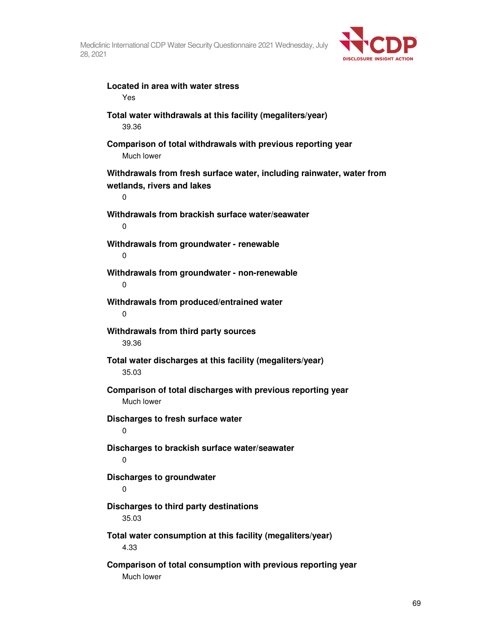

**Located in area with water stress**  Yes **Total water withdrawals at this facility (megaliters/year)**  39.36 **Comparison of total withdrawals with previous reporting year**  Much lower **Withdrawals from fresh surface water, including rainwater, water from wetlands, rivers and lakes**  0 **Withdrawals from brackish surface water/seawater**   $\Omega$ **Withdrawals from groundwater - renewable**  0 **Withdrawals from groundwater - non-renewable**  0 **Withdrawals from produced/entrained water**  0 **Withdrawals from third party sources**  39.36 **Total water discharges at this facility (megaliters/year)**  35.03 **Comparison of total discharges with previous reporting year**  Much lower **Discharges to fresh surface water**   $\Omega$ **Discharges to brackish surface water/seawater**   $\Omega$ **Discharges to groundwater**  0 **Discharges to third party destinations**  35.03 **Total water consumption at this facility (megaliters/year)**  4.33 **Comparison of total consumption with previous reporting year**  Much lower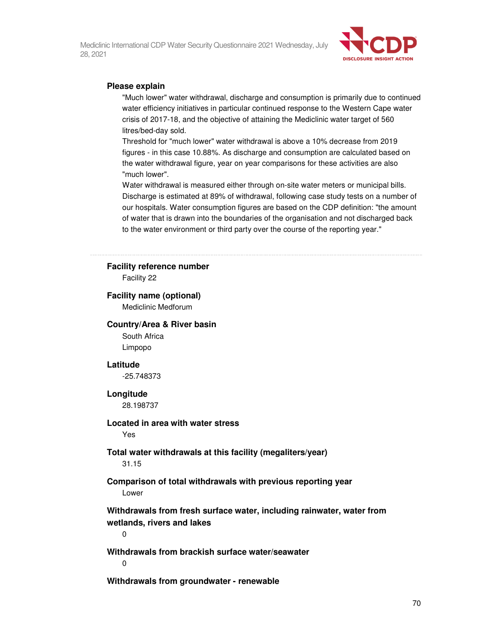

### **Please explain**

"Much lower" water withdrawal, discharge and consumption is primarily due to continued water efficiency initiatives in particular continued response to the Western Cape water crisis of 2017-18, and the objective of attaining the Mediclinic water target of 560 litres/bed-day sold.

Threshold for "much lower" water withdrawal is above a 10% decrease from 2019 figures - in this case 10.88%. As discharge and consumption are calculated based on the water withdrawal figure, year on year comparisons for these activities are also "much lower".

Water withdrawal is measured either through on-site water meters or municipal bills. Discharge is estimated at 89% of withdrawal, following case study tests on a number of our hospitals. Water consumption figures are based on the CDP definition: "the amount of water that is drawn into the boundaries of the organisation and not discharged back to the water environment or third party over the course of the reporting year."

#### **Facility reference number**

Facility 22

## **Facility name (optional)**

Mediclinic Medforum

#### **Country/Area & River basin**

South Africa Limpopo

#### **Latitude**

-25.748373

#### **Longitude**

28.198737

## **Located in area with water stress**

Yes

#### **Total water withdrawals at this facility (megaliters/year)**  31.15

## **Comparison of total withdrawals with previous reporting year**  Lower

**Withdrawals from fresh surface water, including rainwater, water from wetlands, rivers and lakes** 

0

**Withdrawals from brackish surface water/seawater** 

 $\Omega$ 

**Withdrawals from groundwater - renewable**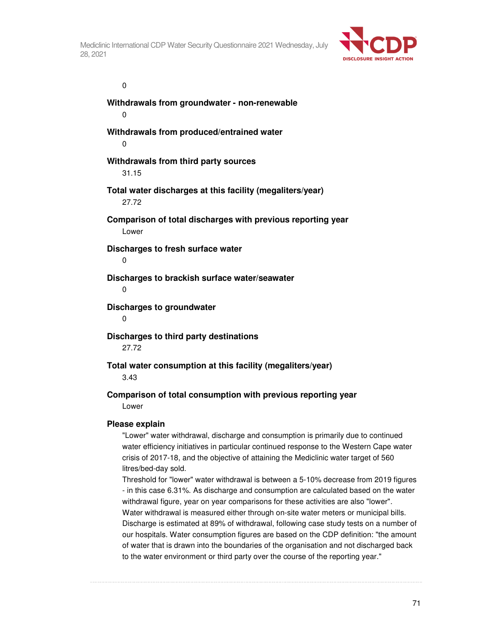

 $\overline{0}$ 

**Withdrawals from groundwater - non-renewable**  0 **Withdrawals from produced/entrained water**  0 **Withdrawals from third party sources**  31.15 **Total water discharges at this facility (megaliters/year)**  27.72 **Comparison of total discharges with previous reporting year**  Lower **Discharges to fresh surface water**  0 **Discharges to brackish surface water/seawater**   $\Omega$ **Discharges to groundwater**  0 **Discharges to third party destinations**  27.72

**Total water consumption at this facility (megaliters/year)** 

3.43

## **Comparison of total consumption with previous reporting year**  Lower

## **Please explain**

"Lower" water withdrawal, discharge and consumption is primarily due to continued water efficiency initiatives in particular continued response to the Western Cape water crisis of 2017-18, and the objective of attaining the Mediclinic water target of 560 litres/bed-day sold.

Threshold for "lower" water withdrawal is between a 5-10% decrease from 2019 figures - in this case 6.31%. As discharge and consumption are calculated based on the water withdrawal figure, year on year comparisons for these activities are also "lower". Water withdrawal is measured either through on-site water meters or municipal bills. Discharge is estimated at 89% of withdrawal, following case study tests on a number of our hospitals. Water consumption figures are based on the CDP definition: "the amount of water that is drawn into the boundaries of the organisation and not discharged back to the water environment or third party over the course of the reporting year."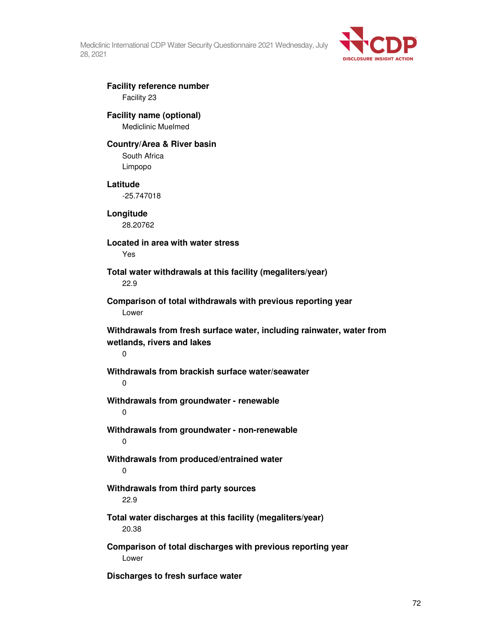

## **Facility reference number**  Facility 23

# **Facility name (optional)**

Mediclinic Muelmed

## **Country/Area & River basin**

South Africa Limpopo

## **Latitude**

-25.747018

**Longitude**  28.20762

# **Located in area with water stress**

Yes

## **Total water withdrawals at this facility (megaliters/year)**  22.9

## **Comparison of total withdrawals with previous reporting year**  Lower

**Withdrawals from fresh surface water, including rainwater, water from wetlands, rivers and lakes** 

0

## **Withdrawals from brackish surface water/seawater**

 $\Omega$ 

## **Withdrawals from groundwater - renewable**

0

## **Withdrawals from groundwater - non-renewable**  0

## **Withdrawals from produced/entrained water**  0

## **Withdrawals from third party sources**  22.9

## **Total water discharges at this facility (megaliters/year)**  20.38

## **Comparison of total discharges with previous reporting year**  Lower

**Discharges to fresh surface water**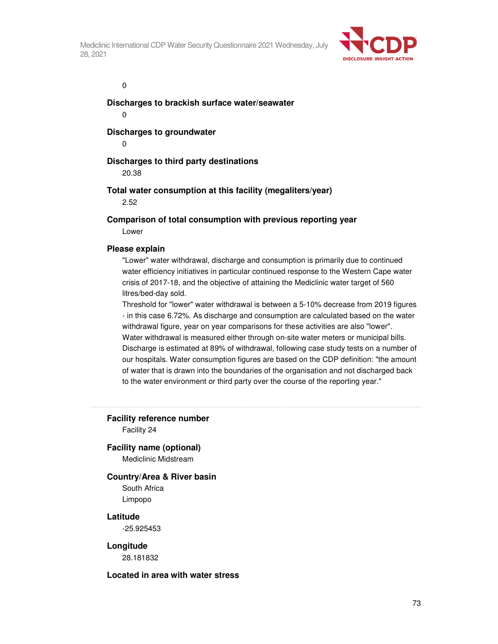

 $\overline{0}$ 

**Discharges to brackish surface water/seawater** 

0

**Discharges to groundwater** 

0

# **Discharges to third party destinations**

20.38

# **Total water consumption at this facility (megaliters/year)**

2.52

# **Comparison of total consumption with previous reporting year**

Lower

## **Please explain**

"Lower" water withdrawal, discharge and consumption is primarily due to continued water efficiency initiatives in particular continued response to the Western Cape water crisis of 2017-18, and the objective of attaining the Mediclinic water target of 560 litres/bed-day sold.

Threshold for "lower" water withdrawal is between a 5-10% decrease from 2019 figures - in this case 6.72%. As discharge and consumption are calculated based on the water withdrawal figure, year on year comparisons for these activities are also "lower". Water withdrawal is measured either through on-site water meters or municipal bills. Discharge is estimated at 89% of withdrawal, following case study tests on a number of our hospitals. Water consumption figures are based on the CDP definition: "the amount of water that is drawn into the boundaries of the organisation and not discharged back to the water environment or third party over the course of the reporting year."

# **Facility reference number**

Facility 24

# **Facility name (optional)**

Mediclinic Midstream

### **Country/Area & River basin**

South Africa Limpopo

# **Latitude**

-25.925453

### **Longitude**

28.181832

### **Located in area with water stress**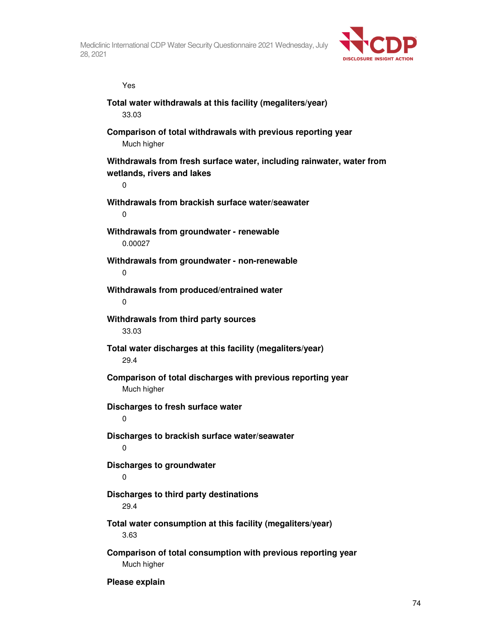

**water from** 

| Yes                                                                                                |
|----------------------------------------------------------------------------------------------------|
| Total water withdrawals at this facility (megaliters/year)<br>33.03                                |
| Comparison of total withdrawals with previous reporting year<br>Much higher                        |
| Withdrawals from fresh surface water, including rainwater, wate<br>wetlands, rivers and lakes<br>0 |
| Withdrawals from brackish surface water/seawater<br>0                                              |
| Withdrawals from groundwater - renewable<br>0.00027                                                |
| Withdrawals from groundwater - non-renewable<br>0                                                  |
| Withdrawals from produced/entrained water<br>0                                                     |
| Withdrawals from third party sources<br>33.03                                                      |
| Total water discharges at this facility (megaliters/year)<br>29.4                                  |
| Comparison of total discharges with previous reporting year<br>Much higher                         |
| Discharges to fresh surface water<br>0                                                             |
| Discharges to brackish surface water/seawater                                                      |
| <b>Discharges to groundwater</b><br>0                                                              |
| Discharges to third party destinations<br>29.4                                                     |
| Total water consumption at this facility (megaliters/year)<br>3.63                                 |
| Comparison of total consumption with previous reporting year<br>Much higher                        |

**Please explain**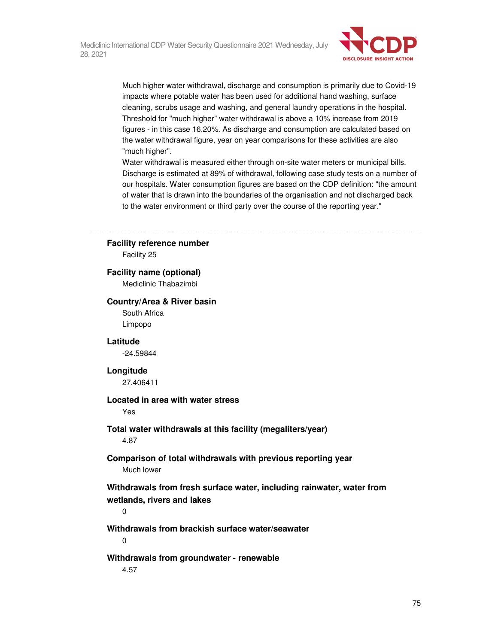

Much higher water withdrawal, discharge and consumption is primarily due to Covid-19 impacts where potable water has been used for additional hand washing, surface cleaning, scrubs usage and washing, and general laundry operations in the hospital. Threshold for "much higher" water withdrawal is above a 10% increase from 2019 figures - in this case 16.20%. As discharge and consumption are calculated based on the water withdrawal figure, year on year comparisons for these activities are also "much higher".

Water withdrawal is measured either through on-site water meters or municipal bills. Discharge is estimated at 89% of withdrawal, following case study tests on a number of our hospitals. Water consumption figures are based on the CDP definition: "the amount of water that is drawn into the boundaries of the organisation and not discharged back to the water environment or third party over the course of the reporting year."

## **Facility reference number**

Facility 25

### **Facility name (optional)**

Mediclinic Thabazimbi

### **Country/Area & River basin**

South Africa Limpopo

### **Latitude**

-24.59844

### **Longitude**

27.406411

### **Located in area with water stress**

Yes

# **Total water withdrawals at this facility (megaliters/year)**

4.87

## **Comparison of total withdrawals with previous reporting year**  Much lower

**Withdrawals from fresh surface water, including rainwater, water from wetlands, rivers and lakes** 

0

## **Withdrawals from brackish surface water/seawater**

0

### **Withdrawals from groundwater - renewable**

4.57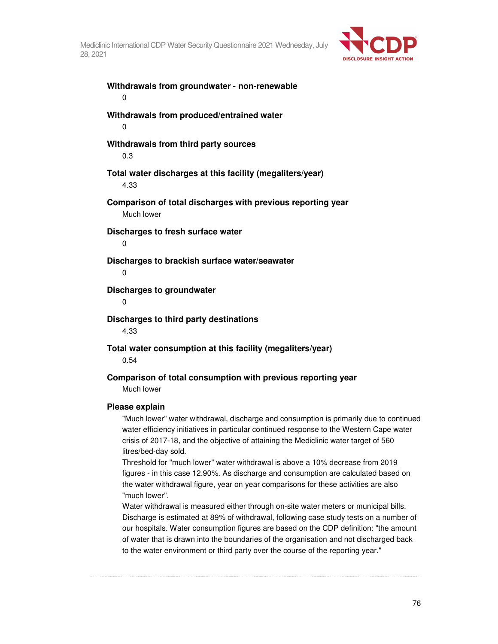

**Withdrawals from groundwater - non-renewable**  0 **Withdrawals from produced/entrained water**  0 **Withdrawals from third party sources**  0.3 **Total water discharges at this facility (megaliters/year)**  4.33 **Comparison of total discharges with previous reporting year**  Much lower **Discharges to fresh surface water**  0 **Discharges to brackish surface water/seawater**   $\Omega$ **Discharges to groundwater**   $\Omega$ **Discharges to third party destinations**  4.33 **Total water consumption at this facility (megaliters/year)**  0.54 **Comparison of total consumption with previous reporting year**  Much lower **Please explain** 

"Much lower" water withdrawal, discharge and consumption is primarily due to continued water efficiency initiatives in particular continued response to the Western Cape water crisis of 2017-18, and the objective of attaining the Mediclinic water target of 560 litres/bed-day sold.

Threshold for "much lower" water withdrawal is above a 10% decrease from 2019 figures - in this case 12.90%. As discharge and consumption are calculated based on the water withdrawal figure, year on year comparisons for these activities are also "much lower".

Water withdrawal is measured either through on-site water meters or municipal bills. Discharge is estimated at 89% of withdrawal, following case study tests on a number of our hospitals. Water consumption figures are based on the CDP definition: "the amount of water that is drawn into the boundaries of the organisation and not discharged back to the water environment or third party over the course of the reporting year."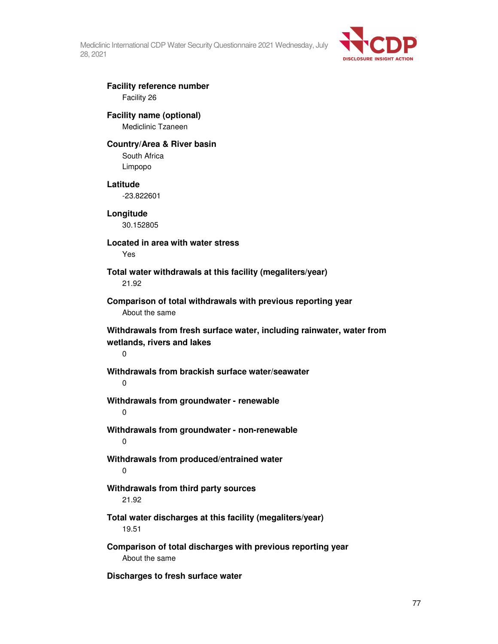

# **Facility reference number**  Facility 26

# **Facility name (optional)**

Mediclinic Tzaneen

# **Country/Area & River basin**

South Africa Limpopo

# **Latitude**

-23.822601

**Longitude**  30.152805

# **Located in area with water stress**

Yes

# **Total water withdrawals at this facility (megaliters/year)**  21.92

**Comparison of total withdrawals with previous reporting year**  About the same

**Withdrawals from fresh surface water, including rainwater, water from wetlands, rivers and lakes** 

 $\Omega$ 

# **Withdrawals from brackish surface water/seawater**

 $\Omega$ 

# **Withdrawals from groundwater - renewable**

0

- **Withdrawals from groundwater non-renewable**  0
- **Withdrawals from produced/entrained water**  0

# **Withdrawals from third party sources**  21.92

# **Total water discharges at this facility (megaliters/year)**  19.51

**Comparison of total discharges with previous reporting year**  About the same

**Discharges to fresh surface water**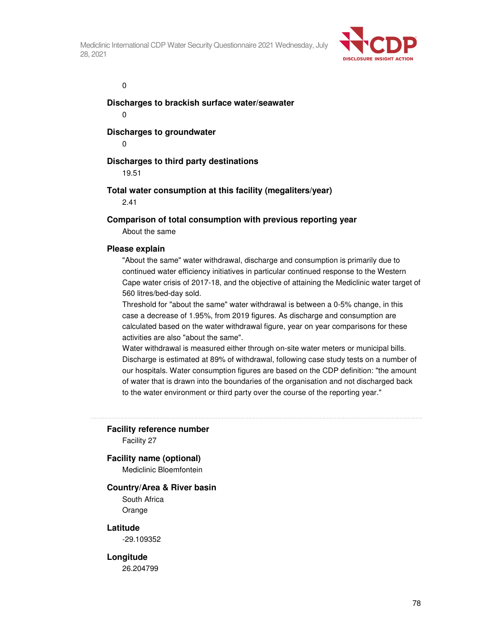

 $\overline{0}$ 

**Discharges to brackish surface water/seawater** 

0

**Discharges to groundwater** 

0

# **Discharges to third party destinations**

19.51

# **Total water consumption at this facility (megaliters/year)**

2.41

## **Comparison of total consumption with previous reporting year**

About the same

### **Please explain**

"About the same" water withdrawal, discharge and consumption is primarily due to continued water efficiency initiatives in particular continued response to the Western Cape water crisis of 2017-18, and the objective of attaining the Mediclinic water target of 560 litres/bed-day sold.

Threshold for "about the same" water withdrawal is between a 0-5% change, in this case a decrease of 1.95%, from 2019 figures. As discharge and consumption are calculated based on the water withdrawal figure, year on year comparisons for these activities are also "about the same".

Water withdrawal is measured either through on-site water meters or municipal bills. Discharge is estimated at 89% of withdrawal, following case study tests on a number of our hospitals. Water consumption figures are based on the CDP definition: "the amount of water that is drawn into the boundaries of the organisation and not discharged back to the water environment or third party over the course of the reporting year."

**Facility reference number** 

Facility 27

### **Facility name (optional)**

Mediclinic Bloemfontein

### **Country/Area & River basin**

South Africa Orange

### **Latitude**

-29.109352

### **Longitude**

26.204799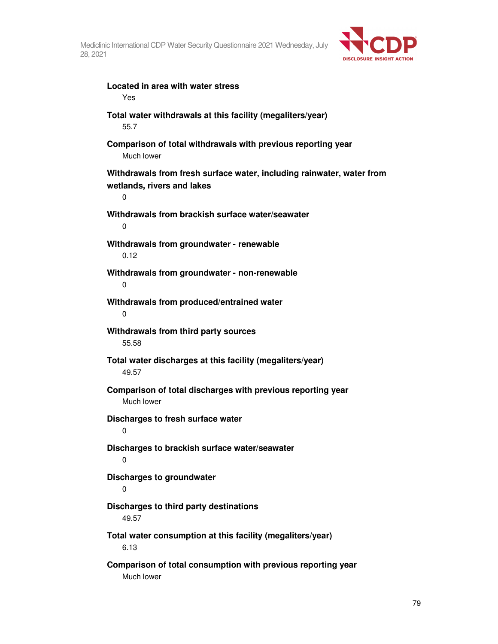

**Located in area with water stress**  Yes **Total water withdrawals at this facility (megaliters/year)**  55.7 **Comparison of total withdrawals with previous reporting year**  Much lower **Withdrawals from fresh surface water, including rainwater, water from wetlands, rivers and lakes**  0 **Withdrawals from brackish surface water/seawater**   $\Omega$ **Withdrawals from groundwater - renewable**  0.12 **Withdrawals from groundwater - non-renewable**  0 **Withdrawals from produced/entrained water**  0 **Withdrawals from third party sources**  55.58 **Total water discharges at this facility (megaliters/year)**  49.57 **Comparison of total discharges with previous reporting year**  Much lower **Discharges to fresh surface water**   $\Omega$ **Discharges to brackish surface water/seawater**   $\Omega$ **Discharges to groundwater**   $\Omega$ **Discharges to third party destinations**  49.57 **Total water consumption at this facility (megaliters/year)**  6.13 **Comparison of total consumption with previous reporting year**  Much lower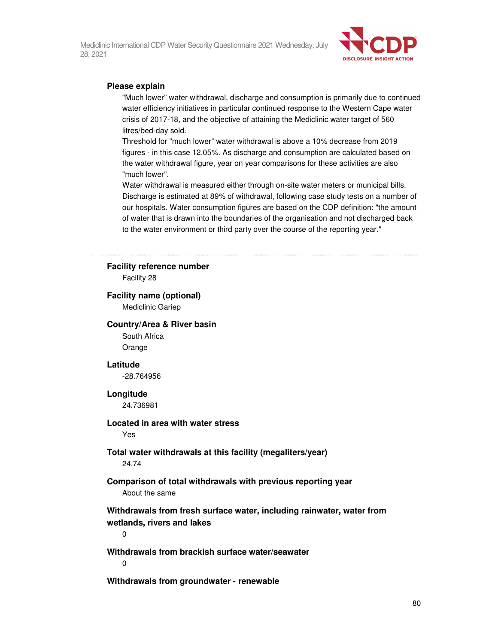

### **Please explain**

"Much lower" water withdrawal, discharge and consumption is primarily due to continued water efficiency initiatives in particular continued response to the Western Cape water crisis of 2017-18, and the objective of attaining the Mediclinic water target of 560 litres/bed-day sold.

Threshold for "much lower" water withdrawal is above a 10% decrease from 2019 figures - in this case 12.05%. As discharge and consumption are calculated based on the water withdrawal figure, year on year comparisons for these activities are also "much lower".

Water withdrawal is measured either through on-site water meters or municipal bills. Discharge is estimated at 89% of withdrawal, following case study tests on a number of our hospitals. Water consumption figures are based on the CDP definition: "the amount of water that is drawn into the boundaries of the organisation and not discharged back to the water environment or third party over the course of the reporting year."

#### **Facility reference number**

Facility 28

### **Facility name (optional)**

Mediclinic Gariep

### **Country/Area & River basin**

South Africa Orange

#### **Latitude**

-28.764956

#### **Longitude**

24.736981

### **Located in area with water stress**

Yes

### **Total water withdrawals at this facility (megaliters/year)**  24.74

### **Comparison of total withdrawals with previous reporting year**  About the same

**Withdrawals from fresh surface water, including rainwater, water from wetlands, rivers and lakes** 

0

**Withdrawals from brackish surface water/seawater** 

 $\Omega$ 

**Withdrawals from groundwater - renewable**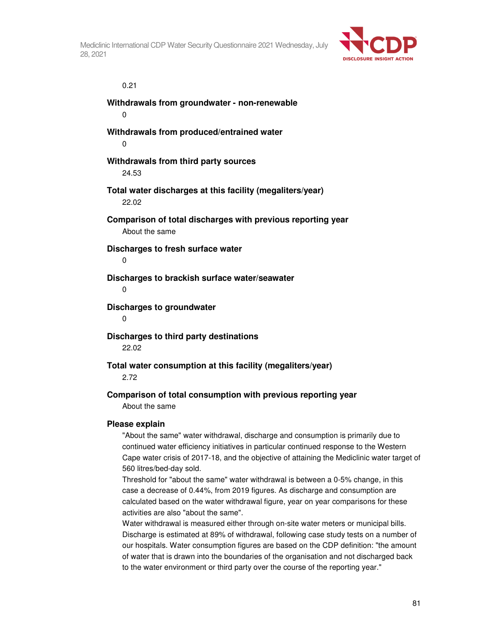

# 0.21

0 **Withdrawals from produced/entrained water**  0

**Withdrawals from groundwater - non-renewable** 

### **Withdrawals from third party sources**

24.53

# **Total water discharges at this facility (megaliters/year)**  22.02

**Comparison of total discharges with previous reporting year**  About the same

**Discharges to fresh surface water** 

0

### **Discharges to brackish surface water/seawater**

 $\Omega$ 

### **Discharges to groundwater**

0

# **Discharges to third party destinations**

22.02

# **Total water consumption at this facility (megaliters/year)**

2.72

# **Comparison of total consumption with previous reporting year**

About the same

### **Please explain**

"About the same" water withdrawal, discharge and consumption is primarily due to continued water efficiency initiatives in particular continued response to the Western Cape water crisis of 2017-18, and the objective of attaining the Mediclinic water target of 560 litres/bed-day sold.

Threshold for "about the same" water withdrawal is between a 0-5% change, in this case a decrease of 0.44%, from 2019 figures. As discharge and consumption are calculated based on the water withdrawal figure, year on year comparisons for these activities are also "about the same".

Water withdrawal is measured either through on-site water meters or municipal bills. Discharge is estimated at 89% of withdrawal, following case study tests on a number of our hospitals. Water consumption figures are based on the CDP definition: "the amount of water that is drawn into the boundaries of the organisation and not discharged back to the water environment or third party over the course of the reporting year."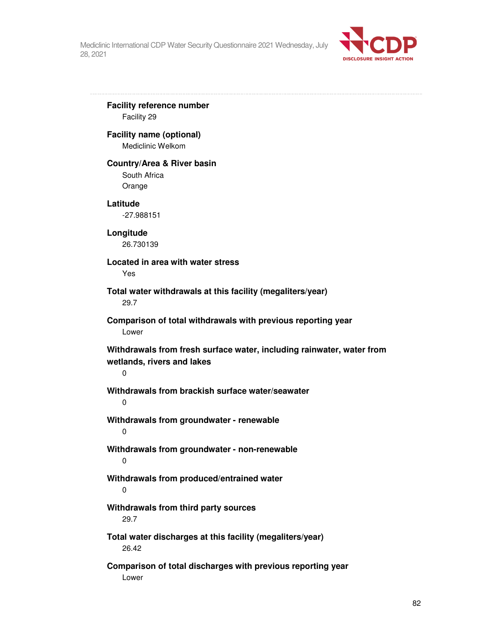

**Facility reference number**  Facility 29 **Facility name (optional)**  Mediclinic Welkom **Country/Area & River basin**  South Africa Orange **Latitude**  -27.988151 **Longitude**  26.730139 **Located in area with water stress**  Yes **Total water withdrawals at this facility (megaliters/year)**  29.7 **Comparison of total withdrawals with previous reporting year**  Lower **Withdrawals from fresh surface water, including rainwater, water from wetlands, rivers and lakes**  0 **Withdrawals from brackish surface water/seawater**   $\Omega$ **Withdrawals from groundwater - renewable**  0 **Withdrawals from groundwater - non-renewable**  0 **Withdrawals from produced/entrained water**  0 **Withdrawals from third party sources**  29.7 **Total water discharges at this facility (megaliters/year)**  26.42 **Comparison of total discharges with previous reporting year** 

Lower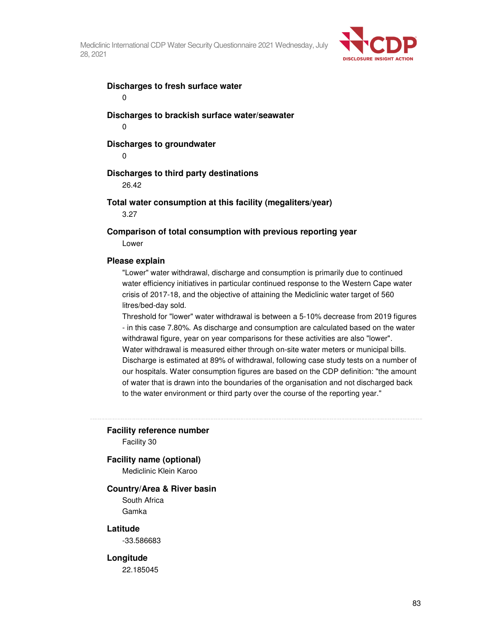

# **Discharges to fresh surface water**

0

**Discharges to brackish surface water/seawater**  0

### **Discharges to groundwater**

 $\Omega$ 

### **Discharges to third party destinations**

26.42

### **Total water consumption at this facility (megaliters/year)**

3.27

**Comparison of total consumption with previous reporting year**  Lower

### **Please explain**

"Lower" water withdrawal, discharge and consumption is primarily due to continued water efficiency initiatives in particular continued response to the Western Cape water crisis of 2017-18, and the objective of attaining the Mediclinic water target of 560 litres/bed-day sold.

Threshold for "lower" water withdrawal is between a 5-10% decrease from 2019 figures - in this case 7.80%. As discharge and consumption are calculated based on the water withdrawal figure, year on year comparisons for these activities are also "lower". Water withdrawal is measured either through on-site water meters or municipal bills. Discharge is estimated at 89% of withdrawal, following case study tests on a number of our hospitals. Water consumption figures are based on the CDP definition: "the amount of water that is drawn into the boundaries of the organisation and not discharged back to the water environment or third party over the course of the reporting year."

### **Facility reference number**

Facility 30

### **Facility name (optional)**

Mediclinic Klein Karoo

### **Country/Area & River basin**

South Africa Gamka

### **Latitude**

-33.586683

### **Longitude**

22.185045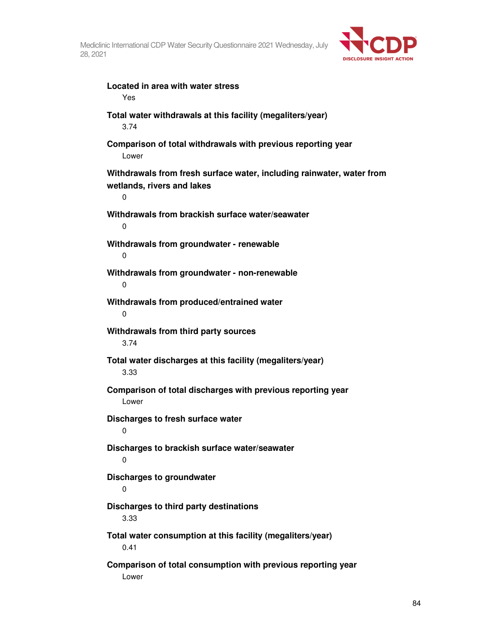

**Located in area with water stress**  Yes **Total water withdrawals at this facility (megaliters/year)**  3.74 **Comparison of total withdrawals with previous reporting year**  Lower **Withdrawals from fresh surface water, including rainwater, water from wetlands, rivers and lakes**  0 **Withdrawals from brackish surface water/seawater**  0 **Withdrawals from groundwater - renewable**  0 **Withdrawals from groundwater - non-renewable**  0 **Withdrawals from produced/entrained water**  0 **Withdrawals from third party sources**  3.74 **Total water discharges at this facility (megaliters/year)**  3.33 **Comparison of total discharges with previous reporting year**  Lower **Discharges to fresh surface water**   $\Omega$ **Discharges to brackish surface water/seawater**  0 **Discharges to groundwater**  0 **Discharges to third party destinations**  3.33 **Total water consumption at this facility (megaliters/year)**  0.41 **Comparison of total consumption with previous reporting year**  Lower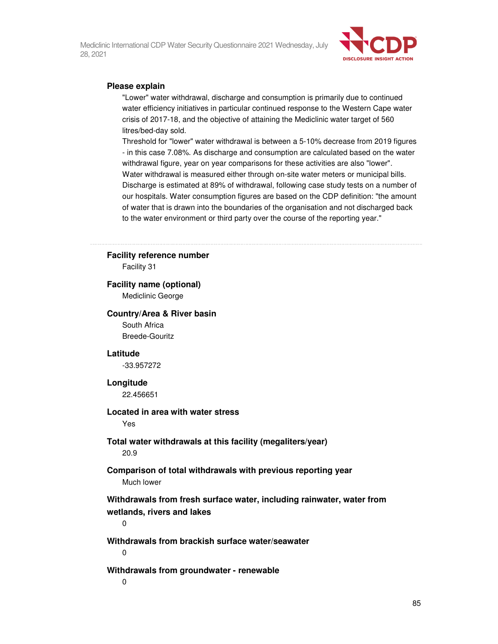

### **Please explain**

"Lower" water withdrawal, discharge and consumption is primarily due to continued water efficiency initiatives in particular continued response to the Western Cape water crisis of 2017-18, and the objective of attaining the Mediclinic water target of 560 litres/bed-day sold.

Threshold for "lower" water withdrawal is between a 5-10% decrease from 2019 figures - in this case 7.08%. As discharge and consumption are calculated based on the water withdrawal figure, year on year comparisons for these activities are also "lower". Water withdrawal is measured either through on-site water meters or municipal bills. Discharge is estimated at 89% of withdrawal, following case study tests on a number of our hospitals. Water consumption figures are based on the CDP definition: "the amount of water that is drawn into the boundaries of the organisation and not discharged back to the water environment or third party over the course of the reporting year."

### **Facility reference number**

Facility 31

### **Facility name (optional)**

Mediclinic George

### **Country/Area & River basin**

South Africa Breede-Gouritz

### **Latitude**

-33.957272

### **Longitude**

22.456651

### **Located in area with water stress**

Yes

### **Total water withdrawals at this facility (megaliters/year)**  20.9

### **Comparison of total withdrawals with previous reporting year**  Much lower

**Withdrawals from fresh surface water, including rainwater, water from wetlands, rivers and lakes** 

0

**Withdrawals from brackish surface water/seawater**   $\Omega$ 

#### **Withdrawals from groundwater - renewable**

0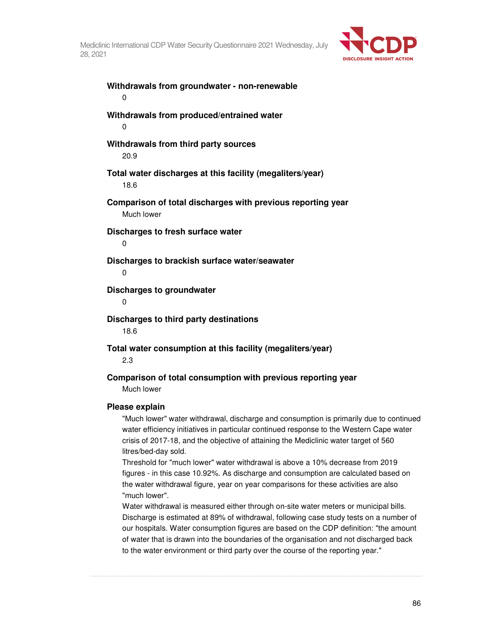

**Withdrawals from groundwater - non-renewable**  0 **Withdrawals from produced/entrained water**  0 **Withdrawals from third party sources**  20.9 **Total water discharges at this facility (megaliters/year)**  18.6 **Comparison of total discharges with previous reporting year**  Much lower **Discharges to fresh surface water**  0 **Discharges to brackish surface water/seawater**   $\Omega$ **Discharges to groundwater**   $\Omega$ **Discharges to third party destinations**  18.6 **Total water consumption at this facility (megaliters/year)**  2.3 **Comparison of total consumption with previous reporting year**  Much lower

### **Please explain**

"Much lower" water withdrawal, discharge and consumption is primarily due to continued water efficiency initiatives in particular continued response to the Western Cape water crisis of 2017-18, and the objective of attaining the Mediclinic water target of 560 litres/bed-day sold.

Threshold for "much lower" water withdrawal is above a 10% decrease from 2019 figures - in this case 10.92%. As discharge and consumption are calculated based on the water withdrawal figure, year on year comparisons for these activities are also "much lower".

Water withdrawal is measured either through on-site water meters or municipal bills. Discharge is estimated at 89% of withdrawal, following case study tests on a number of our hospitals. Water consumption figures are based on the CDP definition: "the amount of water that is drawn into the boundaries of the organisation and not discharged back to the water environment or third party over the course of the reporting year."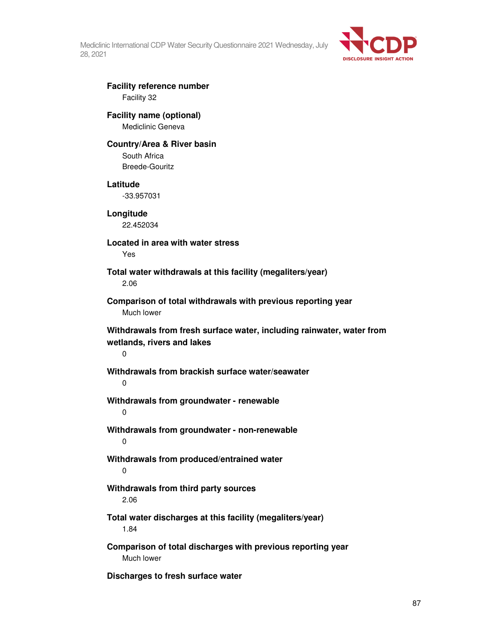

# **Facility reference number**  Facility 32

### **Facility name (optional)**  Mediclinic Geneva

### **Country/Area & River basin**

South Africa Breede-Gouritz

### **Latitude**

-33.957031

**Longitude**  22.452034

**Located in area with water stress**  Yes

**Total water withdrawals at this facility (megaliters/year)**  2.06

**Comparison of total withdrawals with previous reporting year**  Much lower

**Withdrawals from fresh surface water, including rainwater, water from wetlands, rivers and lakes** 

0

# **Withdrawals from brackish surface water/seawater**

 $\Omega$ 

**Withdrawals from groundwater - renewable** 

0

**Withdrawals from groundwater - non-renewable**  0

**Withdrawals from produced/entrained water**  0

# **Withdrawals from third party sources**  2.06

**Total water discharges at this facility (megaliters/year)**  1.84

**Comparison of total discharges with previous reporting year**  Much lower

**Discharges to fresh surface water**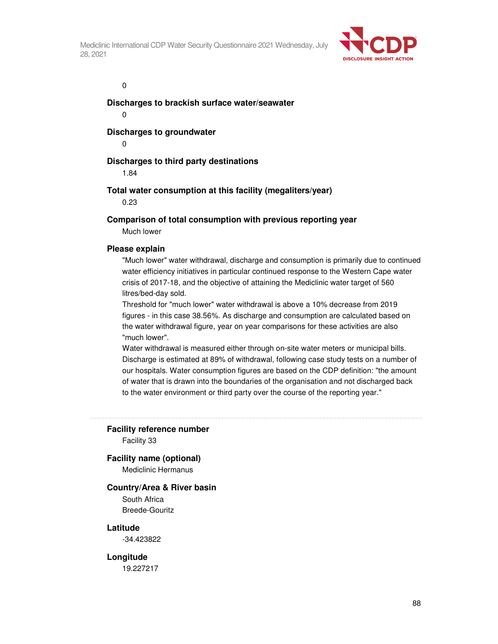

 $\overline{0}$ 

**Discharges to brackish surface water/seawater** 

0

**Discharges to groundwater** 

0

## **Discharges to third party destinations**

1.84

### **Total water consumption at this facility (megaliters/year)**

0.23

## **Comparison of total consumption with previous reporting year**

Much lower

### **Please explain**

"Much lower" water withdrawal, discharge and consumption is primarily due to continued water efficiency initiatives in particular continued response to the Western Cape water crisis of 2017-18, and the objective of attaining the Mediclinic water target of 560 litres/bed-day sold.

Threshold for "much lower" water withdrawal is above a 10% decrease from 2019 figures - in this case 38.56%. As discharge and consumption are calculated based on the water withdrawal figure, year on year comparisons for these activities are also "much lower".

Water withdrawal is measured either through on-site water meters or municipal bills. Discharge is estimated at 89% of withdrawal, following case study tests on a number of our hospitals. Water consumption figures are based on the CDP definition: "the amount of water that is drawn into the boundaries of the organisation and not discharged back to the water environment or third party over the course of the reporting year."

### **Facility reference number**

Facility 33

### **Facility name (optional)**

Mediclinic Hermanus

### **Country/Area & River basin**

South Africa Breede-Gouritz

### **Latitude**

-34.423822

### **Longitude**

19.227217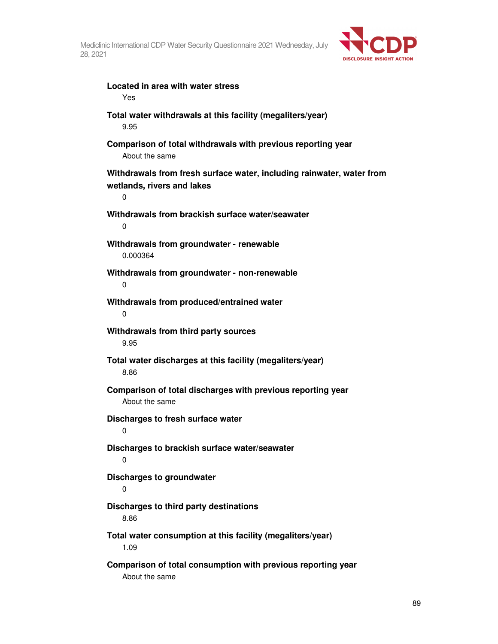

**Located in area with water stress**  Yes **Total water withdrawals at this facility (megaliters/year)**  9.95 **Comparison of total withdrawals with previous reporting year**  About the same **Withdrawals from fresh surface water, including rainwater, water from wetlands, rivers and lakes**  0 **Withdrawals from brackish surface water/seawater**   $\Omega$ **Withdrawals from groundwater - renewable**  0.000364 **Withdrawals from groundwater - non-renewable**  0 **Withdrawals from produced/entrained water**  0 **Withdrawals from third party sources**  9.95 **Total water discharges at this facility (megaliters/year)**  8.86 **Comparison of total discharges with previous reporting year**  About the same **Discharges to fresh surface water**   $\Omega$ **Discharges to brackish surface water/seawater**   $\Omega$ **Discharges to groundwater**  0 **Discharges to third party destinations**  8.86 **Total water consumption at this facility (megaliters/year)**  1.09 **Comparison of total consumption with previous reporting year**  About the same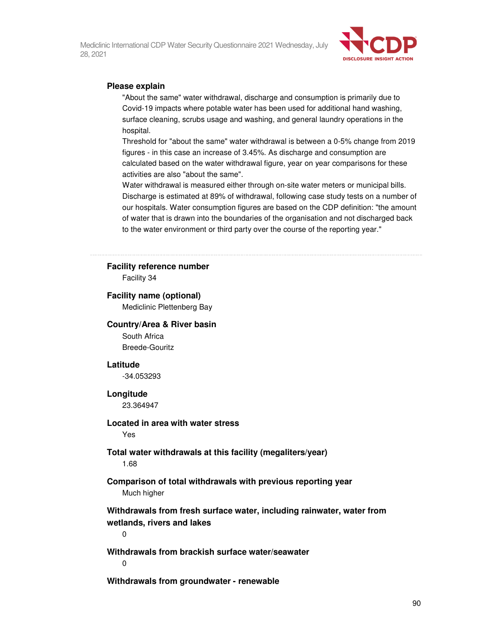

### **Please explain**

"About the same" water withdrawal, discharge and consumption is primarily due to Covid-19 impacts where potable water has been used for additional hand washing, surface cleaning, scrubs usage and washing, and general laundry operations in the hospital.

Threshold for "about the same" water withdrawal is between a 0-5% change from 2019 figures - in this case an increase of 3.45%. As discharge and consumption are calculated based on the water withdrawal figure, year on year comparisons for these activities are also "about the same".

Water withdrawal is measured either through on-site water meters or municipal bills. Discharge is estimated at 89% of withdrawal, following case study tests on a number of our hospitals. Water consumption figures are based on the CDP definition: "the amount of water that is drawn into the boundaries of the organisation and not discharged back to the water environment or third party over the course of the reporting year."

#### **Facility reference number**

Facility 34

### **Facility name (optional)**

Mediclinic Plettenberg Bay

### **Country/Area & River basin**

South Africa Breede-Gouritz

#### **Latitude**

-34.053293

### **Longitude**

23.364947

# **Located in area with water stress**

Yes

### **Total water withdrawals at this facility (megaliters/year)**  1.68

### **Comparison of total withdrawals with previous reporting year**  Much higher

**Withdrawals from fresh surface water, including rainwater, water from wetlands, rivers and lakes** 

0

**Withdrawals from brackish surface water/seawater** 

 $\Omega$ 

**Withdrawals from groundwater - renewable**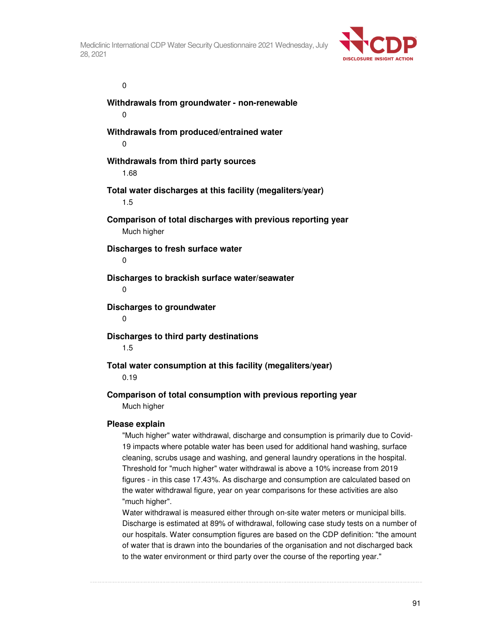

 $\overline{0}$ 

**Withdrawals from groundwater - non-renewable**  0 **Withdrawals from produced/entrained water**  0 **Withdrawals from third party sources**  1.68 **Total water discharges at this facility (megaliters/year)**  1.5 **Comparison of total discharges with previous reporting year**  Much higher **Discharges to fresh surface water**  0 **Discharges to brackish surface water/seawater**   $\Omega$ **Discharges to groundwater**  0 **Discharges to third party destinations**  1.5 **Total water consumption at this facility (megaliters/year)**  0.19

# **Comparison of total consumption with previous reporting year**  Much higher

### **Please explain**

"Much higher" water withdrawal, discharge and consumption is primarily due to Covid-19 impacts where potable water has been used for additional hand washing, surface cleaning, scrubs usage and washing, and general laundry operations in the hospital. Threshold for "much higher" water withdrawal is above a 10% increase from 2019 figures - in this case 17.43%. As discharge and consumption are calculated based on the water withdrawal figure, year on year comparisons for these activities are also "much higher".

Water withdrawal is measured either through on-site water meters or municipal bills. Discharge is estimated at 89% of withdrawal, following case study tests on a number of our hospitals. Water consumption figures are based on the CDP definition: "the amount of water that is drawn into the boundaries of the organisation and not discharged back to the water environment or third party over the course of the reporting year."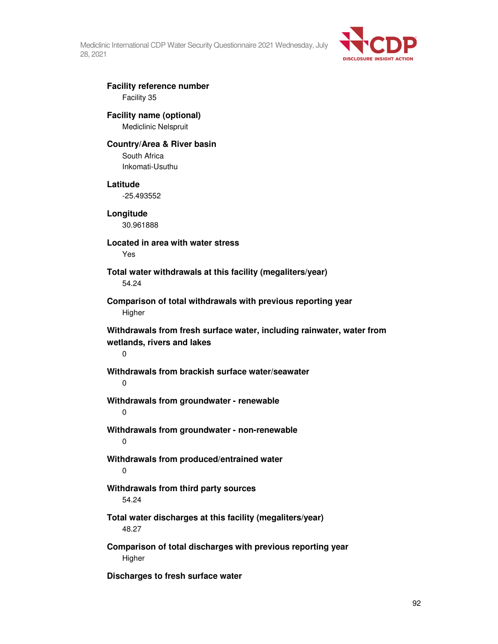

# **Facility reference number**  Facility 35

# **Facility name (optional)**  Mediclinic Nelspruit

# **Country/Area & River basin**

South Africa Inkomati-Usuthu

## **Latitude**

-25.493552

**Longitude**  30.961888

**Located in area with water stress**  Yes

**Total water withdrawals at this facility (megaliters/year)**  54.24

**Comparison of total withdrawals with previous reporting year Higher** 

**Withdrawals from fresh surface water, including rainwater, water from wetlands, rivers and lakes** 

0

# **Withdrawals from brackish surface water/seawater**

 $\Omega$ 

**Withdrawals from groundwater - renewable** 

0

**Withdrawals from groundwater - non-renewable**  0

**Withdrawals from produced/entrained water**  0

# **Withdrawals from third party sources**  54.24

# **Total water discharges at this facility (megaliters/year)**  48.27

**Comparison of total discharges with previous reporting year**  Higher

**Discharges to fresh surface water**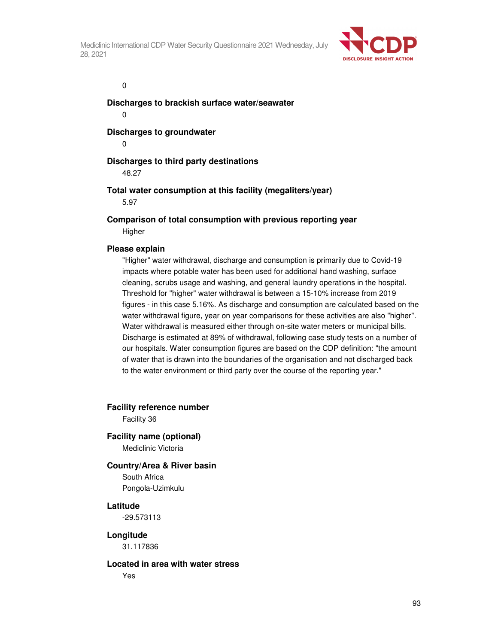

 $\overline{0}$ 

**Discharges to brackish surface water/seawater** 

0

**Discharges to groundwater** 

0

# **Discharges to third party destinations**

48.27

**Total water consumption at this facility (megaliters/year)** 

5.97

**Comparison of total consumption with previous reporting year Higher** 

### **Please explain**

"Higher" water withdrawal, discharge and consumption is primarily due to Covid-19 impacts where potable water has been used for additional hand washing, surface cleaning, scrubs usage and washing, and general laundry operations in the hospital. Threshold for "higher" water withdrawal is between a 15-10% increase from 2019 figures - in this case 5.16%. As discharge and consumption are calculated based on the water withdrawal figure, year on year comparisons for these activities are also "higher". Water withdrawal is measured either through on-site water meters or municipal bills. Discharge is estimated at 89% of withdrawal, following case study tests on a number of our hospitals. Water consumption figures are based on the CDP definition: "the amount of water that is drawn into the boundaries of the organisation and not discharged back to the water environment or third party over the course of the reporting year."

**Facility reference number** 

Facility 36

# **Facility name (optional)**

Mediclinic Victoria

### **Country/Area & River basin**

South Africa Pongola-Uzimkulu

### **Latitude**

-29.573113

### **Longitude**

31.117836

### **Located in area with water stress**

Yes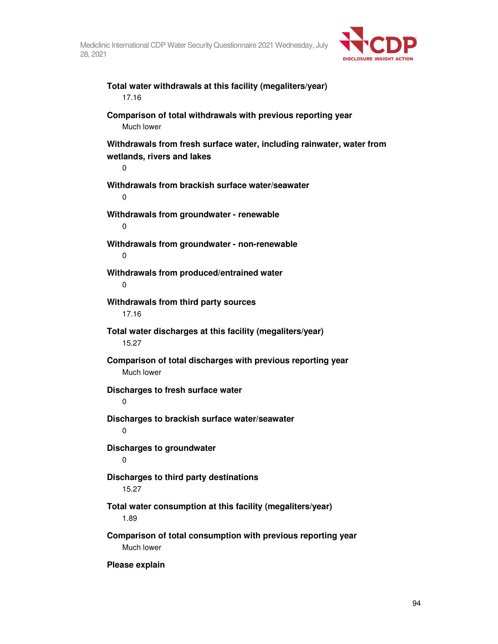

**Total water withdrawals at this facility (megaliters/year)**  17.16 **Comparison of total withdrawals with previous reporting year**  Much lower **Withdrawals from fresh surface water, including rainwater, water from wetlands, rivers and lakes**  0 **Withdrawals from brackish surface water/seawater**  0 **Withdrawals from groundwater - renewable**  0 **Withdrawals from groundwater - non-renewable**  0 **Withdrawals from produced/entrained water**  0 **Withdrawals from third party sources**  17.16 **Total water discharges at this facility (megaliters/year)**  15.27 **Comparison of total discharges with previous reporting year**  Much lower **Discharges to fresh surface water**  0 **Discharges to brackish surface water/seawater**   $\Omega$ **Discharges to groundwater**  0 **Discharges to third party destinations**  15.27 **Total water consumption at this facility (megaliters/year)**  1.89 **Comparison of total consumption with previous reporting year**  Much lower

**Please explain**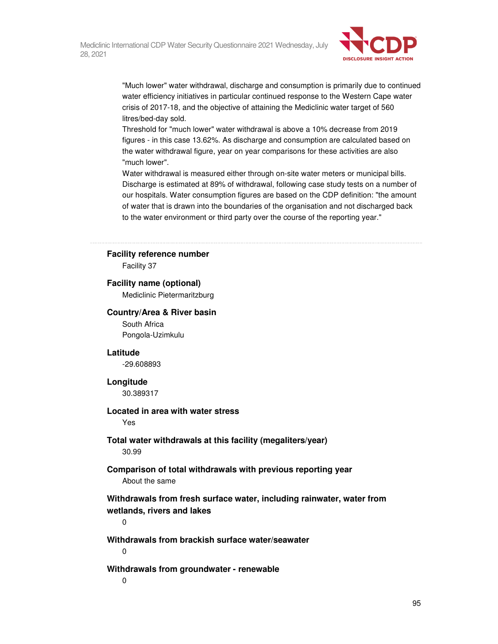

"Much lower" water withdrawal, discharge and consumption is primarily due to continued water efficiency initiatives in particular continued response to the Western Cape water crisis of 2017-18, and the objective of attaining the Mediclinic water target of 560 litres/bed-day sold.

Threshold for "much lower" water withdrawal is above a 10% decrease from 2019 figures - in this case 13.62%. As discharge and consumption are calculated based on the water withdrawal figure, year on year comparisons for these activities are also "much lower".

Water withdrawal is measured either through on-site water meters or municipal bills. Discharge is estimated at 89% of withdrawal, following case study tests on a number of our hospitals. Water consumption figures are based on the CDP definition: "the amount of water that is drawn into the boundaries of the organisation and not discharged back to the water environment or third party over the course of the reporting year."

### **Facility reference number**

Facility 37

### **Facility name (optional)**

Mediclinic Pietermaritzburg

### **Country/Area & River basin**

South Africa Pongola-Uzimkulu

### **Latitude**

-29.608893

### **Longitude**

30.389317

### **Located in area with water stress**

Yes

### **Total water withdrawals at this facility (megaliters/year)**  30.99

## **Comparison of total withdrawals with previous reporting year**  About the same

**Withdrawals from fresh surface water, including rainwater, water from wetlands, rivers and lakes** 

 $\Omega$ 

### **Withdrawals from brackish surface water/seawater**

0

### **Withdrawals from groundwater - renewable**

0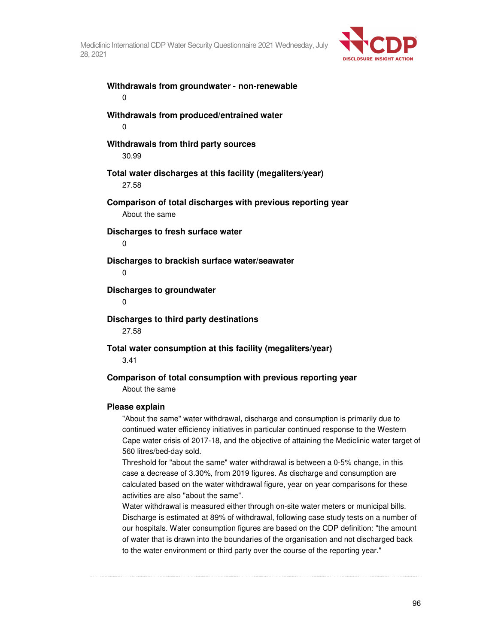

**Withdrawals from groundwater - non-renewable**  0 **Withdrawals from produced/entrained water**  0 **Withdrawals from third party sources**  30.99 **Total water discharges at this facility (megaliters/year)**  27.58 **Comparison of total discharges with previous reporting year**  About the same **Discharges to fresh surface water**  0 **Discharges to brackish surface water/seawater**   $\Omega$ **Discharges to groundwater**   $\Omega$ **Discharges to third party destinations**  27.58 **Total water consumption at this facility (megaliters/year)**  3.41 **Comparison of total consumption with previous reporting year**  About the same **Please explain** 

"About the same" water withdrawal, discharge and consumption is primarily due to continued water efficiency initiatives in particular continued response to the Western Cape water crisis of 2017-18, and the objective of attaining the Mediclinic water target of 560 litres/bed-day sold.

Threshold for "about the same" water withdrawal is between a 0-5% change, in this case a decrease of 3.30%, from 2019 figures. As discharge and consumption are calculated based on the water withdrawal figure, year on year comparisons for these activities are also "about the same".

Water withdrawal is measured either through on-site water meters or municipal bills. Discharge is estimated at 89% of withdrawal, following case study tests on a number of our hospitals. Water consumption figures are based on the CDP definition: "the amount of water that is drawn into the boundaries of the organisation and not discharged back to the water environment or third party over the course of the reporting year."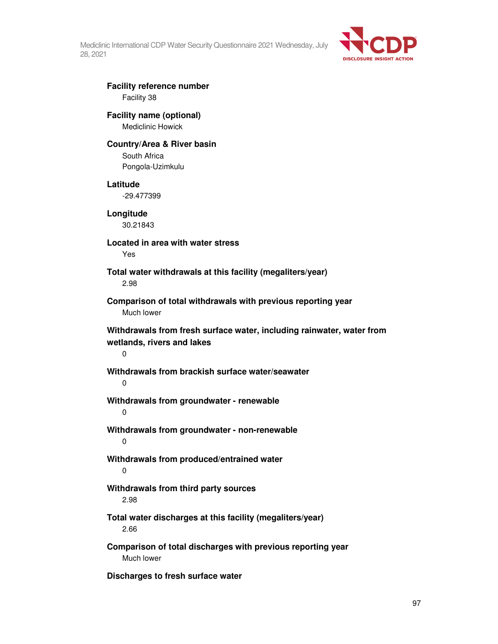

# **Facility reference number**  Facility 38

## **Facility name (optional)**  Mediclinic Howick

### **Country/Area & River basin**

South Africa Pongola-Uzimkulu

### **Latitude**

-29.477399

**Longitude**  30.21843

**Located in area with water stress**  Yes

**Total water withdrawals at this facility (megaliters/year)**  2.98

**Comparison of total withdrawals with previous reporting year**  Much lower

**Withdrawals from fresh surface water, including rainwater, water from wetlands, rivers and lakes** 

0

# **Withdrawals from brackish surface water/seawater**

 $\Omega$ 

**Withdrawals from groundwater - renewable** 

0

**Withdrawals from groundwater - non-renewable**  0

**Withdrawals from produced/entrained water**  0

# **Withdrawals from third party sources**  2.98

**Total water discharges at this facility (megaliters/year)**  2.66

**Comparison of total discharges with previous reporting year**  Much lower

**Discharges to fresh surface water**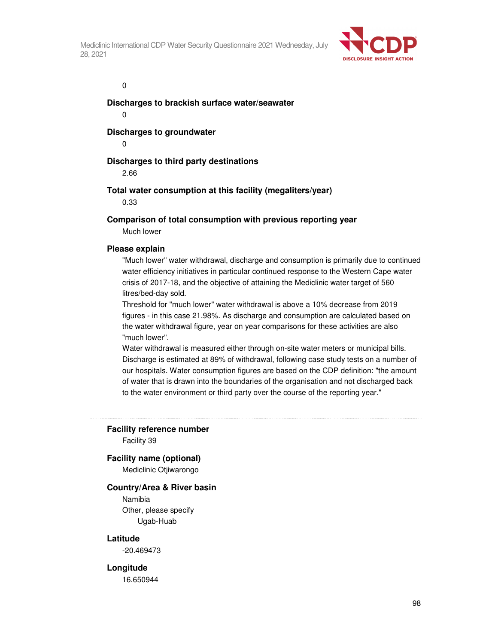

 $\overline{0}$ 

**Discharges to brackish surface water/seawater** 

0

**Discharges to groundwater** 

0

## **Discharges to third party destinations**

2.66

## **Total water consumption at this facility (megaliters/year)**

0.33

## **Comparison of total consumption with previous reporting year**

Much lower

### **Please explain**

"Much lower" water withdrawal, discharge and consumption is primarily due to continued water efficiency initiatives in particular continued response to the Western Cape water crisis of 2017-18, and the objective of attaining the Mediclinic water target of 560 litres/bed-day sold.

Threshold for "much lower" water withdrawal is above a 10% decrease from 2019 figures - in this case 21.98%. As discharge and consumption are calculated based on the water withdrawal figure, year on year comparisons for these activities are also "much lower".

Water withdrawal is measured either through on-site water meters or municipal bills. Discharge is estimated at 89% of withdrawal, following case study tests on a number of our hospitals. Water consumption figures are based on the CDP definition: "the amount of water that is drawn into the boundaries of the organisation and not discharged back to the water environment or third party over the course of the reporting year."

### **Facility reference number**

Facility 39

### **Facility name (optional)**

Mediclinic Otjiwarongo

### **Country/Area & River basin**

Namibia Other, please specify Ugab-Huab

### **Latitude**

-20.469473

### **Longitude**

16.650944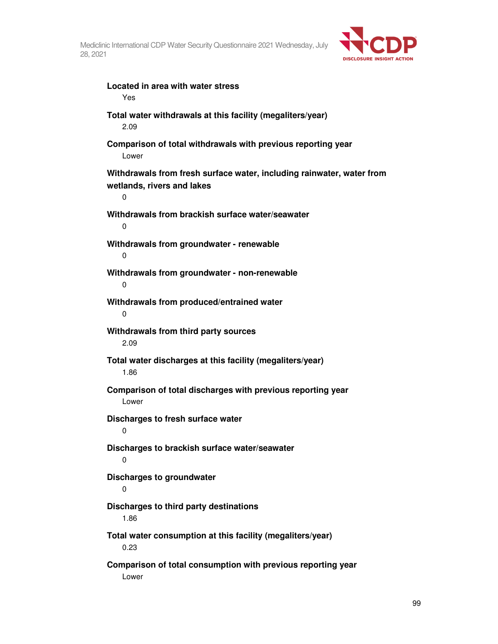

**Located in area with water stress**  Yes **Total water withdrawals at this facility (megaliters/year)**  2.09 **Comparison of total withdrawals with previous reporting year**  Lower **Withdrawals from fresh surface water, including rainwater, water from wetlands, rivers and lakes**  0 **Withdrawals from brackish surface water/seawater**  0 **Withdrawals from groundwater - renewable**  0 **Withdrawals from groundwater - non-renewable**  0 **Withdrawals from produced/entrained water**  0 **Withdrawals from third party sources**  2.09 **Total water discharges at this facility (megaliters/year)**  1.86 **Comparison of total discharges with previous reporting year**  Lower **Discharges to fresh surface water**   $\Omega$ **Discharges to brackish surface water/seawater**  0 **Discharges to groundwater**  0 **Discharges to third party destinations**  1.86 **Total water consumption at this facility (megaliters/year)**  0.23 **Comparison of total consumption with previous reporting year**  Lower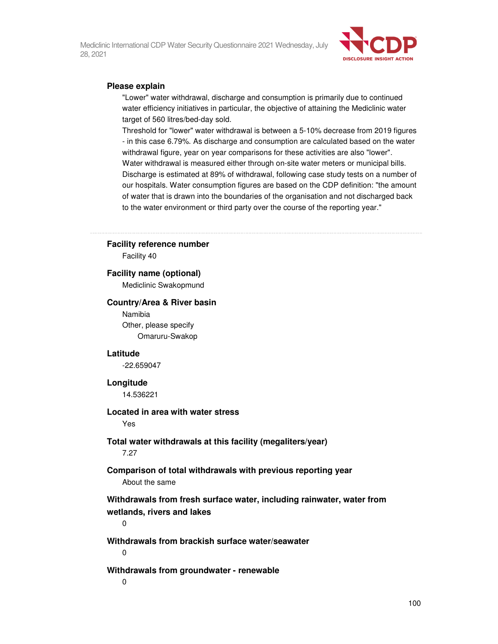

### **Please explain**

"Lower" water withdrawal, discharge and consumption is primarily due to continued water efficiency initiatives in particular, the objective of attaining the Mediclinic water target of 560 litres/bed-day sold.

Threshold for "lower" water withdrawal is between a 5-10% decrease from 2019 figures - in this case 6.79%. As discharge and consumption are calculated based on the water withdrawal figure, year on year comparisons for these activities are also "lower". Water withdrawal is measured either through on-site water meters or municipal bills. Discharge is estimated at 89% of withdrawal, following case study tests on a number of our hospitals. Water consumption figures are based on the CDP definition: "the amount of water that is drawn into the boundaries of the organisation and not discharged back to the water environment or third party over the course of the reporting year."

### **Facility reference number**

Facility 40

### **Facility name (optional)**

Mediclinic Swakopmund

#### **Country/Area & River basin**

Namibia Other, please specify Omaruru-Swakop

### **Latitude**

-22.659047

#### **Longitude**

14.536221

### **Located in area with water stress**

Yes

# **Total water withdrawals at this facility (megaliters/year)**

7.27

### **Comparison of total withdrawals with previous reporting year**  About the same

**Withdrawals from fresh surface water, including rainwater, water from wetlands, rivers and lakes** 

0

**Withdrawals from brackish surface water/seawater**   $\Omega$ 

#### **Withdrawals from groundwater - renewable**

0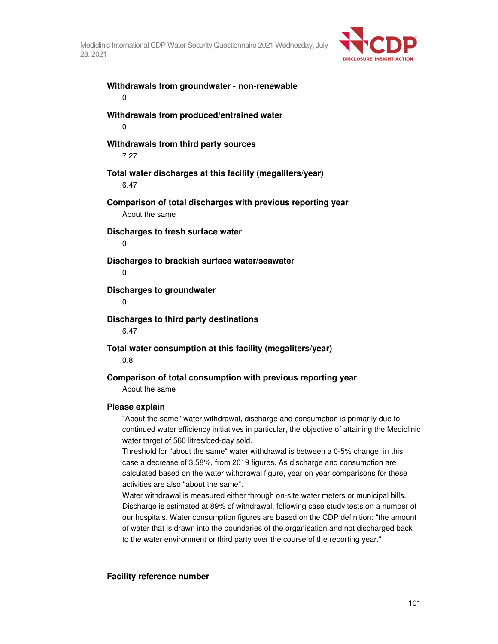

**Withdrawals from groundwater - non-renewable**  0 **Withdrawals from produced/entrained water**  0 **Withdrawals from third party sources**  7.27 **Total water discharges at this facility (megaliters/year)**  6.47 **Comparison of total discharges with previous reporting year**  About the same **Discharges to fresh surface water**  0 **Discharges to brackish surface water/seawater**   $\Omega$ **Discharges to groundwater**   $\Omega$ **Discharges to third party destinations**  6.47 **Total water consumption at this facility (megaliters/year)**  0.8 **Comparison of total consumption with previous reporting year**  About the same **Please explain** 

"About the same" water withdrawal, discharge and consumption is primarily due to continued water efficiency initiatives in particular, the objective of attaining the Mediclinic water target of 560 litres/bed-day sold.

Threshold for "about the same" water withdrawal is between a 0-5% change, in this case a decrease of 3.58%, from 2019 figures. As discharge and consumption are calculated based on the water withdrawal figure, year on year comparisons for these activities are also "about the same".

Water withdrawal is measured either through on-site water meters or municipal bills. Discharge is estimated at 89% of withdrawal, following case study tests on a number of our hospitals. Water consumption figures are based on the CDP definition: "the amount of water that is drawn into the boundaries of the organisation and not discharged back to the water environment or third party over the course of the reporting year."

**Facility reference number**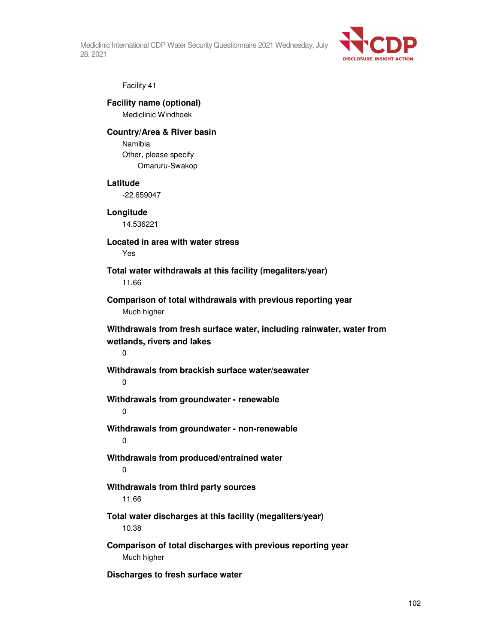

### Facility 41

### **Facility name (optional)**  Mediclinic Windhoek

**Country/Area & River basin** 

Namibia Other, please specify Omaruru-Swakop

### **Latitude**

-22.659047

# **Longitude**

14.536221

**Located in area with water stress** 

Yes

**Total water withdrawals at this facility (megaliters/year)**  11.66

**Comparison of total withdrawals with previous reporting year**  Much higher

**Withdrawals from fresh surface water, including rainwater, water from wetlands, rivers and lakes** 

 $\Omega$ 

**Withdrawals from brackish surface water/seawater** 

 $\Omega$ 

**Withdrawals from groundwater - renewable** 

0

**Withdrawals from groundwater - non-renewable**  0

**Withdrawals from produced/entrained water**  0

### **Withdrawals from third party sources**  11.66

**Total water discharges at this facility (megaliters/year)**  10.38

**Comparison of total discharges with previous reporting year**  Much higher

**Discharges to fresh surface water**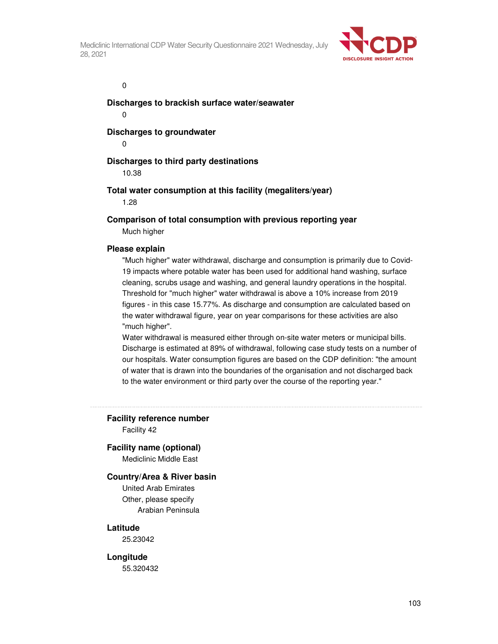

 $\overline{0}$ 

**Discharges to brackish surface water/seawater** 

0

**Discharges to groundwater** 

0

# **Discharges to third party destinations**

10.38

# **Total water consumption at this facility (megaliters/year)**

1.28

# **Comparison of total consumption with previous reporting year**

Much higher

### **Please explain**

"Much higher" water withdrawal, discharge and consumption is primarily due to Covid-19 impacts where potable water has been used for additional hand washing, surface cleaning, scrubs usage and washing, and general laundry operations in the hospital. Threshold for "much higher" water withdrawal is above a 10% increase from 2019 figures - in this case 15.77%. As discharge and consumption are calculated based on the water withdrawal figure, year on year comparisons for these activities are also "much higher".

Water withdrawal is measured either through on-site water meters or municipal bills. Discharge is estimated at 89% of withdrawal, following case study tests on a number of our hospitals. Water consumption figures are based on the CDP definition: "the amount of water that is drawn into the boundaries of the organisation and not discharged back to the water environment or third party over the course of the reporting year."

### **Facility reference number**

Facility 42

### **Facility name (optional)**

Mediclinic Middle East

### **Country/Area & River basin**

United Arab Emirates Other, please specify Arabian Peninsula

### **Latitude**

25.23042

### **Longitude**

55.320432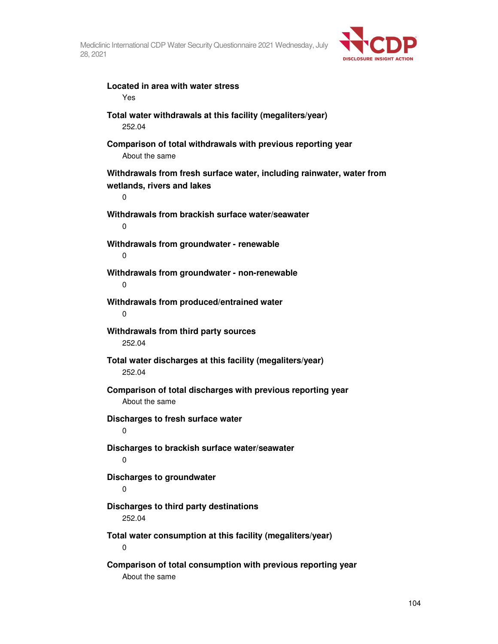

| Located in area with water stress<br>Yes                                                                 |
|----------------------------------------------------------------------------------------------------------|
| Total water withdrawals at this facility (megaliters/year)<br>252.04                                     |
| Comparison of total withdrawals with previous reporting year<br>About the same                           |
| Withdrawals from fresh surface water, including rainwater, water from<br>wetlands, rivers and lakes<br>0 |
| Withdrawals from brackish surface water/seawater<br>0                                                    |
| Withdrawals from groundwater - renewable<br>0                                                            |
| Withdrawals from groundwater - non-renewable<br>0                                                        |
| Withdrawals from produced/entrained water<br>0                                                           |
| Withdrawals from third party sources<br>252.04                                                           |
| Total water discharges at this facility (megaliters/year)<br>252.04                                      |
| Comparison of total discharges with previous reporting year<br>About the same                            |
| Discharges to fresh surface water<br>0                                                                   |
| Discharges to brackish surface water/seawater<br>0                                                       |
| Discharges to groundwater<br>0                                                                           |
| Discharges to third party destinations<br>252.04                                                         |
| Total water consumption at this facility (megaliters/year)<br>0                                          |
| Comparison of total consumption with previous reporting year<br>About the same                           |

104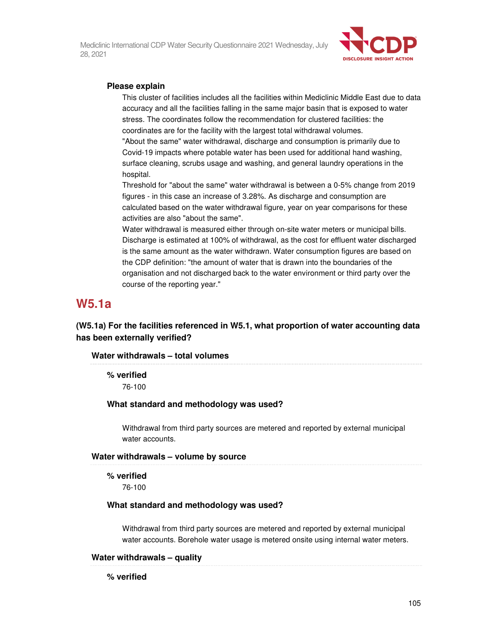

### **Please explain**

This cluster of facilities includes all the facilities within Mediclinic Middle East due to data accuracy and all the facilities falling in the same major basin that is exposed to water stress. The coordinates follow the recommendation for clustered facilities: the coordinates are for the facility with the largest total withdrawal volumes.

"About the same" water withdrawal, discharge and consumption is primarily due to Covid-19 impacts where potable water has been used for additional hand washing, surface cleaning, scrubs usage and washing, and general laundry operations in the hospital.

Threshold for "about the same" water withdrawal is between a 0-5% change from 2019 figures - in this case an increase of 3.28%. As discharge and consumption are calculated based on the water withdrawal figure, year on year comparisons for these activities are also "about the same".

Water withdrawal is measured either through on-site water meters or municipal bills. Discharge is estimated at 100% of withdrawal, as the cost for effluent water discharged is the same amount as the water withdrawn. Water consumption figures are based on the CDP definition: "the amount of water that is drawn into the boundaries of the organisation and not discharged back to the water environment or third party over the course of the reporting year."

# **W5.1a**

**(W5.1a) For the facilities referenced in W5.1, what proportion of water accounting data has been externally verified?** 

### **Water withdrawals – total volumes**

**% verified**  76-100

# **What standard and methodology was used?**

Withdrawal from third party sources are metered and reported by external municipal water accounts.

**Water withdrawals – volume by source** 

### **% verified**

76-100

### **What standard and methodology was used?**

Withdrawal from third party sources are metered and reported by external municipal water accounts. Borehole water usage is metered onsite using internal water meters.

### **Water withdrawals – quality**

**% verified**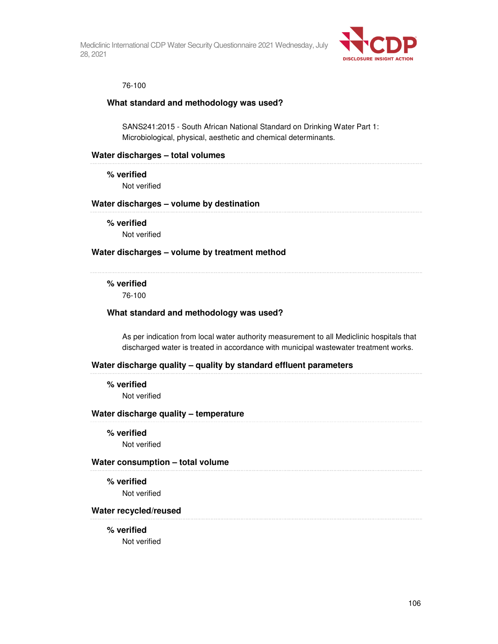

## 76-100

### **What standard and methodology was used?**

SANS241:2015 - South African National Standard on Drinking Water Part 1: Microbiological, physical, aesthetic and chemical determinants.

### **Water discharges – total volumes**

**% verified** 

Not verified

### **Water discharges – volume by destination**

**% verified** 

Not verified

### **Water discharges – volume by treatment method**

# **% verified**

76-100

### **What standard and methodology was used?**

As per indication from local water authority measurement to all Mediclinic hospitals that discharged water is treated in accordance with municipal wastewater treatment works.

### **Water discharge quality – quality by standard effluent parameters**

**% verified** 

Not verified

### **Water discharge quality – temperature**

#### **% verified**

Not verified

### **Water consumption – total volume**

#### **% verified**

Not verified

#### **Water recycled/reused**

#### **% verified**

Not verified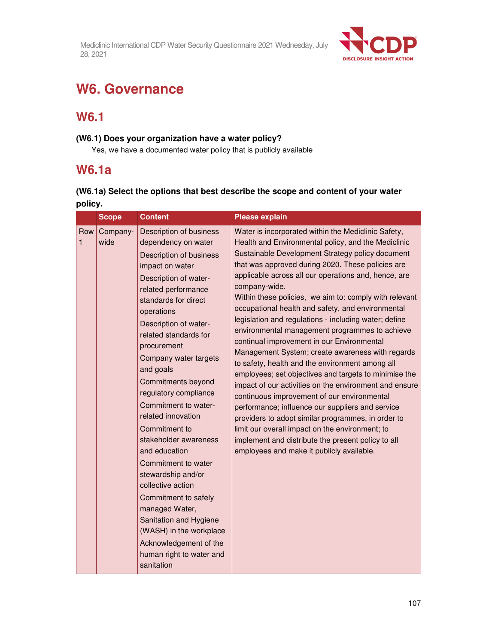

# **W6. Governance**

# **W6.1**

# **(W6.1) Does your organization have a water policy?**

Yes, we have a documented water policy that is publicly available

# **W6.1a**

# **(W6.1a) Select the options that best describe the scope and content of your water policy.**

|                     | <b>Scope</b>     | <b>Content</b>                                                                                                                                                                                                                                                                                                                                                                                                                                                                                                                                                                                                                                                                                       | <b>Please explain</b>                                                                                                                                                                                                                                                                                                                                                                                                                                                                                                                                                                                                                                                                                                                                                                                                                                                                                                                                                                                                                                                                                         |
|---------------------|------------------|------------------------------------------------------------------------------------------------------------------------------------------------------------------------------------------------------------------------------------------------------------------------------------------------------------------------------------------------------------------------------------------------------------------------------------------------------------------------------------------------------------------------------------------------------------------------------------------------------------------------------------------------------------------------------------------------------|---------------------------------------------------------------------------------------------------------------------------------------------------------------------------------------------------------------------------------------------------------------------------------------------------------------------------------------------------------------------------------------------------------------------------------------------------------------------------------------------------------------------------------------------------------------------------------------------------------------------------------------------------------------------------------------------------------------------------------------------------------------------------------------------------------------------------------------------------------------------------------------------------------------------------------------------------------------------------------------------------------------------------------------------------------------------------------------------------------------|
| Row<br>$\mathbf{1}$ | Company-<br>wide | <b>Description of business</b><br>dependency on water<br><b>Description of business</b><br>impact on water<br>Description of water-<br>related performance<br>standards for direct<br>operations<br>Description of water-<br>related standards for<br>procurement<br>Company water targets<br>and goals<br>Commitments beyond<br>regulatory compliance<br>Commitment to water-<br>related innovation<br>Commitment to<br>stakeholder awareness<br>and education<br>Commitment to water<br>stewardship and/or<br>collective action<br>Commitment to safely<br>managed Water,<br>Sanitation and Hygiene<br>(WASH) in the workplace<br>Acknowledgement of the<br>human right to water and<br>sanitation | Water is incorporated within the Mediclinic Safety,<br>Health and Environmental policy, and the Mediclinic<br>Sustainable Development Strategy policy document<br>that was approved during 2020. These policies are<br>applicable across all our operations and, hence, are<br>company-wide.<br>Within these policies, we aim to: comply with relevant<br>occupational health and safety, and environmental<br>legislation and regulations - including water; define<br>environmental management programmes to achieve<br>continual improvement in our Environmental<br>Management System; create awareness with regards<br>to safety, health and the environment among all<br>employees; set objectives and targets to minimise the<br>impact of our activities on the environment and ensure<br>continuous improvement of our environmental<br>performance; influence our suppliers and service<br>providers to adopt similar programmes, in order to<br>limit our overall impact on the environment; to<br>implement and distribute the present policy to all<br>employees and make it publicly available. |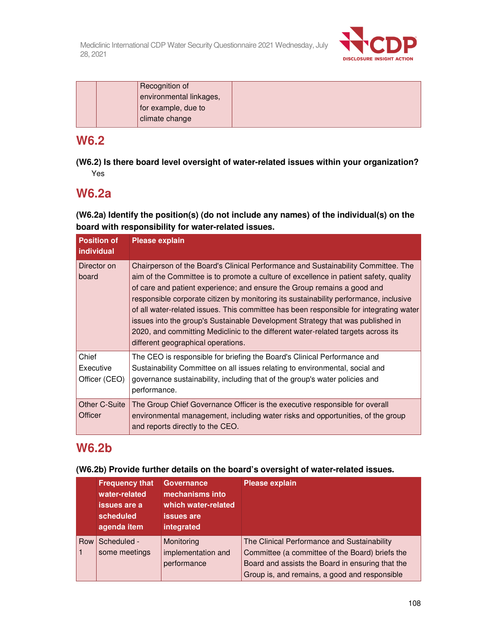

| Recognition of          |  |
|-------------------------|--|
| environmental linkages, |  |
| for example, due to     |  |
| climate change          |  |

# **W6.2**

**(W6.2) Is there board level oversight of water-related issues within your organization?**  Yes

# **W6.2a**

**(W6.2a) Identify the position(s) (do not include any names) of the individual(s) on the board with responsibility for water-related issues.**

| <b>Position of</b><br>individual    | <b>Please explain</b>                                                                                                                                                                                                                                                                                                                                                                                                                                                                                                                                                                                                                                 |
|-------------------------------------|-------------------------------------------------------------------------------------------------------------------------------------------------------------------------------------------------------------------------------------------------------------------------------------------------------------------------------------------------------------------------------------------------------------------------------------------------------------------------------------------------------------------------------------------------------------------------------------------------------------------------------------------------------|
| Director on<br>board                | Chairperson of the Board's Clinical Performance and Sustainability Committee. The<br>aim of the Committee is to promote a culture of excellence in patient safety, quality<br>of care and patient experience; and ensure the Group remains a good and<br>responsible corporate citizen by monitoring its sustainability performance, inclusive<br>of all water-related issues. This committee has been responsible for integrating water<br>issues into the group's Sustainable Development Strategy that was published in<br>2020, and committing Mediclinic to the different water-related targets across its<br>different geographical operations. |
| Chief<br>Executive<br>Officer (CEO) | The CEO is responsible for briefing the Board's Clinical Performance and<br>Sustainability Committee on all issues relating to environmental, social and<br>governance sustainability, including that of the group's water policies and<br>performance.                                                                                                                                                                                                                                                                                                                                                                                               |
| Other C-Suite<br><b>Officer</b>     | The Group Chief Governance Officer is the executive responsible for overall<br>environmental management, including water risks and opportunities, of the group<br>and reports directly to the CEO.                                                                                                                                                                                                                                                                                                                                                                                                                                                    |

# **W6.2b**

**(W6.2b) Provide further details on the board's oversight of water-related issues.** 

|     | <b>Frequency that</b><br>water-related<br>issues are a<br>scheduled<br>agenda item | Governance<br>mechanisms into<br>which water-related<br><b>issues are</b><br>integrated | <b>Please explain</b>                                                                                                                                                                               |
|-----|------------------------------------------------------------------------------------|-----------------------------------------------------------------------------------------|-----------------------------------------------------------------------------------------------------------------------------------------------------------------------------------------------------|
| Row | Scheduled -<br>some meetings                                                       | Monitoring<br>implementation and<br>performance                                         | The Clinical Performance and Sustainability<br>Committee (a committee of the Board) briefs the<br>Board and assists the Board in ensuring that the<br>Group is, and remains, a good and responsible |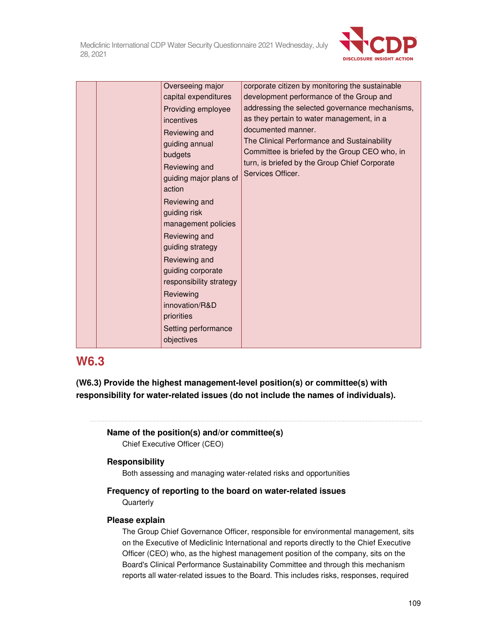

| Overseeing major<br>capital expenditures<br>Providing employee<br>incentives<br>Reviewing and<br>guiding annual<br>budgets<br>Reviewing and<br>guiding major plans of<br>action<br>Reviewing and<br>guiding risk<br>management policies<br>Reviewing and<br>guiding strategy<br>Reviewing and<br>guiding corporate<br>responsibility strategy<br>Reviewing<br>innovation/R&D<br>priorities<br>Setting performance<br>objectives | corporate citizen by monitoring the sustainable<br>development performance of the Group and<br>addressing the selected governance mechanisms,<br>as they pertain to water management, in a<br>documented manner.<br>The Clinical Performance and Sustainability<br>Committee is briefed by the Group CEO who, in<br>turn, is briefed by the Group Chief Corporate<br>Services Officer. |
|---------------------------------------------------------------------------------------------------------------------------------------------------------------------------------------------------------------------------------------------------------------------------------------------------------------------------------------------------------------------------------------------------------------------------------|----------------------------------------------------------------------------------------------------------------------------------------------------------------------------------------------------------------------------------------------------------------------------------------------------------------------------------------------------------------------------------------|
|---------------------------------------------------------------------------------------------------------------------------------------------------------------------------------------------------------------------------------------------------------------------------------------------------------------------------------------------------------------------------------------------------------------------------------|----------------------------------------------------------------------------------------------------------------------------------------------------------------------------------------------------------------------------------------------------------------------------------------------------------------------------------------------------------------------------------------|

# **W6.3**

**(W6.3) Provide the highest management-level position(s) or committee(s) with responsibility for water-related issues (do not include the names of individuals).** 

# **Name of the position(s) and/or committee(s)**

Chief Executive Officer (CEO)

## **Responsibility**

Both assessing and managing water-related risks and opportunities

## **Frequency of reporting to the board on water-related issues Quarterly**

## **Please explain**

The Group Chief Governance Officer, responsible for environmental management, sits on the Executive of Mediclinic International and reports directly to the Chief Executive Officer (CEO) who, as the highest management position of the company, sits on the Board's Clinical Performance Sustainability Committee and through this mechanism reports all water-related issues to the Board. This includes risks, responses, required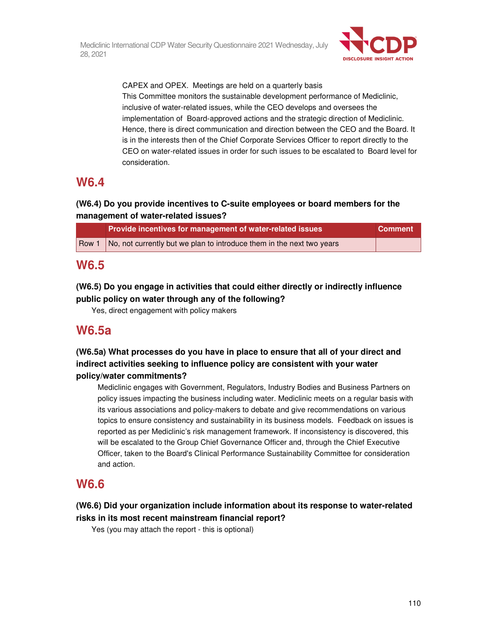

CAPEX and OPEX. Meetings are held on a quarterly basis This Committee monitors the sustainable development performance of Mediclinic, inclusive of water-related issues, while the CEO develops and oversees the implementation of Board-approved actions and the strategic direction of Mediclinic. Hence, there is direct communication and direction between the CEO and the Board. It is in the interests then of the Chief Corporate Services Officer to report directly to the CEO on water-related issues in order for such issues to be escalated to Board level for consideration.

# **W6.4**

## **(W6.4) Do you provide incentives to C-suite employees or board members for the management of water-related issues?**

| Provide incentives for management of water-related issues                     | <b>Comment</b> |
|-------------------------------------------------------------------------------|----------------|
| Row 1   No, not currently but we plan to introduce them in the next two years |                |

# **W6.5**

## **(W6.5) Do you engage in activities that could either directly or indirectly influence public policy on water through any of the following?**

Yes, direct engagement with policy makers

# **W6.5a**

## **(W6.5a) What processes do you have in place to ensure that all of your direct and indirect activities seeking to influence policy are consistent with your water policy/water commitments?**

Mediclinic engages with Government, Regulators, Industry Bodies and Business Partners on policy issues impacting the business including water. Mediclinic meets on a regular basis with its various associations and policy-makers to debate and give recommendations on various topics to ensure consistency and sustainability in its business models. Feedback on issues is reported as per Mediclinic's risk management framework. If inconsistency is discovered, this will be escalated to the Group Chief Governance Officer and, through the Chief Executive Officer, taken to the Board's Clinical Performance Sustainability Committee for consideration and action.

# **W6.6**

## **(W6.6) Did your organization include information about its response to water-related risks in its most recent mainstream financial report?**

Yes (you may attach the report - this is optional)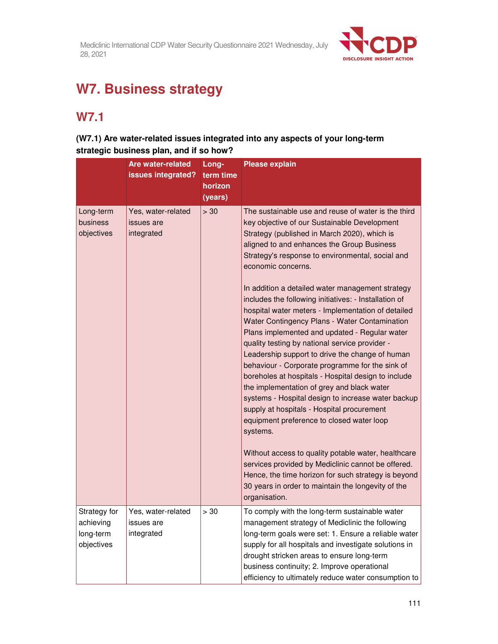

# **W7. Business strategy**

# **W7.1**

## **(W7.1) Are water-related issues integrated into any aspects of your long-term strategic business plan, and if so how?**

|                                                      | <b>Are water-related</b><br>issues integrated? | Long-<br>term time<br>horizon<br>(years) | <b>Please explain</b>                                                                                                                                                                                                                                                                                                                                                                                                                                                                                                                                                                                                                                                                                                                                                                                                                                                                                                                                                                                                                                                                                                                                                                                                 |
|------------------------------------------------------|------------------------------------------------|------------------------------------------|-----------------------------------------------------------------------------------------------------------------------------------------------------------------------------------------------------------------------------------------------------------------------------------------------------------------------------------------------------------------------------------------------------------------------------------------------------------------------------------------------------------------------------------------------------------------------------------------------------------------------------------------------------------------------------------------------------------------------------------------------------------------------------------------------------------------------------------------------------------------------------------------------------------------------------------------------------------------------------------------------------------------------------------------------------------------------------------------------------------------------------------------------------------------------------------------------------------------------|
| Long-term<br>business<br>objectives                  | Yes, water-related<br>issues are<br>integrated | > 30                                     | The sustainable use and reuse of water is the third<br>key objective of our Sustainable Development<br>Strategy (published in March 2020), which is<br>aligned to and enhances the Group Business<br>Strategy's response to environmental, social and<br>economic concerns.<br>In addition a detailed water management strategy<br>includes the following initiatives: - Installation of<br>hospital water meters - Implementation of detailed<br>Water Contingency Plans - Water Contamination<br>Plans implemented and updated - Regular water<br>quality testing by national service provider -<br>Leadership support to drive the change of human<br>behaviour - Corporate programme for the sink of<br>boreholes at hospitals - Hospital design to include<br>the implementation of grey and black water<br>systems - Hospital design to increase water backup<br>supply at hospitals - Hospital procurement<br>equipment preference to closed water loop<br>systems.<br>Without access to quality potable water, healthcare<br>services provided by Mediclinic cannot be offered.<br>Hence, the time horizon for such strategy is beyond<br>30 years in order to maintain the longevity of the<br>organisation. |
| Strategy for<br>achieving<br>long-term<br>objectives | Yes, water-related<br>issues are<br>integrated | > 30                                     | To comply with the long-term sustainable water<br>management strategy of Mediclinic the following<br>long-term goals were set: 1. Ensure a reliable water<br>supply for all hospitals and investigate solutions in<br>drought stricken areas to ensure long-term<br>business continuity; 2. Improve operational<br>efficiency to ultimately reduce water consumption to                                                                                                                                                                                                                                                                                                                                                                                                                                                                                                                                                                                                                                                                                                                                                                                                                                               |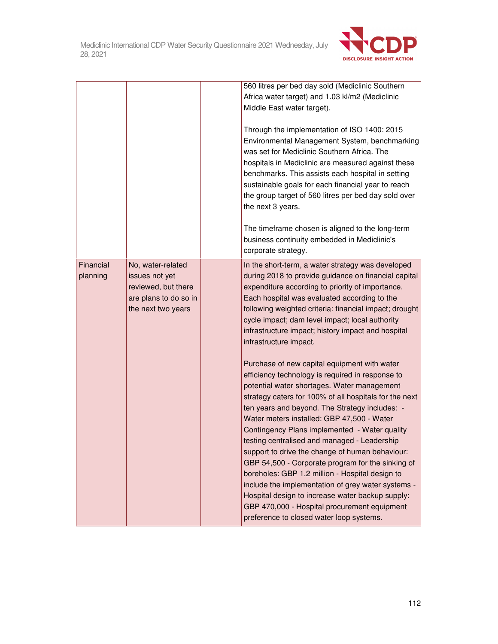

|                       |                                                                                                           | 560 litres per bed day sold (Mediclinic Southern<br>Africa water target) and 1.03 kl/m2 (Mediclinic<br>Middle East water target).<br>Through the implementation of ISO 1400: 2015<br>Environmental Management System, benchmarking<br>was set for Mediclinic Southern Africa. The<br>hospitals in Mediclinic are measured against these<br>benchmarks. This assists each hospital in setting<br>sustainable goals for each financial year to reach<br>the group target of 560 litres per bed day sold over<br>the next 3 years.<br>The timeframe chosen is aligned to the long-term<br>business continuity embedded in Mediclinic's<br>corporate strategy.                                                                                                                                                                                                                                                                                                                                                                                                                                                                                    |
|-----------------------|-----------------------------------------------------------------------------------------------------------|-----------------------------------------------------------------------------------------------------------------------------------------------------------------------------------------------------------------------------------------------------------------------------------------------------------------------------------------------------------------------------------------------------------------------------------------------------------------------------------------------------------------------------------------------------------------------------------------------------------------------------------------------------------------------------------------------------------------------------------------------------------------------------------------------------------------------------------------------------------------------------------------------------------------------------------------------------------------------------------------------------------------------------------------------------------------------------------------------------------------------------------------------|
| Financial<br>planning | No, water-related<br>issues not yet<br>reviewed, but there<br>are plans to do so in<br>the next two years | In the short-term, a water strategy was developed<br>during 2018 to provide guidance on financial capital<br>expenditure according to priority of importance.<br>Each hospital was evaluated according to the<br>following weighted criteria: financial impact; drought<br>cycle impact; dam level impact; local authority<br>infrastructure impact; history impact and hospital<br>infrastructure impact.<br>Purchase of new capital equipment with water<br>efficiency technology is required in response to<br>potential water shortages. Water management<br>strategy caters for 100% of all hospitals for the next<br>ten years and beyond. The Strategy includes: -<br>Water meters installed: GBP 47,500 - Water<br>Contingency Plans implemented - Water quality<br>testing centralised and managed - Leadership<br>support to drive the change of human behaviour:<br>GBP 54,500 - Corporate program for the sinking of<br>boreholes: GBP 1.2 million - Hospital design to<br>include the implementation of grey water systems -<br>Hospital design to increase water backup supply:<br>GBP 470,000 - Hospital procurement equipment |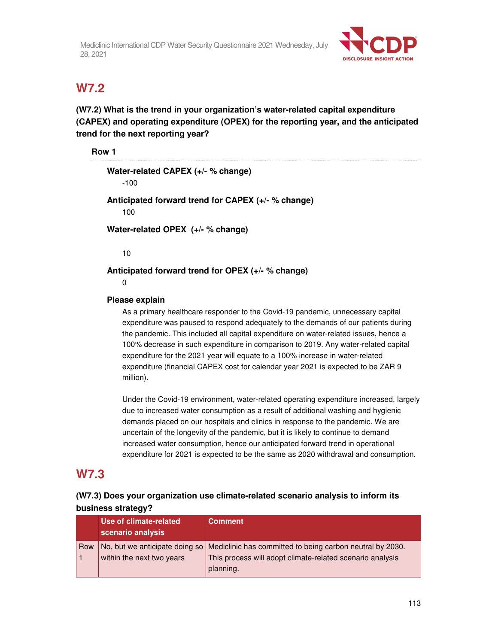

# **W7.2**

**(W7.2) What is the trend in your organization's water-related capital expenditure (CAPEX) and operating expenditure (OPEX) for the reporting year, and the anticipated trend for the next reporting year?** 

### **Row 1**

| Water-related CAPEX (+/- % change)                   |  |
|------------------------------------------------------|--|
| $-100$                                               |  |
| Anticipated forward trend for CAPEX $(+/-\%$ change) |  |

100

**Water-related OPEX (+/- % change)** 

10

### **Anticipated forward trend for OPEX (+/- % change)**

0

### **Please explain**

As a primary healthcare responder to the Covid-19 pandemic, unnecessary capital expenditure was paused to respond adequately to the demands of our patients during the pandemic. This included all capital expenditure on water-related issues, hence a 100% decrease in such expenditure in comparison to 2019. Any water-related capital expenditure for the 2021 year will equate to a 100% increase in water-related expenditure (financial CAPEX cost for calendar year 2021 is expected to be ZAR 9 million).

Under the Covid-19 environment, water-related operating expenditure increased, largely due to increased water consumption as a result of additional washing and hygienic demands placed on our hospitals and clinics in response to the pandemic. We are uncertain of the longevity of the pandemic, but it is likely to continue to demand increased water consumption, hence our anticipated forward trend in operational expenditure for 2021 is expected to be the same as 2020 withdrawal and consumption.

## **W7.3**

## **(W7.3) Does your organization use climate-related scenario analysis to inform its business strategy?**

|     | Use of climate-related<br>scenario analysis | <b>Comment</b>                                                                             |
|-----|---------------------------------------------|--------------------------------------------------------------------------------------------|
| Row |                                             | No, but we anticipate doing so   Mediclinic has committed to being carbon neutral by 2030. |
|     | within the next two years                   | This process will adopt climate-related scenario analysis                                  |
|     |                                             | planning.                                                                                  |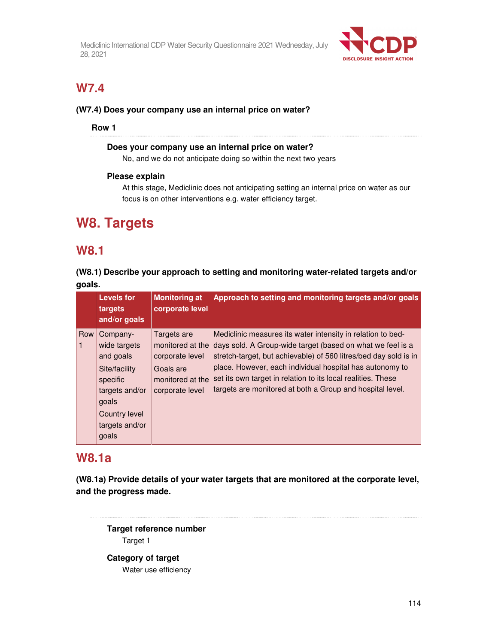

# **W7.4**

### **(W7.4) Does your company use an internal price on water?**

### **Row 1**

### **Does your company use an internal price on water?**

No, and we do not anticipate doing so within the next two years

### **Please explain**

At this stage, Mediclinic does not anticipating setting an internal price on water as our focus is on other interventions e.g. water efficiency target.

# **W8. Targets**

## **W8.1**

**(W8.1) Describe your approach to setting and monitoring water-related targets and/or goals.** 

|     | <b>Levels for</b><br>targets<br>and/or goals                                                                          | <b>Monitoring at</b><br>corporate level                                                                | Approach to setting and monitoring targets and/or goals                                                                                                                                                                                                                                                                                                                                |
|-----|-----------------------------------------------------------------------------------------------------------------------|--------------------------------------------------------------------------------------------------------|----------------------------------------------------------------------------------------------------------------------------------------------------------------------------------------------------------------------------------------------------------------------------------------------------------------------------------------------------------------------------------------|
| Row | Company-<br>wide targets<br>and goals<br>Site/facility<br>specific<br>targets and/or<br>goals<br><b>Country level</b> | Targets are<br>monitored at the<br>corporate level<br>Goals are<br>monitored at the<br>corporate level | Mediclinic measures its water intensity in relation to bed-<br>days sold. A Group-wide target (based on what we feel is a<br>stretch-target, but achievable) of 560 litres/bed day sold is in<br>place. However, each individual hospital has autonomy to<br>set its own target in relation to its local realities. These<br>targets are monitored at both a Group and hospital level. |
|     | targets and/or<br>goals                                                                                               |                                                                                                        |                                                                                                                                                                                                                                                                                                                                                                                        |

# **W8.1a**

**(W8.1a) Provide details of your water targets that are monitored at the corporate level, and the progress made.** 

**Target reference number**  Target 1

**Category of target**  Water use efficiency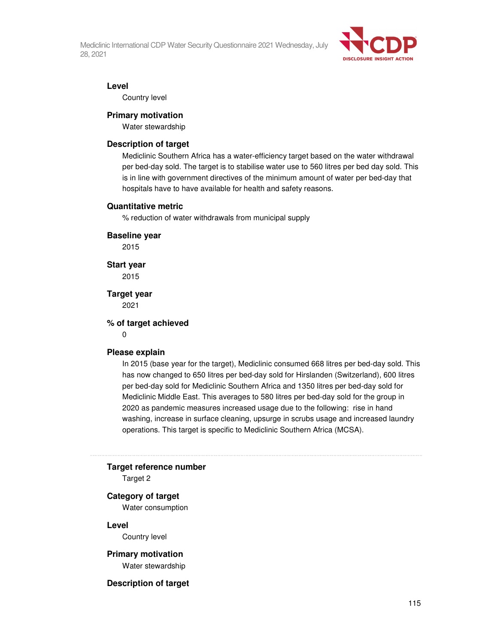

#### **Level**

Country level

#### **Primary motivation**

Water stewardship

#### **Description of target**

Mediclinic Southern Africa has a water-efficiency target based on the water withdrawal per bed-day sold. The target is to stabilise water use to 560 litres per bed day sold. This is in line with government directives of the minimum amount of water per bed-day that hospitals have to have available for health and safety reasons.

#### **Quantitative metric**

% reduction of water withdrawals from municipal supply

#### **Baseline year**

2015

**Start year** 

2015

**Target year**  2021

#### **% of target achieved**

 $\overline{0}$ 

#### **Please explain**

In 2015 (base year for the target), Mediclinic consumed 668 litres per bed-day sold. This has now changed to 650 litres per bed-day sold for Hirslanden (Switzerland), 600 litres per bed-day sold for Mediclinic Southern Africa and 1350 litres per bed-day sold for Mediclinic Middle East. This averages to 580 litres per bed-day sold for the group in 2020 as pandemic measures increased usage due to the following: rise in hand washing, increase in surface cleaning, upsurge in scrubs usage and increased laundry operations. This target is specific to Mediclinic Southern Africa (MCSA).

#### **Target reference number**

Target 2

#### **Category of target**

Water consumption

#### **Level**

Country level

# **Primary motivation**

Water stewardship

#### **Description of target**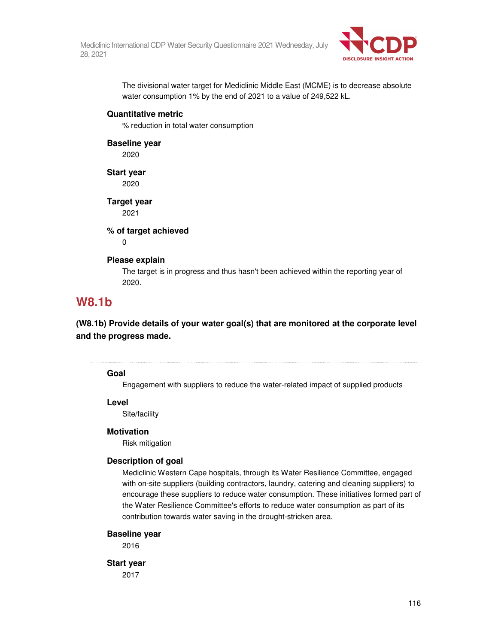

The divisional water target for Mediclinic Middle East (MCME) is to decrease absolute water consumption 1% by the end of 2021 to a value of 249,522 kL.

#### **Quantitative metric**

% reduction in total water consumption

### **Baseline year**

2020

## **Start year**

2020

### **Target year**

2021

### **% of target achieved**

0

### **Please explain**

The target is in progress and thus hasn't been achieved within the reporting year of 2020.

# **W8.1b**

**(W8.1b) Provide details of your water goal(s) that are monitored at the corporate level and the progress made.** 

#### 

### **Goal**

Engagement with suppliers to reduce the water-related impact of supplied products

#### **Level**

Site/facility

### **Motivation**

Risk mitigation

### **Description of goal**

Mediclinic Western Cape hospitals, through its Water Resilience Committee, engaged with on-site suppliers (building contractors, laundry, catering and cleaning suppliers) to encourage these suppliers to reduce water consumption. These initiatives formed part of the Water Resilience Committee's efforts to reduce water consumption as part of its contribution towards water saving in the drought-stricken area.

### **Baseline year**

2016

### **Start year**

2017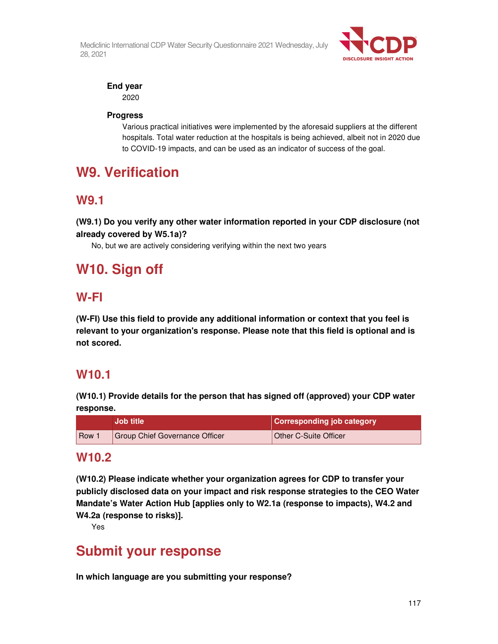

## **End year**

2020

### **Progress**

Various practical initiatives were implemented by the aforesaid suppliers at the different hospitals. Total water reduction at the hospitals is being achieved, albeit not in 2020 due to COVID-19 impacts, and can be used as an indicator of success of the goal.

# **W9. Verification**

# **W9.1**

**(W9.1) Do you verify any other water information reported in your CDP disclosure (not already covered by W5.1a)?** 

No, but we are actively considering verifying within the next two years

# **W10. Sign off**

# **W-FI**

**(W-FI) Use this field to provide any additional information or context that you feel is relevant to your organization's response. Please note that this field is optional and is not scored.** 

# **W10.1**

**(W10.1) Provide details for the person that has signed off (approved) your CDP water response.** 

|     | <b>Job title</b>               | <b>Corresponding job category</b> |
|-----|--------------------------------|-----------------------------------|
| Row | Group Chief Governance Officer | Other C-Suite Officer             |

## **W10.2**

**(W10.2) Please indicate whether your organization agrees for CDP to transfer your publicly disclosed data on your impact and risk response strategies to the CEO Water Mandate's Water Action Hub [applies only to W2.1a (response to impacts), W4.2 and W4.2a (response to risks)].** 

Yes

# **Submit your response**

**In which language are you submitting your response?**